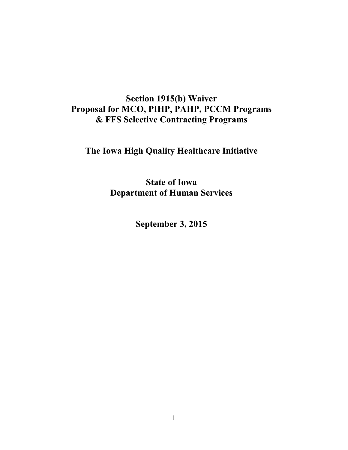## **Section 1915(b) Waiver Proposal for MCO, PIHP, PAHP, PCCM Programs & FFS Selective Contracting Programs**

# **The Iowa High Quality Healthcare Initiative**

**State of Iowa Department of Human Services**

**September 3, 2015**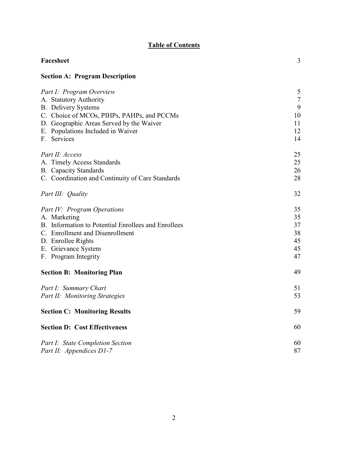## **Table of Contents**

| Facesheet                                           | 3              |
|-----------------------------------------------------|----------------|
| <b>Section A: Program Description</b>               |                |
| Part I: Program Overview                            | 5              |
| A. Statutory Authority                              | $\overline{7}$ |
| <b>B.</b> Delivery Systems                          | 9              |
| C. Choice of MCOs, PIHPs, PAHPs, and PCCMs          | 10             |
| D. Geographic Areas Served by the Waiver            | 11             |
| E. Populations Included in Waiver                   | 12             |
| F. Services                                         | 14             |
| Part II: Access                                     | 25             |
| A. Timely Access Standards                          | 25             |
| <b>B.</b> Capacity Standards                        | 26             |
| C. Coordination and Continuity of Care Standards    | 28             |
| Part III: Quality                                   | 32             |
| Part IV: Program Operations                         | 35             |
| A. Marketing                                        | 35             |
| B. Information to Potential Enrollees and Enrollees | 37             |
| C. Enrollment and Disenrollment                     | 38             |
| D. Enrollee Rights                                  | 45             |
| E. Grievance System                                 | 45             |
| F. Program Integrity                                | 47             |
| <b>Section B: Monitoring Plan</b>                   | 49             |
| Part I: Summary Chart                               | 51             |
| Part II: Monitoring Strategies                      | 53             |
| <b>Section C: Monitoring Results</b>                | 59             |
| <b>Section D: Cost Effectiveness</b>                | 60             |
| Part I: State Completion Section                    | 60             |
| Part II: Appendices D1-7                            | 87             |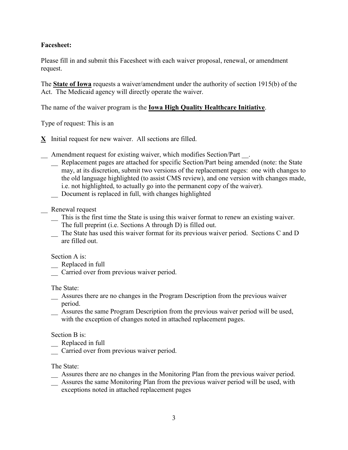## **Facesheet:**

Please fill in and submit this Facesheet with each waiver proposal, renewal, or amendment request.

The **State of Iowa** requests a waiver/amendment under the authority of section 1915(b) of the Act. The Medicaid agency will directly operate the waiver.

The name of the waiver program is the **Iowa High Quality Healthcare Initiative**.

Type of request: This is an

**X** Initial request for new waiver. All sections are filled.

- \_\_ Amendment request for existing waiver, which modifies Section/Part \_\_.
	- \_\_ Replacement pages are attached for specific Section/Part being amended (note: the State may, at its discretion, submit two versions of the replacement pages: one with changes to the old language highlighted (to assist CMS review), and one version with changes made, i.e. not highlighted, to actually go into the permanent copy of the waiver). Document is replaced in full, with changes highlighted
- \_\_ Renewal request
	- \_\_ This is the first time the State is using this waiver format to renew an existing waiver. The full preprint (i.e. Sections A through D) is filled out.
	- \_\_ The State has used this waiver format for its previous waiver period. Sections C and D are filled out.

Section A is:

- Replaced in full
- \_\_ Carried over from previous waiver period.

The State:

- \_\_ Assures there are no changes in the Program Description from the previous waiver period.
- \_\_ Assures the same Program Description from the previous waiver period will be used, with the exception of changes noted in attached replacement pages.

#### Section B is:

- \_\_ Replaced in full
- \_\_ Carried over from previous waiver period.

The State:

- \_\_ Assures there are no changes in the Monitoring Plan from the previous waiver period.
- \_\_ Assures the same Monitoring Plan from the previous waiver period will be used, with exceptions noted in attached replacement pages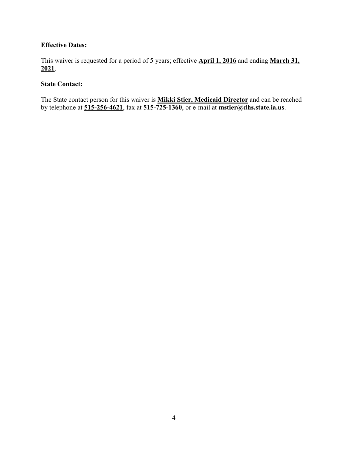## **Effective Dates:**

This waiver is requested for a period of 5 years; effective **April 1, 2016** and ending **March 31, 2021**.

## **State Contact:**

The State contact person for this waiver is **Mikki Stier, Medicaid Director** and can be reached by telephone at **515-256-4621**, fax at **515-725-1360**, or e-mail at **mstier@dhs.state.ia.us**.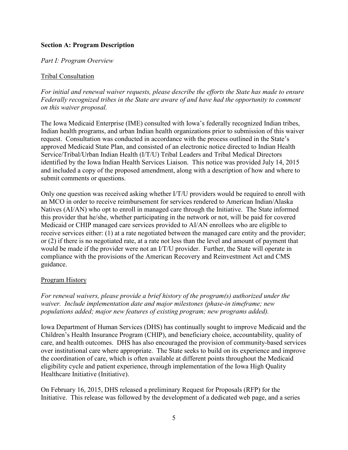## **Section A: Program Description**

*Part I: Program Overview*

## Tribal Consultation

*For initial and renewal waiver requests, please describe the efforts the State has made to ensure Federally recognized tribes in the State are aware of and have had the opportunity to comment on this waiver proposal.*

The Iowa Medicaid Enterprise (IME) consulted with Iowa's federally recognized Indian tribes, Indian health programs, and urban Indian health organizations prior to submission of this waiver request. Consultation was conducted in accordance with the process outlined in the State's approved Medicaid State Plan, and consisted of an electronic notice directed to Indian Health Service/Tribal/Urban Indian Health (I/T/U) Tribal Leaders and Tribal Medical Directors identified by the Iowa Indian Health Services Liaison. This notice was provided July 14, 2015 and included a copy of the proposed amendment, along with a description of how and where to submit comments or questions.

Only one question was received asking whether I/T/U providers would be required to enroll with an MCO in order to receive reimbursement for services rendered to American Indian/Alaska Natives (AI/AN) who opt to enroll in managed care through the Initiative. The State informed this provider that he/she, whether participating in the network or not, will be paid for covered Medicaid or CHIP managed care services provided to AI/AN enrollees who are eligible to receive services either: (1) at a rate negotiated between the managed care entity and the provider; or (2) if there is no negotiated rate, at a rate not less than the level and amount of payment that would be made if the provider were not an I/T/U provider. Further, the State will operate in compliance with the provisions of the American Recovery and Reinvestment Act and CMS guidance.

## Program History

*For renewal waivers, please provide a brief history of the program(s) authorized under the waiver. Include implementation date and major milestones (phase-in timeframe; new populations added; major new features of existing program; new programs added).*

Iowa Department of Human Services (DHS) has continually sought to improve Medicaid and the Children's Health Insurance Program (CHIP), and beneficiary choice, accountability, quality of care, and health outcomes. DHS has also encouraged the provision of community-based services over institutional care where appropriate. The State seeks to build on its experience and improve the coordination of care, which is often available at different points throughout the Medicaid eligibility cycle and patient experience, through implementation of the Iowa High Quality Healthcare Initiative (Initiative).

On February 16, 2015, DHS released a preliminary Request for Proposals (RFP) for the Initiative. This release was followed by the development of a dedicated web page, and a series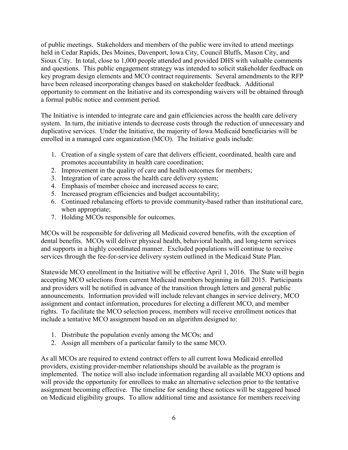of public meetings. Stakeholders and members of the public were invited to attend meetings held in Cedar Rapids, Des Moines, Davenport, Iowa City, Council Bluffs, Mason City, and Sioux City. In total, close to 1,000 people attended and provided DHS with valuable comments and questions. This public engagement strategy was intended to solicit stakeholder feedback on key program design elements and MCO contract requirements. Several amendments to the RFP have been released incorporating changes based on stakeholder feedback. Additional opportunity to comment on the Initiative and its corresponding waivers will be obtained through a formal public notice and comment period.

The Initiative is intended to integrate care and gain efficiencies across the health care delivery system. In turn, the initiative intends to decrease costs through the reduction of unnecessary and duplicative services. Under the Initiative, the majority of Iowa Medicaid beneficiaries will be enrolled in a managed care organization (MCO). The Initiative goals include:

- 1. Creation of a single system of care that delivers efficient, coordinated, health care and promotes accountability in health care coordination;
- 2. Improvement in the quality of care and health outcomes for members;
- 3. Integration of care across the health care delivery system;
- 4. Emphasis of member choice and increased access to care;
- 5. Increased program efficiencies and budget accountability;
- 6. Continued rebalancing efforts to provide community-based rather than institutional care, when appropriate;
- 7. Holding MCOs responsible for outcomes.

MCOs will be responsible for delivering all Medicaid covered benefits, with the exception of dental benefits. MCOs will deliver physical health, behavioral health, and long-term services and supports in a highly coordinated manner. Excluded populations will continue to receive services through the fee-for-service delivery system outlined in the Medicaid State Plan.

Statewide MCO enrollment in the Initiative will be effective April 1, 2016. The State will begin accepting MCO selections from current Medicaid members beginning in fall 2015. Participants and providers will be notified in advance of the transition through letters and general public announcements. Information provided will include relevant changes in service delivery, MCO assignment and contact information, procedures for electing a different MCO, and member rights. To facilitate the MCO selection process, members will receive enrollment notices that include a tentative MCO assignment based on an algorithm designed to:

- 1. Distribute the population evenly among the MCOs; and
- 2. Assign all members of a particular family to the same MCO.

As all MCOs are required to extend contract offers to all current Iowa Medicaid enrolled providers, existing provider-member relationships should be available as the program is implemented. The notice will also include information regarding all available MCO options and will provide the opportunity for enrollees to make an alternative selection prior to the tentative assignment becoming effective. The timeline for sending these notices will be staggered based on Medicaid eligibility groups. To allow additional time and assistance for members receiving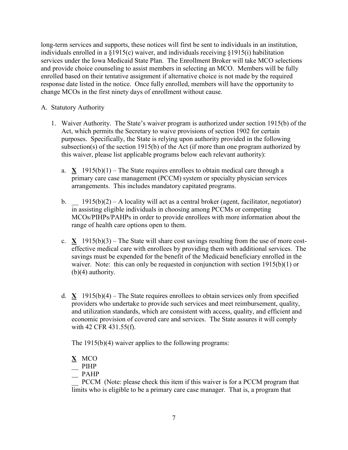long-term services and supports, these notices will first be sent to individuals in an institution, individuals enrolled in a §1915(c) waiver, and individuals receiving §1915(i) habilitation services under the Iowa Medicaid State Plan. The Enrollment Broker will take MCO selections and provide choice counseling to assist members in selecting an MCO. Members will be fully enrolled based on their tentative assignment if alternative choice is not made by the required response date listed in the notice. Once fully enrolled, members will have the opportunity to change MCOs in the first ninety days of enrollment without cause.

- A. Statutory Authority
	- 1. Waiver Authority. The State's waiver program is authorized under section 1915(b) of the Act, which permits the Secretary to waive provisions of section 1902 for certain purposes. Specifically, the State is relying upon authority provided in the following subsection(s) of the section 1915(b) of the Act (if more than one program authorized by this waiver, please list applicable programs below each relevant authority):
		- a.  $X$  1915(b)(1) The State requires enrollees to obtain medical care through a primary care case management (PCCM) system or specialty physician services arrangements. This includes mandatory capitated programs.
		- b.  $1915(b)(2) A$  locality will act as a central broker (agent, facilitator, negotiator) in assisting eligible individuals in choosing among PCCMs or competing MCOs/PIHPs/PAHPs in order to provide enrollees with more information about the range of health care options open to them.
		- c. **X** 1915(b)(3) The State will share cost savings resulting from the use of more costeffective medical care with enrollees by providing them with additional services. The savings must be expended for the benefit of the Medicaid beneficiary enrolled in the waiver. Note: this can only be requested in conjunction with section 1915(b)(1) or (b)(4) authority.
		- d. **X** 1915(b)(4) The State requires enrollees to obtain services only from specified providers who undertake to provide such services and meet reimbursement, quality, and utilization standards, which are consistent with access, quality, and efficient and economic provision of covered care and services. The State assures it will comply with 42 CFR 431.55(f).

The 1915(b)(4) waiver applies to the following programs:

- **X** MCO
- $\overline{\phantom{a}}$  PIHP
- $-$  PAHP

\_\_ PCCM (Note: please check this item if this waiver is for a PCCM program that limits who is eligible to be a primary care case manager. That is, a program that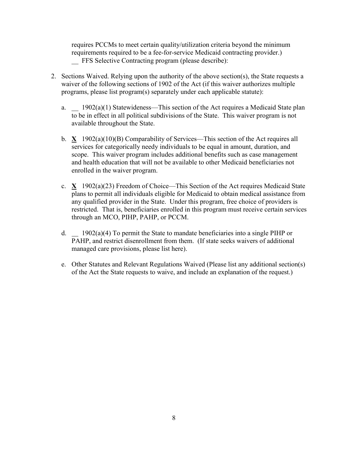requires PCCMs to meet certain quality/utilization criteria beyond the minimum requirements required to be a fee-for-service Medicaid contracting provider.) FFS Selective Contracting program (please describe):

- 2. Sections Waived. Relying upon the authority of the above section(s), the State requests a waiver of the following sections of 1902 of the Act (if this waiver authorizes multiple programs, please list program(s) separately under each applicable statute):
	- a.  $1902(a)(1)$  Statewideness—This section of the Act requires a Medicaid State plan to be in effect in all political subdivisions of the State. This waiver program is not available throughout the State.
	- b. **X** 1902(a)(10)(B) Comparability of Services—This section of the Act requires all services for categorically needy individuals to be equal in amount, duration, and scope. This waiver program includes additional benefits such as case management and health education that will not be available to other Medicaid beneficiaries not enrolled in the waiver program.
	- c. **X** 1902(a)(23) Freedom of Choice—This Section of the Act requires Medicaid State plans to permit all individuals eligible for Medicaid to obtain medical assistance from any qualified provider in the State. Under this program, free choice of providers is restricted. That is, beneficiaries enrolled in this program must receive certain services through an MCO, PIHP, PAHP, or PCCM.
	- d. 1902(a)(4) To permit the State to mandate beneficiaries into a single PIHP or PAHP, and restrict disenrollment from them. (If state seeks waivers of additional managed care provisions, please list here).
	- e. Other Statutes and Relevant Regulations Waived (Please list any additional section(s) of the Act the State requests to waive, and include an explanation of the request.)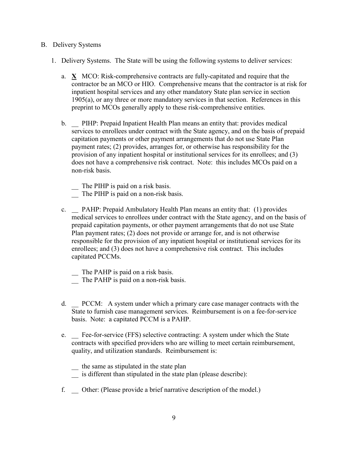#### B. Delivery Systems

- 1. Delivery Systems. The State will be using the following systems to deliver services:
	- a. **X** MCO: Risk-comprehensive contracts are fully-capitated and require that the contractor be an MCO or HIO. Comprehensive means that the contractor is at risk for inpatient hospital services and any other mandatory State plan service in section 1905(a), or any three or more mandatory services in that section. References in this preprint to MCOs generally apply to these risk-comprehensive entities.
	- b. \_\_ PIHP: Prepaid Inpatient Health Plan means an entity that: provides medical services to enrollees under contract with the State agency, and on the basis of prepaid capitation payments or other payment arrangements that do not use State Plan payment rates; (2) provides, arranges for, or otherwise has responsibility for the provision of any inpatient hospital or institutional services for its enrollees; and (3) does not have a comprehensive risk contract. Note: this includes MCOs paid on a non-risk basis.
		- \_\_ The PIHP is paid on a risk basis.
		- The PIHP is paid on a non-risk basis.
	- c. PAHP: Prepaid Ambulatory Health Plan means an entity that: (1) provides medical services to enrollees under contract with the State agency, and on the basis of prepaid capitation payments, or other payment arrangements that do not use State Plan payment rates; (2) does not provide or arrange for, and is not otherwise responsible for the provision of any inpatient hospital or institutional services for its enrollees; and (3) does not have a comprehensive risk contract. This includes capitated PCCMs.
		- The PAHP is paid on a risk basis.
		- The PAHP is paid on a non-risk basis.
	- d. \_\_ PCCM: A system under which a primary care case manager contracts with the State to furnish case management services. Reimbursement is on a fee-for-service basis. Note: a capitated PCCM is a PAHP.
	- e. \_\_ Fee-for-service (FFS) selective contracting: A system under which the State contracts with specified providers who are willing to meet certain reimbursement, quality, and utilization standards. Reimbursement is:
		- \_\_ the same as stipulated in the state plan
		- \_\_ is different than stipulated in the state plan (please describe):
	- f. \_\_ Other: (Please provide a brief narrative description of the model.)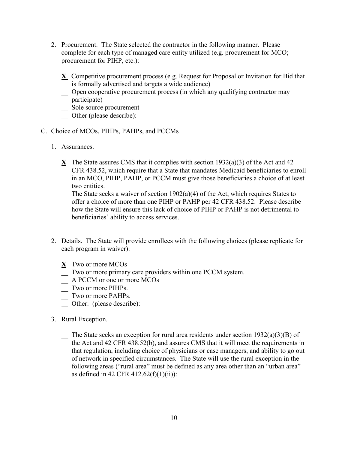- 2. Procurement. The State selected the contractor in the following manner. Please complete for each type of managed care entity utilized (e.g. procurement for MCO; procurement for PIHP, etc.):
	- **X** Competitive procurement process (e.g. Request for Proposal or Invitation for Bid that is formally advertised and targets a wide audience)
	- \_\_ Open cooperative procurement process (in which any qualifying contractor may participate)
	- \_\_ Sole source procurement
	- \_\_ Other (please describe):
- C. Choice of MCOs, PIHPs, PAHPs, and PCCMs
	- 1. Assurances.
		- **X** The State assures CMS that it complies with section 1932(a)(3) of the Act and 42 CFR 438.52, which require that a State that mandates Medicaid beneficiaries to enroll in an MCO, PIHP, PAHP, or PCCM must give those beneficiaries a choice of at least two entities.
		- $\sum$  The State seeks a waiver of section 1902(a)(4) of the Act, which requires States to offer a choice of more than one PIHP or PAHP per 42 CFR 438.52. Please describe how the State will ensure this lack of choice of PIHP or PAHP is not detrimental to beneficiaries' ability to access services.
	- 2. Details. The State will provide enrollees with the following choices (please replicate for each program in waiver):
		- **X** Two or more MCOs
		- \_\_ Two or more primary care providers within one PCCM system.
		- \_\_ A PCCM or one or more MCOs
		- \_\_ Two or more PIHPs.
		- \_\_ Two or more PAHPs.
		- Other: (please describe):
	- 3. Rural Exception.
		- $\sum$  The State seeks an exception for rural area residents under section 1932(a)(3)(B) of the Act and 42 CFR 438.52(b), and assures CMS that it will meet the requirements in that regulation, including choice of physicians or case managers, and ability to go out of network in specified circumstances. The State will use the rural exception in the following areas ("rural area" must be defined as any area other than an "urban area" as defined in 42 CFR  $412.62(f)(1)(ii)$ :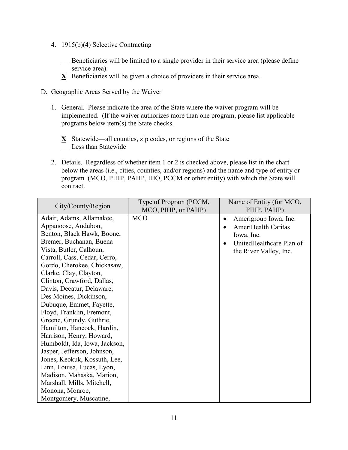- 4. 1915(b)(4) Selective Contracting
	- \_\_ Beneficiaries will be limited to a single provider in their service area (please define service area).
	- **X** Beneficiaries will be given a choice of providers in their service area.
- D. Geographic Areas Served by the Waiver
	- 1. General. Please indicate the area of the State where the waiver program will be implemented. (If the waiver authorizes more than one program, please list applicable programs below item(s) the State checks.
		- **X** Statewide—all counties, zip codes, or regions of the State Less than Statewide
	- 2. Details. Regardless of whether item 1 or 2 is checked above, please list in the chart below the areas (i.e., cities, counties, and/or regions) and the name and type of entity or program (MCO, PIHP, PAHP, HIO, PCCM or other entity) with which the State will contract.

| Amerigroup Iowa, Inc.<br>٠<br>AmeriHealth Caritas<br>Iowa, Inc.<br>UnitedHealthcare Plan of<br>$\bullet$<br>the River Valley, Inc. |
|------------------------------------------------------------------------------------------------------------------------------------|
|                                                                                                                                    |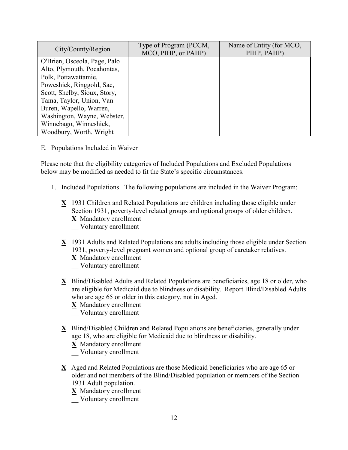| City/County/Region           | Type of Program (PCCM,<br>MCO, PIHP, or PAHP) | Name of Entity (for MCO,<br>PIHP, PAHP) |
|------------------------------|-----------------------------------------------|-----------------------------------------|
| O'Brien, Osceola, Page, Palo |                                               |                                         |
| Alto, Plymouth, Pocahontas,  |                                               |                                         |
| Polk, Pottawattamie,         |                                               |                                         |
| Poweshiek, Ringgold, Sac,    |                                               |                                         |
| Scott, Shelby, Sioux, Story, |                                               |                                         |
| Tama, Taylor, Union, Van     |                                               |                                         |
| Buren, Wapello, Warren,      |                                               |                                         |
| Washington, Wayne, Webster,  |                                               |                                         |
| Winnebago, Winneshiek,       |                                               |                                         |
| Woodbury, Worth, Wright      |                                               |                                         |

#### E. Populations Included in Waiver

Please note that the eligibility categories of Included Populations and Excluded Populations below may be modified as needed to fit the State's specific circumstances.

- 1. Included Populations. The following populations are included in the Waiver Program:
	- **X** 1931 Children and Related Populations are children including those eligible under Section 1931, poverty-level related groups and optional groups of older children. **X** Mandatory enrollment \_\_ Voluntary enrollment
	- **X** 1931 Adults and Related Populations are adults including those eligible under Section 1931, poverty-level pregnant women and optional group of caretaker relatives.
		- **X** Mandatory enrollment
		- \_\_ Voluntary enrollment
	- **X** Blind/Disabled Adults and Related Populations are beneficiaries, age 18 or older, who are eligible for Medicaid due to blindness or disability. Report Blind/Disabled Adults who are age 65 or older in this category, not in Aged.
		- **X** Mandatory enrollment
		- \_\_ Voluntary enrollment
	- **X** Blind/Disabled Children and Related Populations are beneficiaries, generally under age 18, who are eligible for Medicaid due to blindness or disability.
		- **X** Mandatory enrollment
		- \_\_ Voluntary enrollment
	- **X** Aged and Related Populations are those Medicaid beneficiaries who are age 65 or older and not members of the Blind/Disabled population or members of the Section 1931 Adult population.
		- **X** Mandatory enrollment
		- \_\_ Voluntary enrollment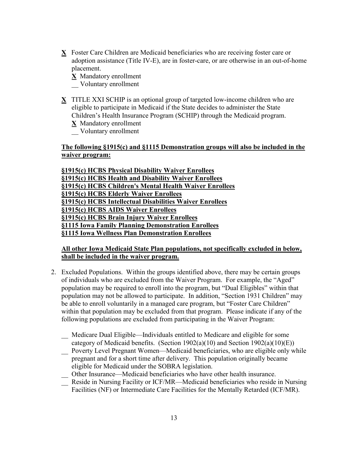**X** Foster Care Children are Medicaid beneficiaries who are receiving foster care or adoption assistance (Title IV-E), are in foster-care, or are otherwise in an out-of-home placement.

**X** Mandatory enrollment

\_\_ Voluntary enrollment

**X** TITLE XXI SCHIP is an optional group of targeted low-income children who are eligible to participate in Medicaid if the State decides to administer the State Children's Health Insurance Program (SCHIP) through the Medicaid program.

**X** Mandatory enrollment

\_\_ Voluntary enrollment

## **The following §1915(c) and §1115 Demonstration groups will also be included in the waiver program:**

**§1915(c) HCBS Physical Disability Waiver Enrollees §1915(c) HCBS Health and Disability Waiver Enrollees §1915(c) HCBS Children's Mental Health Waiver Enrollees §1915(c) HCBS Elderly Waiver Enrollees §1915(c) HCBS Intellectual Disabilities Waiver Enrollees §1915(c) HCBS AIDS Waiver Enrollees §1915(c) HCBS Brain Injury Waiver Enrollees §1115 Iowa Family Planning Demonstration Enrollees §1115 Iowa Wellness Plan Demonstration Enrollees**

## **All other Iowa Medicaid State Plan populations, not specifically excluded in below, shall be included in the waiver program.**

- 2. Excluded Populations. Within the groups identified above, there may be certain groups of individuals who are excluded from the Waiver Program. For example, the "Aged" population may be required to enroll into the program, but "Dual Eligibles" within that population may not be allowed to participate. In addition, "Section 1931 Children" may be able to enroll voluntarily in a managed care program, but "Foster Care Children" within that population may be excluded from that program. Please indicate if any of the following populations are excluded from participating in the Waiver Program:
	- \_\_ Medicare Dual Eligible—Individuals entitled to Medicare and eligible for some category of Medicaid benefits. (Section 1902(a)(10) and Section 1902(a)(10)(E))
	- \_\_ Poverty Level Pregnant Women—Medicaid beneficiaries, who are eligible only while pregnant and for a short time after delivery. This population originally became eligible for Medicaid under the SOBRA legislation.
	- \_\_ Other Insurance—Medicaid beneficiaries who have other health insurance.
	- \_\_ Reside in Nursing Facility or ICF/MR—Medicaid beneficiaries who reside in Nursing Facilities (NF) or Intermediate Care Facilities for the Mentally Retarded (ICF/MR).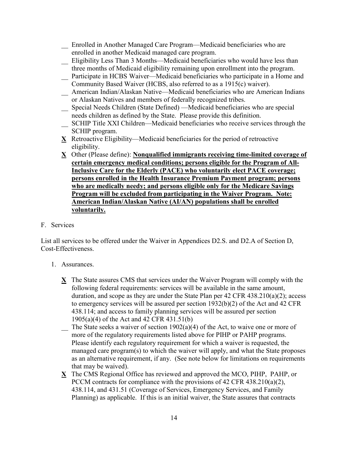\_\_ Enrolled in Another Managed Care Program—Medicaid beneficiaries who are enrolled in another Medicaid managed care program.

- \_\_ Eligibility Less Than 3 Months—Medicaid beneficiaries who would have less than three months of Medicaid eligibility remaining upon enrollment into the program.
- \_\_ Participate in HCBS Waiver—Medicaid beneficiaries who participate in a Home and Community Based Waiver (HCBS, also referred to as a 1915(c) waiver).
- \_\_ American Indian/Alaskan Native—Medicaid beneficiaries who are American Indians or Alaskan Natives and members of federally recognized tribes.
- \_\_ Special Needs Children (State Defined) —Medicaid beneficiaries who are special needs children as defined by the State. Please provide this definition.
- \_\_ SCHIP Title XXI Children—Medicaid beneficiaries who receive services through the SCHIP program.
- **X** Retroactive Eligibility—Medicaid beneficiaries for the period of retroactive eligibility.
- **X** Other (Please define): **Nonqualified immigrants receiving time-limited coverage of certain emergency medical conditions; persons eligible for the Program of All-Inclusive Care for the Elderly (PACE) who voluntarily elect PACE coverage; persons enrolled in the Health Insurance Premium Payment program; persons who are medically needy; and persons eligible only for the Medicare Savings Program will be excluded from participating in the Waiver Program. Note: American Indian/Alaskan Native (AI/AN) populations shall be enrolled voluntarily.**

## F. Services

List all services to be offered under the Waiver in Appendices D2.S. and D2.A of Section D, Cost-Effectiveness.

- 1. Assurances.
	- **X** The State assures CMS that services under the Waiver Program will comply with the following federal requirements: services will be available in the same amount, duration, and scope as they are under the State Plan per 42 CFR 438.210(a)(2); access to emergency services will be assured per section 1932(b)(2) of the Act and 42 CFR 438.114; and access to family planning services will be assured per section 1905(a)(4) of the Act and 42 CFR 431.51(b)
	- $\sum$  The State seeks a waiver of section 1902(a)(4) of the Act, to waive one or more of more of the regulatory requirements listed above for PIHP or PAHP programs. Please identify each regulatory requirement for which a waiver is requested, the managed care program(s) to which the waiver will apply, and what the State proposes as an alternative requirement, if any. (See note below for limitations on requirements that may be waived).
	- **X** The CMS Regional Office has reviewed and approved the MCO, PIHP, PAHP, or PCCM contracts for compliance with the provisions of 42 CFR 438.210(a)(2), 438.114, and 431.51 (Coverage of Services, Emergency Services, and Family Planning) as applicable. If this is an initial waiver, the State assures that contracts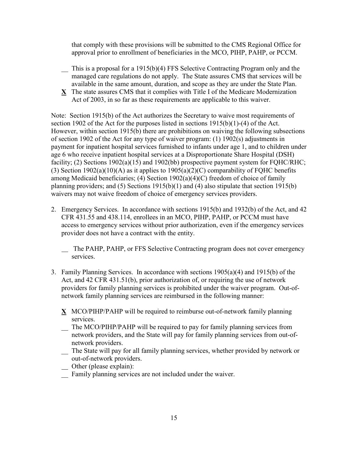that comply with these provisions will be submitted to the CMS Regional Office for approval prior to enrollment of beneficiaries in the MCO, PIHP, PAHP, or PCCM.

- \_\_ This is a proposal for a 1915(b)(4) FFS Selective Contracting Program only and the managed care regulations do not apply. The State assures CMS that services will be available in the same amount, duration, and scope as they are under the State Plan.
- **X** The state assures CMS that it complies with Title I of the Medicare Modernization Act of 2003, in so far as these requirements are applicable to this waiver.

Note: Section 1915(b) of the Act authorizes the Secretary to waive most requirements of section 1902 of the Act for the purposes listed in sections 1915(b)(1)-(4) of the Act. However, within section 1915(b) there are prohibitions on waiving the following subsections of section 1902 of the Act for any type of waiver program: (1) 1902(s) adjustments in payment for inpatient hospital services furnished to infants under age 1, and to children under age 6 who receive inpatient hospital services at a Disproportionate Share Hospital (DSH) facility; (2) Sections 1902(a)(15) and 1902(bb) prospective payment system for FQHC/RHC; (3) Section 1902(a)(10)(A) as it applies to 1905(a)(2)(C) comparability of FQHC benefits among Medicaid beneficiaries; (4) Section 1902(a)(4)(C) freedom of choice of family planning providers; and (5) Sections 1915(b)(1) and (4) also stipulate that section 1915(b) waivers may not waive freedom of choice of emergency services providers.

- 2. Emergency Services. In accordance with sections 1915(b) and 1932(b) of the Act, and 42 CFR 431.55 and 438.114, enrollees in an MCO, PIHP, PAHP, or PCCM must have access to emergency services without prior authorization, even if the emergency services provider does not have a contract with the entity.
	- The PAHP, PAHP, or FFS Selective Contracting program does not cover emergency services.
- 3. Family Planning Services. In accordance with sections 1905(a)(4) and 1915(b) of the Act, and 42 CFR 431.51(b), prior authorization of, or requiring the use of network providers for family planning services is prohibited under the waiver program. Out-ofnetwork family planning services are reimbursed in the following manner:
	- **X** MCO/PIHP/PAHP will be required to reimburse out-of-network family planning services.
	- \_\_ The MCO/PIHP/PAHP will be required to pay for family planning services from network providers, and the State will pay for family planning services from out-ofnetwork providers.
	- \_\_ The State will pay for all family planning services, whether provided by network or out-of-network providers.
	- Other (please explain):
	- \_\_ Family planning services are not included under the waiver.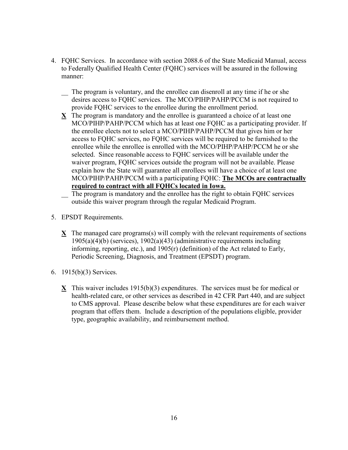- 4. FQHC Services. In accordance with section 2088.6 of the State Medicaid Manual, access to Federally Qualified Health Center (FQHC) services will be assured in the following manner:
	- The program is voluntary, and the enrollee can disenroll at any time if he or she desires access to FQHC services. The MCO/PIHP/PAHP/PCCM is not required to provide FQHC services to the enrollee during the enrollment period.
	- **X** The program is mandatory and the enrollee is guaranteed a choice of at least one MCO/PIHP/PAHP/PCCM which has at least one FQHC as a participating provider. If the enrollee elects not to select a MCO/PIHP/PAHP/PCCM that gives him or her access to FQHC services, no FQHC services will be required to be furnished to the enrollee while the enrollee is enrolled with the MCO/PIHP/PAHP/PCCM he or she selected. Since reasonable access to FQHC services will be available under the waiver program, FQHC services outside the program will not be available. Please explain how the State will guarantee all enrollees will have a choice of at least one MCO/PIHP/PAHP/PCCM with a participating FQHC: **The MCOs are contractually required to contract with all FQHCs located in Iowa.**
	- The program is mandatory and the enrollee has the right to obtain FQHC services outside this waiver program through the regular Medicaid Program.
- 5. EPSDT Requirements.
	- **X** The managed care programs(s) will comply with the relevant requirements of sections 1905(a)(4)(b) (services), 1902(a)(43) (administrative requirements including informing, reporting, etc.), and 1905(r) (definition) of the Act related to Early, Periodic Screening, Diagnosis, and Treatment (EPSDT) program.
- 6. 1915(b)(3) Services.
	- **X** This waiver includes 1915(b)(3) expenditures. The services must be for medical or health-related care, or other services as described in 42 CFR Part 440, and are subject to CMS approval. Please describe below what these expenditures are for each waiver program that offers them. Include a description of the populations eligible, provider type, geographic availability, and reimbursement method.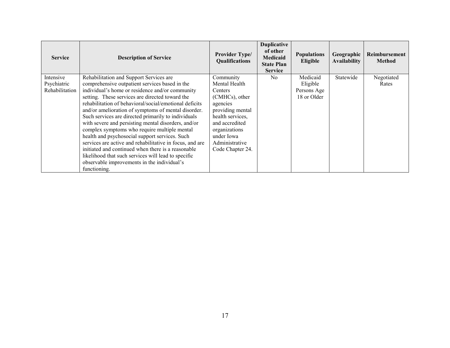| <b>Service</b> | <b>Description of Service</b>                            | <b>Provider Type/</b><br>Qualifications | <b>Duplicative</b><br>of other<br>Medicaid<br><b>State Plan</b><br><b>Service</b> | <b>Populations</b><br>Eligible | Geographic<br><b>Availability</b> | Reimbursement<br><b>Method</b> |
|----------------|----------------------------------------------------------|-----------------------------------------|-----------------------------------------------------------------------------------|--------------------------------|-----------------------------------|--------------------------------|
| Intensive      | Rehabilitation and Support Services are                  | Community                               | N <sub>0</sub>                                                                    | Medicaid                       | Statewide                         | Negotiated                     |
| Psychiatric    | comprehensive outpatient services based in the           | Mental Health                           |                                                                                   | Eligible                       |                                   | Rates                          |
| Rehabilitation | individual's home or residence and/or community          | Centers                                 |                                                                                   | Persons Age                    |                                   |                                |
|                | setting. These services are directed toward the          | (CMHCs), other                          |                                                                                   | 18 or Older                    |                                   |                                |
|                | rehabilitation of behavioral/social/emotional deficits   | agencies                                |                                                                                   |                                |                                   |                                |
|                | and/or amelioration of symptoms of mental disorder.      | providing mental                        |                                                                                   |                                |                                   |                                |
|                | Such services are directed primarily to individuals      | health services,                        |                                                                                   |                                |                                   |                                |
|                | with severe and persisting mental disorders, and/or      | and accredited                          |                                                                                   |                                |                                   |                                |
|                | complex symptoms who require multiple mental             | organizations                           |                                                                                   |                                |                                   |                                |
|                | health and psychosocial support services. Such           | under Iowa                              |                                                                                   |                                |                                   |                                |
|                | services are active and rehabilitative in focus, and are | Administrative                          |                                                                                   |                                |                                   |                                |
|                | initiated and continued when there is a reasonable       | Code Chapter 24.                        |                                                                                   |                                |                                   |                                |
|                | likelihood that such services will lead to specific      |                                         |                                                                                   |                                |                                   |                                |
|                | observable improvements in the individual's              |                                         |                                                                                   |                                |                                   |                                |
|                | functioning.                                             |                                         |                                                                                   |                                |                                   |                                |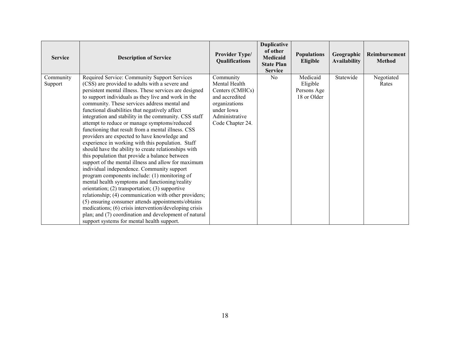| <b>Service</b>       | <b>Description of Service</b>                                                                                                                                                                                                                                                                                                                                                                                                                                                                                                                                                                                                                                                                                                                                                                                                                                                                           | <b>Provider Type/</b><br>Qualifications                                                                                              | <b>Duplicative</b><br>of other<br>Medicaid<br><b>State Plan</b><br><b>Service</b> | <b>Populations</b><br>Eligible                     | Geographic<br><b>Availability</b> | Reimbursement<br><b>Method</b> |
|----------------------|---------------------------------------------------------------------------------------------------------------------------------------------------------------------------------------------------------------------------------------------------------------------------------------------------------------------------------------------------------------------------------------------------------------------------------------------------------------------------------------------------------------------------------------------------------------------------------------------------------------------------------------------------------------------------------------------------------------------------------------------------------------------------------------------------------------------------------------------------------------------------------------------------------|--------------------------------------------------------------------------------------------------------------------------------------|-----------------------------------------------------------------------------------|----------------------------------------------------|-----------------------------------|--------------------------------|
| Community<br>Support | Required Service: Community Support Services<br>(CSS) are provided to adults with a severe and<br>persistent mental illness. These services are designed<br>to support individuals as they live and work in the<br>community. These services address mental and<br>functional disabilities that negatively affect<br>integration and stability in the community. CSS staff<br>attempt to reduce or manage symptoms/reduced<br>functioning that result from a mental illness. CSS<br>providers are expected to have knowledge and<br>experience in working with this population. Staff<br>should have the ability to create relationships with<br>this population that provide a balance between<br>support of the mental illness and allow for maximum<br>individual independence. Community support<br>program components include: (1) monitoring of<br>mental health symptoms and functioning/reality | Community<br>Mental Health<br>Centers (CMHCs)<br>and accredited<br>organizations<br>under Iowa<br>Administrative<br>Code Chapter 24. | N <sub>0</sub>                                                                    | Medicaid<br>Eligible<br>Persons Age<br>18 or Older | Statewide                         | Negotiated<br>Rates            |
|                      | orientation; $(2)$ transportation; $(3)$ supportive<br>relationship; (4) communication with other providers;<br>(5) ensuring consumer attends appointments/obtains<br>medications; (6) crisis intervention/developing crisis<br>plan; and (7) coordination and development of natural<br>support systems for mental health support.                                                                                                                                                                                                                                                                                                                                                                                                                                                                                                                                                                     |                                                                                                                                      |                                                                                   |                                                    |                                   |                                |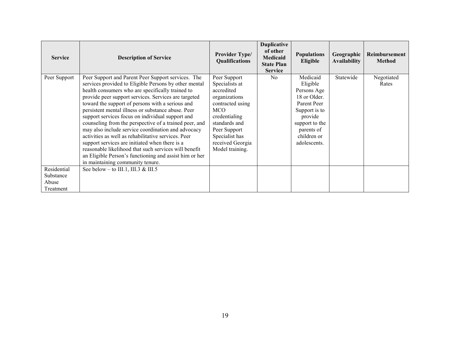| <b>Service</b>                                 | <b>Description of Service</b>                                                                                                                                                                                                                                                                                                                                                                                                                                                                                                                                                                                                                                                                                                                                         | <b>Provider Type/</b><br>Qualifications                                                                                                                                                                    | <b>Duplicative</b><br>of other<br>Medicaid<br><b>State Plan</b><br><b>Service</b> | <b>Populations</b><br>Eligible                                                                                                                                | Geographic<br><b>Availability</b> | Reimbursement<br><b>Method</b> |
|------------------------------------------------|-----------------------------------------------------------------------------------------------------------------------------------------------------------------------------------------------------------------------------------------------------------------------------------------------------------------------------------------------------------------------------------------------------------------------------------------------------------------------------------------------------------------------------------------------------------------------------------------------------------------------------------------------------------------------------------------------------------------------------------------------------------------------|------------------------------------------------------------------------------------------------------------------------------------------------------------------------------------------------------------|-----------------------------------------------------------------------------------|---------------------------------------------------------------------------------------------------------------------------------------------------------------|-----------------------------------|--------------------------------|
| Peer Support                                   | Peer Support and Parent Peer Support services. The<br>services provided to Eligible Persons by other mental<br>health consumers who are specifically trained to<br>provide peer support services. Services are targeted<br>toward the support of persons with a serious and<br>persistent mental illness or substance abuse. Peer<br>support services focus on individual support and<br>counseling from the perspective of a trained peer, and<br>may also include service coordination and advocacy<br>activities as well as rehabilitative services. Peer<br>support services are initiated when there is a<br>reasonable likelihood that such services will benefit<br>an Eligible Person's functioning and assist him or her<br>in maintaining community tenure. | Peer Support<br>Specialists at<br>accredited<br>organizations<br>contracted using<br><b>MCO</b><br>credentialing<br>standards and<br>Peer Support<br>Specialist has<br>received Georgia<br>Model training. | N <sub>0</sub>                                                                    | Medicaid<br>Eligible<br>Persons Age<br>18 or Older.<br>Parent Peer<br>Support is to<br>provide<br>support to the<br>parents of<br>children or<br>adolescents. | Statewide                         | Negotiated<br>Rates            |
| Residential<br>Substance<br>Abuse<br>Treatment | See below – to III.1, III.3 & III.5                                                                                                                                                                                                                                                                                                                                                                                                                                                                                                                                                                                                                                                                                                                                   |                                                                                                                                                                                                            |                                                                                   |                                                                                                                                                               |                                   |                                |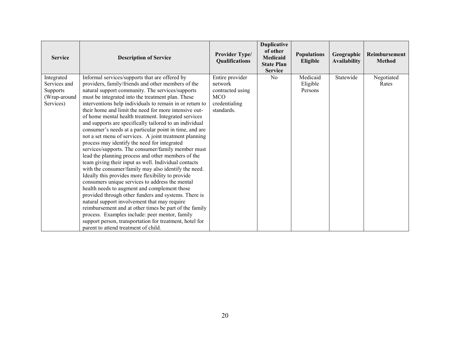| <b>Service</b>             | <b>Description of Service</b>                                                                            | Provider Type/<br>Qualifications | <b>Duplicative</b><br>of other<br><b>Medicaid</b><br><b>State Plan</b><br><b>Service</b> | <b>Populations</b><br>Eligible | Geographic<br><b>Availability</b> | Reimbursement<br><b>Method</b> |
|----------------------------|----------------------------------------------------------------------------------------------------------|----------------------------------|------------------------------------------------------------------------------------------|--------------------------------|-----------------------------------|--------------------------------|
| Integrated<br>Services and | Informal services/supports that are offered by<br>providers, family/friends and other members of the     | Entire provider<br>network       | N <sub>0</sub>                                                                           | Medicaid<br>Eligible           | Statewide                         | Negotiated<br>Rates            |
| Supports                   | natural support community. The services/supports                                                         | contracted using                 |                                                                                          | Persons                        |                                   |                                |
| (Wrap-around               | must be integrated into the treatment plan. These                                                        | <b>MCO</b>                       |                                                                                          |                                |                                   |                                |
| Services)                  | interventions help individuals to remain in or return to                                                 | credentialing                    |                                                                                          |                                |                                   |                                |
|                            | their home and limit the need for more intensive out-                                                    | standards.                       |                                                                                          |                                |                                   |                                |
|                            | of home mental health treatment. Integrated services                                                     |                                  |                                                                                          |                                |                                   |                                |
|                            | and supports are specifically tailored to an individual                                                  |                                  |                                                                                          |                                |                                   |                                |
|                            | consumer's needs at a particular point in time, and are                                                  |                                  |                                                                                          |                                |                                   |                                |
|                            | not a set menu of services. A joint treatment planning                                                   |                                  |                                                                                          |                                |                                   |                                |
|                            | process may identify the need for integrated                                                             |                                  |                                                                                          |                                |                                   |                                |
|                            | services/supports. The consumer/family member must<br>lead the planning process and other members of the |                                  |                                                                                          |                                |                                   |                                |
|                            | team giving their input as well. Individual contacts                                                     |                                  |                                                                                          |                                |                                   |                                |
|                            | with the consumer/family may also identify the need.                                                     |                                  |                                                                                          |                                |                                   |                                |
|                            | Ideally this provides more flexibility to provide                                                        |                                  |                                                                                          |                                |                                   |                                |
|                            | consumers unique services to address the mental                                                          |                                  |                                                                                          |                                |                                   |                                |
|                            | health needs to augment and complement those                                                             |                                  |                                                                                          |                                |                                   |                                |
|                            | provided through other funders and systems. There is                                                     |                                  |                                                                                          |                                |                                   |                                |
|                            | natural support involvement that may require                                                             |                                  |                                                                                          |                                |                                   |                                |
|                            | reimbursement and at other times be part of the family                                                   |                                  |                                                                                          |                                |                                   |                                |
|                            | process. Examples include: peer mentor, family                                                           |                                  |                                                                                          |                                |                                   |                                |
|                            | support person, transportation for treatment, hotel for                                                  |                                  |                                                                                          |                                |                                   |                                |
|                            | parent to attend treatment of child.                                                                     |                                  |                                                                                          |                                |                                   |                                |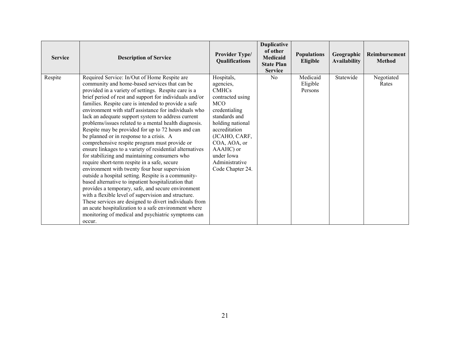| <b>Service</b> | <b>Description of Service</b>                                                                                                                                                                                                                                                                                                                                                                                                                                                                                                                                                                                                                                                                                                                                                                                                                                                                                                                                                                                                                                                                                                                                                                                                  | <b>Provider Type/</b><br>Qualifications                                                                                                                                                                                                            | <b>Duplicative</b><br>of other<br><b>Medicaid</b><br><b>State Plan</b><br><b>Service</b> | <b>Populations</b><br>Eligible  | Geographic<br><b>Availability</b> | Reimbursement<br><b>Method</b> |
|----------------|--------------------------------------------------------------------------------------------------------------------------------------------------------------------------------------------------------------------------------------------------------------------------------------------------------------------------------------------------------------------------------------------------------------------------------------------------------------------------------------------------------------------------------------------------------------------------------------------------------------------------------------------------------------------------------------------------------------------------------------------------------------------------------------------------------------------------------------------------------------------------------------------------------------------------------------------------------------------------------------------------------------------------------------------------------------------------------------------------------------------------------------------------------------------------------------------------------------------------------|----------------------------------------------------------------------------------------------------------------------------------------------------------------------------------------------------------------------------------------------------|------------------------------------------------------------------------------------------|---------------------------------|-----------------------------------|--------------------------------|
| Respite        | Required Service: In/Out of Home Respite are<br>community and home-based services that can be<br>provided in a variety of settings. Respite care is a<br>brief period of rest and support for individuals and/or<br>families. Respite care is intended to provide a safe<br>environment with staff assistance for individuals who<br>lack an adequate support system to address current<br>problems/issues related to a mental health diagnosis.<br>Respite may be provided for up to 72 hours and can<br>be planned or in response to a crisis. A<br>comprehensive respite program must provide or<br>ensure linkages to a variety of residential alternatives<br>for stabilizing and maintaining consumers who<br>require short-term respite in a safe, secure<br>environment with twenty four hour supervision<br>outside a hospital setting. Respite is a community-<br>based alternative to inpatient hospitalization that<br>provides a temporary, safe, and secure environment<br>with a flexible level of supervision and structure.<br>These services are designed to divert individuals from<br>an acute hospitalization to a safe environment where<br>monitoring of medical and psychiatric symptoms can<br>occur. | Hospitals,<br>agencies,<br><b>CMHCs</b><br>contracted using<br><b>MCO</b><br>credentialing<br>standards and<br>holding national<br>accreditation<br>(JCAHO, CARF,<br>COA, AOA, or<br>AAAHC) or<br>under Iowa<br>Administrative<br>Code Chapter 24. | N <sub>0</sub>                                                                           | Medicaid<br>Eligible<br>Persons | Statewide                         | Negotiated<br>Rates            |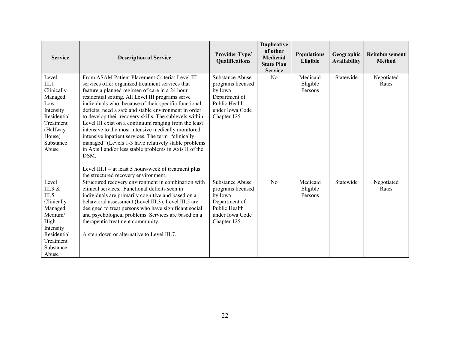| <b>Service</b>                                                                                                                         | <b>Description of Service</b>                                                                                                                                                                                                                                                                                                                                                                                                                                                                                                                                                                                                                                                                                                                       | <b>Provider Type/</b><br>Qualifications                                                                                     | <b>Duplicative</b><br>of other<br><b>Medicaid</b><br><b>State Plan</b><br><b>Service</b> | <b>Populations</b><br>Eligible  | Geographic<br><b>Availability</b> | Reimbursement<br><b>Method</b> |
|----------------------------------------------------------------------------------------------------------------------------------------|-----------------------------------------------------------------------------------------------------------------------------------------------------------------------------------------------------------------------------------------------------------------------------------------------------------------------------------------------------------------------------------------------------------------------------------------------------------------------------------------------------------------------------------------------------------------------------------------------------------------------------------------------------------------------------------------------------------------------------------------------------|-----------------------------------------------------------------------------------------------------------------------------|------------------------------------------------------------------------------------------|---------------------------------|-----------------------------------|--------------------------------|
| Level<br>III.1.<br>Clinically<br>Managed<br>Low<br>Intensity<br>Residential<br>Treatment<br>(Halfway<br>House)<br>Substance<br>Abuse   | From ASAM Patient Placement Criteria: Level III<br>services offer organized treatment services that<br>feature a planned regimen of care in a 24 hour<br>residential setting. All Level III programs serve<br>individuals who, because of their specific functional<br>deficits, need a safe and stable environment in order<br>to develop their recovery skills. The sublevels within<br>Level III exist on a continuum ranging from the least<br>intensive to the most intensive medically monitored<br>intensive inpatient services. The term "clinically<br>managed" (Levels 1-3 have relatively stable problems<br>in Axis I and/or less stable problems in Axis II of the<br>DSM.<br>Level III. $1 - at$ least 5 hours/week of treatment plus | Substance Abuse<br>programs licensed<br>by Iowa<br>Department of<br>Public Health<br>under Iowa Code<br>Chapter 125.        | No                                                                                       | Medicaid<br>Eligible<br>Persons | Statewide                         | Negotiated<br>Rates            |
|                                                                                                                                        | the structured recovery environment.                                                                                                                                                                                                                                                                                                                                                                                                                                                                                                                                                                                                                                                                                                                |                                                                                                                             |                                                                                          |                                 |                                   |                                |
| Level<br>III.3 $&$<br>III.5<br>Clinically<br>Managed<br>Medium/<br>High<br>Intensity<br>Residential<br>Treatment<br>Substance<br>Abuse | Structured recovery environment in combination with<br>clinical services. Functional deficits seen in<br>individuals are primarily cognitive and based on a<br>behavioral assessment (Level III.3). Level III.5 are<br>designed to treat persons who have significant social<br>and psychological problems. Services are based on a<br>therapeutic treatment community.<br>A step-down or alternative to Level III.7.                                                                                                                                                                                                                                                                                                                               | <b>Substance Abuse</b><br>programs licensed<br>by Iowa<br>Department of<br>Public Health<br>under Iowa Code<br>Chapter 125. | No                                                                                       | Medicaid<br>Eligible<br>Persons | Statewide                         | Negotiated<br>Rates            |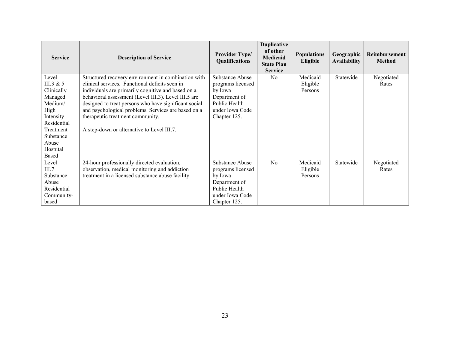| <b>Service</b>                                                                                                                                              | <b>Description of Service</b>                                                                                                                                                                                                                                                                                                                                                                                         | Provider Type/<br>Qualifications                                                                                     | <b>Duplicative</b><br>of other<br><b>Medicaid</b><br><b>State Plan</b><br><b>Service</b> | <b>Populations</b><br>Eligible  | Geographic<br><b>Availability</b> | Reimbursement<br><b>Method</b> |
|-------------------------------------------------------------------------------------------------------------------------------------------------------------|-----------------------------------------------------------------------------------------------------------------------------------------------------------------------------------------------------------------------------------------------------------------------------------------------------------------------------------------------------------------------------------------------------------------------|----------------------------------------------------------------------------------------------------------------------|------------------------------------------------------------------------------------------|---------------------------------|-----------------------------------|--------------------------------|
| Level<br>III.3 & $5$<br>Clinically<br>Managed<br>Medium/<br>High<br>Intensity<br>Residential<br>Treatment<br>Substance<br>Abuse<br>Hospital<br><b>Based</b> | Structured recovery environment in combination with<br>clinical services. Functional deficits seen in<br>individuals are primarily cognitive and based on a<br>behavioral assessment (Level III.3). Level III.5 are<br>designed to treat persons who have significant social<br>and psychological problems. Services are based on a<br>therapeutic treatment community.<br>A step-down or alternative to Level III.7. | Substance Abuse<br>programs licensed<br>by Iowa<br>Department of<br>Public Health<br>under Iowa Code<br>Chapter 125. | N <sub>0</sub>                                                                           | Medicaid<br>Eligible<br>Persons | Statewide                         | Negotiated<br>Rates            |
| Level<br>III.7<br>Substance<br>Abuse<br>Residential<br>Community-<br>based                                                                                  | 24-hour professionally directed evaluation,<br>observation, medical monitoring and addiction<br>treatment in a licensed substance abuse facility                                                                                                                                                                                                                                                                      | Substance Abuse<br>programs licensed<br>by Iowa<br>Department of<br>Public Health<br>under Iowa Code<br>Chapter 125. | N <sub>0</sub>                                                                           | Medicaid<br>Eligible<br>Persons | Statewide                         | Negotiated<br>Rates            |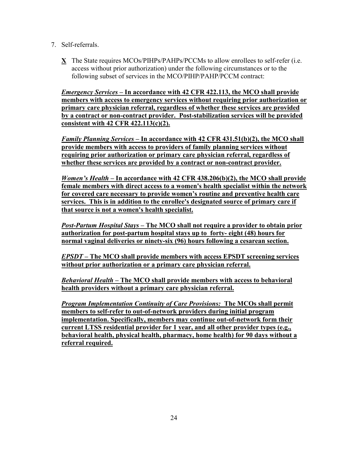- 7. Self-referrals.
	- **X** The State requires MCOs/PIHPs/PAHPs/PCCMs to allow enrollees to self-refer (i.e. access without prior authorization) under the following circumstances or to the following subset of services in the MCO/PIHP/PAHP/PCCM contract:

*Emergency Services –* **In accordance with 42 CFR 422.113, the MCO shall provide members with access to emergency services without requiring prior authorization or primary care physician referral, regardless of whether these services are provided by a contract or non-contract provider. Post-stabilization services will be provided consistent with 42 CFR 422.113(c)(2).** 

*Family Planning Services –* **In accordance with 42 CFR 431.51(b)(2), the MCO shall provide members with access to providers of family planning services without requiring prior authorization or primary care physician referral, regardless of whether these services are provided by a contract or non-contract provider.** 

*Women's Health* **– In accordance with 42 CFR 438.206(b)(2), the MCO shall provide female members with direct access to a women's health specialist within the network for covered care necessary to provide women's routine and preventive health care services. This is in addition to the enrollee's designated source of primary care if that source is not a women's health specialist.**

*Post-Partum Hospital Stays –* **The MCO shall not require a provider to obtain prior authorization for post-partum hospital stays up to forty- eight (48) hours for normal vaginal deliveries or ninety-six (96) hours following a cesarean section.**

*EPSDT –* **The MCO shall provide members with access EPSDT screening services without prior authorization or a primary care physician referral.** 

*Behavioral Health –* **The MCO shall provide members with access to behavioral health providers without a primary care physician referral.** 

*Program Implementation Continuity of Care Provisions:* **The MCOs shall permit members to self-refer to out-of-network providers during initial program implementation. Specifically, members may continue out-of-network form their current LTSS residential provider for 1 year, and all other provider types (e.g., behavioral health, physical health, pharmacy, home health) for 90 days without a referral required.**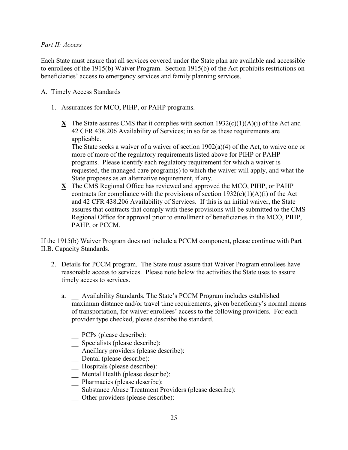## *Part II: Access*

Each State must ensure that all services covered under the State plan are available and accessible to enrollees of the 1915(b) Waiver Program. Section 1915(b) of the Act prohibits restrictions on beneficiaries' access to emergency services and family planning services.

## A. Timely Access Standards

- 1. Assurances for MCO, PIHP, or PAHP programs.
	- **X** The State assures CMS that it complies with section  $1932(c)(1)(A)(i)$  of the Act and 42 CFR 438.206 Availability of Services; in so far as these requirements are applicable.
	- $\sum$  The State seeks a waiver of a waiver of section 1902(a)(4) of the Act, to waive one or more of more of the regulatory requirements listed above for PIHP or PAHP programs. Please identify each regulatory requirement for which a waiver is requested, the managed care program(s) to which the waiver will apply, and what the State proposes as an alternative requirement, if any.
	- **X** The CMS Regional Office has reviewed and approved the MCO, PIHP, or PAHP contracts for compliance with the provisions of section  $1932(c)(1)(A)(i)$  of the Act and 42 CFR 438.206 Availability of Services. If this is an initial waiver, the State assures that contracts that comply with these provisions will be submitted to the CMS Regional Office for approval prior to enrollment of beneficiaries in the MCO, PIHP, PAHP, or PCCM.

If the 1915(b) Waiver Program does not include a PCCM component, please continue with Part II.B. Capacity Standards.

- 2. Details for PCCM program. The State must assure that Waiver Program enrollees have reasonable access to services. Please note below the activities the State uses to assure timely access to services.
	- a. \_\_ Availability Standards. The State's PCCM Program includes established maximum distance and/or travel time requirements, given beneficiary's normal means of transportation, for waiver enrollees' access to the following providers. For each provider type checked, please describe the standard.
		- \_\_ PCPs (please describe):
		- \_\_ Specialists (please describe):
		- \_\_ Ancillary providers (please describe):
		- \_\_ Dental (please describe):
		- \_\_ Hospitals (please describe):
		- \_\_ Mental Health (please describe):
		- \_\_ Pharmacies (please describe):
		- \_\_ Substance Abuse Treatment Providers (please describe):
		- Other providers (please describe):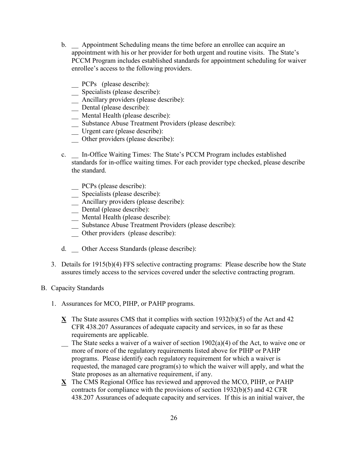- b. \_\_ Appointment Scheduling means the time before an enrollee can acquire an appointment with his or her provider for both urgent and routine visits. The State's PCCM Program includes established standards for appointment scheduling for waiver enrollee's access to the following providers.
	- \_\_ PCPs (please describe):
	- \_\_ Specialists (please describe):
	- \_\_ Ancillary providers (please describe):
	- \_\_ Dental (please describe):
	- \_\_ Mental Health (please describe):
	- \_\_ Substance Abuse Treatment Providers (please describe):
	- \_\_ Urgent care (please describe):
	- \_\_ Other providers (please describe):
- c. \_\_ In-Office Waiting Times: The State's PCCM Program includes established standards for in-office waiting times. For each provider type checked, please describe the standard.
	- \_\_ PCPs (please describe):
	- \_\_ Specialists (please describe):
	- \_\_ Ancillary providers (please describe):
	- \_\_ Dental (please describe):
	- \_\_ Mental Health (please describe):
	- \_\_ Substance Abuse Treatment Providers (please describe):
	- \_\_ Other providers (please describe):
- d. \_\_ Other Access Standards (please describe):
- 3. Details for 1915(b)(4) FFS selective contracting programs: Please describe how the State assures timely access to the services covered under the selective contracting program.
- B. Capacity Standards
	- 1. Assurances for MCO, PIHP, or PAHP programs.
		- **X** The State assures CMS that it complies with section 1932(b)(5) of the Act and 42 CFR 438.207 Assurances of adequate capacity and services, in so far as these requirements are applicable.
		- $\sum$  The State seeks a waiver of a waiver of section 1902(a)(4) of the Act, to waive one or more of more of the regulatory requirements listed above for PIHP or PAHP programs. Please identify each regulatory requirement for which a waiver is requested, the managed care program(s) to which the waiver will apply, and what the State proposes as an alternative requirement, if any.
		- **X** The CMS Regional Office has reviewed and approved the MCO, PIHP, or PAHP contracts for compliance with the provisions of section 1932(b)(5) and 42 CFR 438.207 Assurances of adequate capacity and services. If this is an initial waiver, the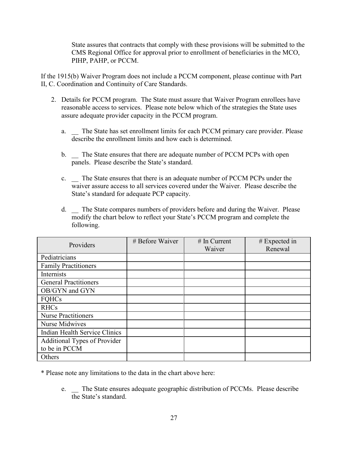State assures that contracts that comply with these provisions will be submitted to the CMS Regional Office for approval prior to enrollment of beneficiaries in the MCO, PIHP, PAHP, or PCCM.

If the 1915(b) Waiver Program does not include a PCCM component, please continue with Part II, C. Coordination and Continuity of Care Standards.

- 2. Details for PCCM program. The State must assure that Waiver Program enrollees have reasonable access to services. Please note below which of the strategies the State uses assure adequate provider capacity in the PCCM program.
	- a. The State has set enrollment limits for each PCCM primary care provider. Please describe the enrollment limits and how each is determined.
	- b. The State ensures that there are adequate number of PCCM PCPs with open panels. Please describe the State's standard.
	- c. \_\_ The State ensures that there is an adequate number of PCCM PCPs under the waiver assure access to all services covered under the Waiver. Please describe the State's standard for adequate PCP capacity.
	- d. \_\_ The State compares numbers of providers before and during the Waiver. Please modify the chart below to reflect your State's PCCM program and complete the following.

| Providers                            | # Before Waiver | $#$ In Current | # Expected in |
|--------------------------------------|-----------------|----------------|---------------|
|                                      |                 | Waiver         | Renewal       |
| Pediatricians                        |                 |                |               |
| <b>Family Practitioners</b>          |                 |                |               |
| Internists                           |                 |                |               |
| <b>General Practitioners</b>         |                 |                |               |
| OB/GYN and GYN                       |                 |                |               |
| <b>FQHCs</b>                         |                 |                |               |
| <b>RHCs</b>                          |                 |                |               |
| <b>Nurse Practitioners</b>           |                 |                |               |
| Nurse Midwives                       |                 |                |               |
| <b>Indian Health Service Clinics</b> |                 |                |               |
| Additional Types of Provider         |                 |                |               |
| to be in PCCM                        |                 |                |               |
| Others                               |                 |                |               |

\* Please note any limitations to the data in the chart above here:

e. \_\_ The State ensures adequate geographic distribution of PCCMs. Please describe the State's standard.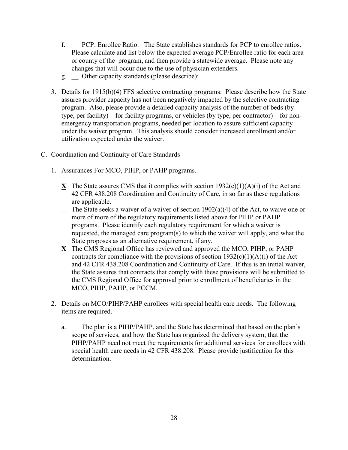- f. \_\_ PCP: Enrollee Ratio. The State establishes standards for PCP to enrollee ratios. Please calculate and list below the expected average PCP/Enrollee ratio for each area or county of the program, and then provide a statewide average. Please note any changes that will occur due to the use of physician extenders.
- g. \_\_ Other capacity standards (please describe):
- 3. Details for 1915(b)(4) FFS selective contracting programs: Please describe how the State assures provider capacity has not been negatively impacted by the selective contracting program. Also, please provide a detailed capacity analysis of the number of beds (by type, per facility) – for facility programs, or vehicles (by type, per contractor) – for nonemergency transportation programs, needed per location to assure sufficient capacity under the waiver program. This analysis should consider increased enrollment and/or utilization expected under the waiver.
- C. Coordination and Continuity of Care Standards
	- 1. Assurances For MCO, PIHP, or PAHP programs.
		- **X** The State assures CMS that it complies with section  $1932(c)(1)(A)(i)$  of the Act and 42 CFR 438.208 Coordination and Continuity of Care, in so far as these regulations are applicable.
		- $\Box$  The State seeks a waiver of a waiver of section 1902(a)(4) of the Act, to waive one or more of more of the regulatory requirements listed above for PIHP or PAHP programs. Please identify each regulatory requirement for which a waiver is requested, the managed care program(s) to which the waiver will apply, and what the State proposes as an alternative requirement, if any.
		- **X** The CMS Regional Office has reviewed and approved the MCO, PIHP, or PAHP contracts for compliance with the provisions of section  $1932(c)(1)(A)(i)$  of the Act and 42 CFR 438.208 Coordination and Continuity of Care. If this is an initial waiver, the State assures that contracts that comply with these provisions will be submitted to the CMS Regional Office for approval prior to enrollment of beneficiaries in the MCO, PIHP, PAHP, or PCCM.
	- 2. Details on MCO/PIHP/PAHP enrollees with special health care needs. The following items are required.
		- a. The plan is a PIHP/PAHP, and the State has determined that based on the plan's scope of services, and how the State has organized the delivery system, that the PIHP/PAHP need not meet the requirements for additional services for enrollees with special health care needs in 42 CFR 438.208. Please provide justification for this determination.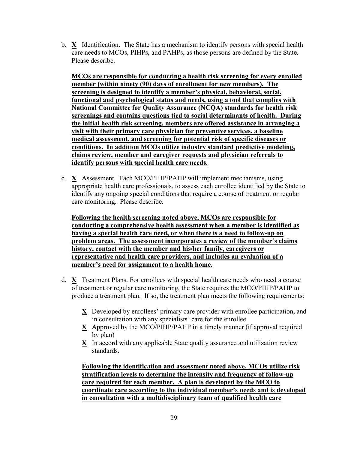b. **X** Identification. The State has a mechanism to identify persons with special health care needs to MCOs, PIHPs, and PAHPs, as those persons are defined by the State. Please describe.

**MCOs are responsible for conducting a health risk screening for every enrolled member (within ninety (90) days of enrollment for new members). The screening is designed to identify a member's physical, behavioral, social, functional and psychological status and needs, using a tool that complies with National Committee for Quality Assurance (NCQA) standards for health risk screenings and contains questions tied to social determinants of health. During the initial health risk screening, members are offered assistance in arranging a visit with their primary care physician for preventive services, a baseline medical assessment, and screening for potential risk of specific diseases or conditions. In addition MCOs utilize industry standard predictive modeling, claims review, member and caregiver requests and physician referrals to identify persons with special health care needs.**

c. **X** Assessment. Each MCO/PIHP/PAHP will implement mechanisms, using appropriate health care professionals, to assess each enrollee identified by the State to identify any ongoing special conditions that require a course of treatment or regular care monitoring. Please describe.

**Following the health screening noted above, MCOs are responsible for conducting a comprehensive health assessment when a member is identified as having a special health care need, or when there is a need to follow-up on problem areas. The assessment incorporates a review of the member's claims history, contact with the member and his/her family, caregivers or representative and health care providers, and includes an evaluation of a member's need for assignment to a health home.**

- d. **X** Treatment Plans. For enrollees with special health care needs who need a course of treatment or regular care monitoring, the State requires the MCO/PIHP/PAHP to produce a treatment plan. If so, the treatment plan meets the following requirements:
	- **X** Developed by enrollees' primary care provider with enrollee participation, and in consultation with any specialists' care for the enrollee
	- **X** Approved by the MCO/PIHP/PAHP in a timely manner (if approval required by plan)
	- **X** In accord with any applicable State quality assurance and utilization review standards.

**Following the identification and assessment noted above, MCOs utilize risk stratification levels to determine the intensity and frequency of follow-up care required for each member. A plan is developed by the MCO to coordinate care according to the individual member's needs and is developed in consultation with a multidisciplinary team of qualified health care**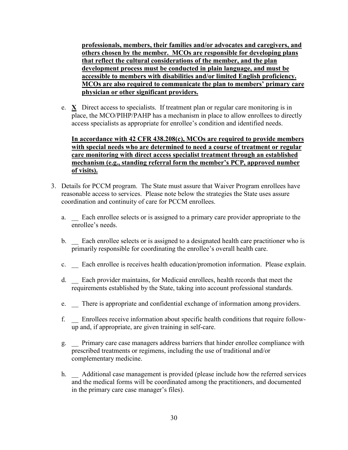**professionals, members, their families and/or advocates and caregivers, and others chosen by the member. MCOs are responsible for developing plans that reflect the cultural considerations of the member, and the plan development process must be conducted in plain language, and must be accessible to members with disabilities and/or limited English proficiency. MCOs are also required to communicate the plan to members' primary care physician or other significant providers.** 

e. **X** Direct access to specialists. If treatment plan or regular care monitoring is in place, the MCO/PIHP/PAHP has a mechanism in place to allow enrollees to directly access specialists as appropriate for enrollee's condition and identified needs.

**In accordance with 42 CFR 438.208(c), MCOs are required to provide members with special needs who are determined to need a course of treatment or regular care monitoring with direct access specialist treatment through an established mechanism (e.g., standing referral form the member's PCP, approved number of visits).** 

- 3. Details for PCCM program. The State must assure that Waiver Program enrollees have reasonable access to services. Please note below the strategies the State uses assure coordination and continuity of care for PCCM enrollees.
	- a. \_\_ Each enrollee selects or is assigned to a primary care provider appropriate to the enrollee's needs.
	- b. Each enrollee selects or is assigned to a designated health care practitioner who is primarily responsible for coordinating the enrollee's overall health care.
	- c. \_\_ Each enrollee is receives health education/promotion information. Please explain.
	- d. \_\_ Each provider maintains, for Medicaid enrollees, health records that meet the requirements established by the State, taking into account professional standards.
	- e. There is appropriate and confidential exchange of information among providers.
	- f. \_\_ Enrollees receive information about specific health conditions that require followup and, if appropriate, are given training in self-care.
	- g. \_\_ Primary care case managers address barriers that hinder enrollee compliance with prescribed treatments or regimens, including the use of traditional and/or complementary medicine.
	- h.  $\Box$  Additional case management is provided (please include how the referred services and the medical forms will be coordinated among the practitioners, and documented in the primary care case manager's files).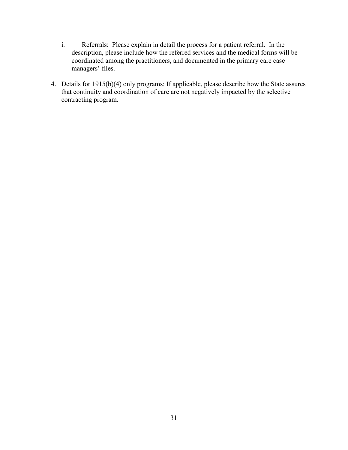- i. \_\_ Referrals: Please explain in detail the process for a patient referral. In the description, please include how the referred services and the medical forms will be coordinated among the practitioners, and documented in the primary care case managers' files.
- 4. Details for 1915(b)(4) only programs: If applicable, please describe how the State assures that continuity and coordination of care are not negatively impacted by the selective contracting program.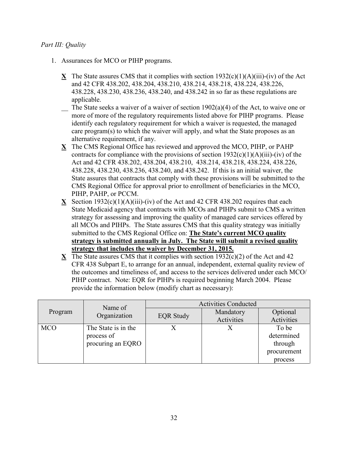## *Part III: Quality*

- 1. Assurances for MCO or PIHP programs.
	- **X** The State assures CMS that it complies with section  $1932(c)(1)(A)(iii)-(iv)$  of the Act and 42 CFR 438.202, 438.204, 438.210, 438.214, 438.218, 438.224, 438.226, 438.228, 438.230, 438.236, 438.240, and 438.242 in so far as these regulations are applicable.
	- $\sum$  The State seeks a waiver of a waiver of section 1902(a)(4) of the Act, to waive one or more of more of the regulatory requirements listed above for PIHP programs. Please identify each regulatory requirement for which a waiver is requested, the managed care program(s) to which the waiver will apply, and what the State proposes as an alternative requirement, if any.
	- **X** The CMS Regional Office has reviewed and approved the MCO, PIHP, or PAHP contracts for compliance with the provisions of section  $1932(c)(1)(A)(iii)-(iv)$  of the Act and 42 CFR 438.202, 438.204, 438.210, 438.214, 438.218, 438.224, 438.226, 438.228, 438.230, 438.236, 438.240, and 438.242. If this is an initial waiver, the State assures that contracts that comply with these provisions will be submitted to the CMS Regional Office for approval prior to enrollment of beneficiaries in the MCO, PIHP, PAHP, or PCCM.
	- **X** Section 1932(c)(1)(A)(iii)-(iv) of the Act and 42 CFR 438.202 requires that each State Medicaid agency that contracts with MCOs and PIHPs submit to CMS a written strategy for assessing and improving the quality of managed care services offered by all MCOs and PIHPs. The State assures CMS that this quality strategy was initially submitted to the CMS Regional Office on: **The State's current MCO quality strategy is submitted annually in July. The State will submit a revised quality strategy that includes the waiver by December 31, 2015.**
	- **X** The State assures CMS that it complies with section  $1932(c)(2)$  of the Act and 42 CFR 438 Subpart E, to arrange for an annual, independent, external quality review of the outcomes and timeliness of, and access to the services delivered under each MCO/ PIHP contract. Note: EQR for PIHPs is required beginning March 2004. Please provide the information below (modify chart as necessary):

|            | Name of                                                | <b>Activities Conducted</b> |                         |                                                          |
|------------|--------------------------------------------------------|-----------------------------|-------------------------|----------------------------------------------------------|
| Program    | Organization                                           | <b>EQR Study</b>            | Mandatory<br>Activities | Optional<br>Activities                                   |
| <b>MCO</b> | The State is in the<br>process of<br>procuring an EQRO |                             |                         | To be<br>determined<br>through<br>procurement<br>process |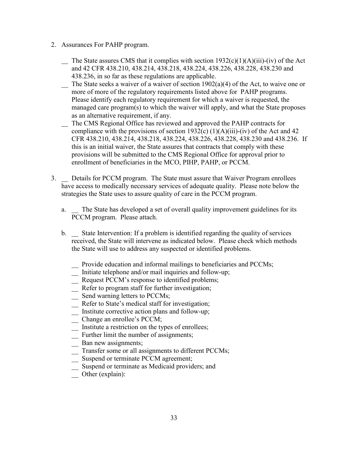- 2. Assurances For PAHP program.
	- The State assures CMS that it complies with section  $1932(c)(1)(A)(iii)$ -(iv) of the Act and 42 CFR 438.210, 438.214, 438.218, 438.224, 438.226, 438.228, 438.230 and 438.236, in so far as these regulations are applicable.
	- $\sum$  The State seeks a waiver of a waiver of section 1902(a)(4) of the Act, to waive one or more of more of the regulatory requirements listed above for PAHP programs. Please identify each regulatory requirement for which a waiver is requested, the managed care program(s) to which the waiver will apply, and what the State proposes as an alternative requirement, if any.
	- The CMS Regional Office has reviewed and approved the PAHP contracts for compliance with the provisions of section 1932(c)  $(1)(A)(iii)$ -(iv) of the Act and 42 CFR 438.210, 438.214, 438.218, 438.224, 438.226, 438.228, 438.230 and 438.236. If this is an initial waiver, the State assures that contracts that comply with these provisions will be submitted to the CMS Regional Office for approval prior to enrollment of beneficiaries in the MCO, PIHP, PAHP, or PCCM.
- 3. \_\_ Details for PCCM program. The State must assure that Waiver Program enrollees have access to medically necessary services of adequate quality. Please note below the strategies the State uses to assure quality of care in the PCCM program.
	- a. The State has developed a set of overall quality improvement guidelines for its PCCM program. Please attach.
	- b. \_\_ State Intervention: If a problem is identified regarding the quality of services received, the State will intervene as indicated below. Please check which methods the State will use to address any suspected or identified problems.
		- \_\_ Provide education and informal mailings to beneficiaries and PCCMs;
		- \_\_ Initiate telephone and/or mail inquiries and follow-up;
		- \_\_ Request PCCM's response to identified problems;
		- \_\_ Refer to program staff for further investigation;
		- \_\_ Send warning letters to PCCMs;
		- \_\_ Refer to State's medical staff for investigation;
		- \_\_ Institute corrective action plans and follow-up;
		- \_\_ Change an enrollee's PCCM;
		- \_\_ Institute a restriction on the types of enrollees;
		- \_\_ Further limit the number of assignments;
		- \_\_ Ban new assignments;
		- \_\_ Transfer some or all assignments to different PCCMs;
		- \_\_ Suspend or terminate PCCM agreement;
		- \_\_ Suspend or terminate as Medicaid providers; and
		- \_\_ Other (explain):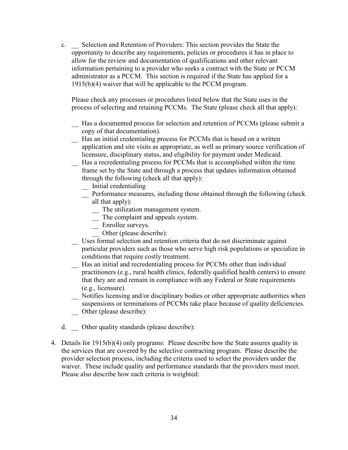c. \_\_ Selection and Retention of Providers: This section provides the State the opportunity to describe any requirements, policies or procedures it has in place to allow for the review and documentation of qualifications and other relevant information pertaining to a provider who seeks a contract with the State or PCCM administrator as a PCCM. This section is required if the State has applied for a 1915(b)(4) waiver that will be applicable to the PCCM program.

Please check any processes or procedures listed below that the State uses in the process of selecting and retaining PCCMs. The State (please check all that apply):

- \_\_ Has a documented process for selection and retention of PCCMs (please submit a copy of that documentation).
- \_\_ Has an initial credentialing process for PCCMs that is based on a written application and site visits as appropriate, as well as primary source verification of licensure, disciplinary status, and eligibility for payment under Medicaid.
- \_\_ Has a recredentialing process for PCCMs that is accomplished within the time frame set by the State and through a process that updates information obtained through the following (check all that apply):
	- \_\_ Initial credentialing
	- \_\_ Performance measures, including those obtained through the following (check all that apply):
		- \_\_ The utilization management system.
		- \_\_ The complaint and appeals system.
		- \_\_ Enrollee surveys.
		- Other (please describe):
- \_\_ Uses formal selection and retention criteria that do not discriminate against
- particular providers such as those who serve high risk populations or specialize in conditions that require costly treatment.
- \_\_ Has an initial and recredentialing process for PCCMs other than individual practitioners (e.g., rural health clinics, federally qualified health centers) to ensure that they are and remain in compliance with any Federal or State requirements (e.g., licensure).
- \_\_ Notifies licensing and/or disciplinary bodies or other appropriate authorities when suspensions or terminations of PCCMs take place because of quality deficiencies. Other (please describe):
- d. \_\_ Other quality standards (please describe):
- 4. Details for 1915(b)(4) only programs: Please describe how the State assures quality in the services that are covered by the selective contracting program. Please describe the provider selection process, including the criteria used to select the providers under the waiver. These include quality and performance standards that the providers must meet. Please also describe how each criteria is weighted: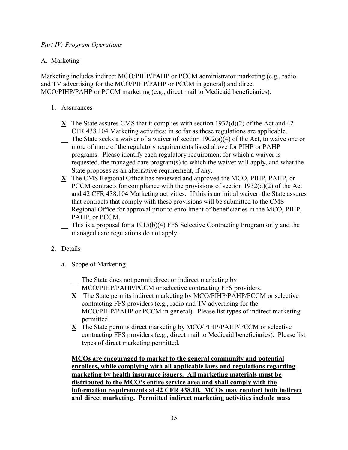## *Part IV: Program Operations*

## A. Marketing

Marketing includes indirect MCO/PIHP/PAHP or PCCM administrator marketing (e.g., radio and TV advertising for the MCO/PIHP/PAHP or PCCM in general) and direct MCO/PIHP/PAHP or PCCM marketing (e.g., direct mail to Medicaid beneficiaries).

- 1. Assurances
	- **X** The State assures CMS that it complies with section 1932(d)(2) of the Act and 42 CFR 438.104 Marketing activities; in so far as these regulations are applicable.
	- $\sum$  The State seeks a waiver of a waiver of section 1902(a)(4) of the Act, to waive one or more of more of the regulatory requirements listed above for PIHP or PAHP programs. Please identify each regulatory requirement for which a waiver is requested, the managed care program(s) to which the waiver will apply, and what the State proposes as an alternative requirement, if any.
	- **X** The CMS Regional Office has reviewed and approved the MCO, PIHP, PAHP, or PCCM contracts for compliance with the provisions of section 1932(d)(2) of the Act and 42 CFR 438.104 Marketing activities. If this is an initial waiver, the State assures that contracts that comply with these provisions will be submitted to the CMS Regional Office for approval prior to enrollment of beneficiaries in the MCO, PIHP, PAHP, or PCCM.
	- \_\_ This is a proposal for a 1915(b)(4) FFS Selective Contracting Program only and the managed care regulations do not apply.
- 2. Details
	- a. Scope of Marketing
		- \_\_ The State does not permit direct or indirect marketing by
		- MCO/PIHP/PAHP/PCCM or selective contracting FFS providers.
		- **X** The State permits indirect marketing by MCO/PIHP/PAHP/PCCM or selective contracting FFS providers (e.g., radio and TV advertising for the MCO/PIHP/PAHP or PCCM in general). Please list types of indirect marketing permitted.
		- **X** The State permits direct marketing by MCO/PIHP/PAHP/PCCM or selective contracting FFS providers (e.g., direct mail to Medicaid beneficiaries). Please list types of direct marketing permitted.

**MCOs are encouraged to market to the general community and potential enrollees, while complying with all applicable laws and regulations regarding marketing by health insurance issuers. All marketing materials must be distributed to the MCO's entire service area and shall comply with the information requirements at 42 CFR 438.10. MCOs may conduct both indirect and direct marketing. Permitted indirect marketing activities include mass**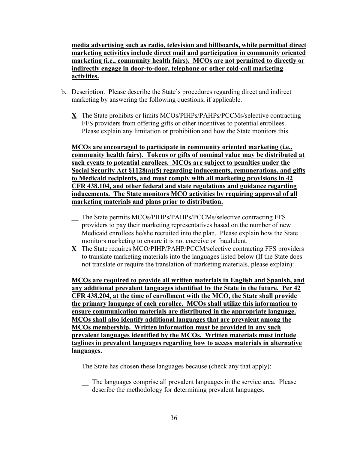**media advertising such as radio, television and billboards, while permitted direct marketing activities include direct mail and participation in community oriented marketing (i.e., community health fairs). MCOs are not permitted to directly or indirectly engage in door-to-door, telephone or other cold-call marketing activities.**

- b. Description. Please describe the State's procedures regarding direct and indirect marketing by answering the following questions, if applicable.
	- **X** The State prohibits or limits MCOs/PIHPs/PAHPs/PCCMs/selective contracting FFS providers from offering gifts or other incentives to potential enrollees. Please explain any limitation or prohibition and how the State monitors this.

**MCOs are encouraged to participate in community oriented marketing (i.e., community health fairs). Tokens or gifts of nominal value may be distributed at such events to potential enrollees. MCOs are subject to penalties under the Social Security Act §1128(a)(5) regarding inducements, remunerations, and gifts to Medicaid recipients, and must comply with all marketing provisions in 42 CFR 438.104, and other federal and state regulations and guidance regarding inducements. The State monitors MCO activities by requiring approval of all marketing materials and plans prior to distribution.**

- \_\_ The State permits MCOs/PIHPs/PAHPs/PCCMs/selective contracting FFS providers to pay their marketing representatives based on the number of new Medicaid enrollees he/she recruited into the plan. Please explain how the State monitors marketing to ensure it is not coercive or fraudulent.
- **X** The State requires MCO/PIHP/PAHP/PCCM/selective contracting FFS providers to translate marketing materials into the languages listed below (If the State does not translate or require the translation of marketing materials, please explain):

**MCOs are required to provide all written materials in English and Spanish, and any additional prevalent languages identified by the State in the future. Per 42 CFR 438.204, at the time of enrollment with the MCO, the State shall provide the primary language of each enrollee. MCOs shall utilize this information to ensure communication materials are distributed in the appropriate language. MCOs shall also identify additional languages that are prevalent among the MCOs membership. Written information must be provided in any such prevalent languages identified by the MCOs. Written materials must include taglines in prevalent languages regarding how to access materials in alternative languages.**

The State has chosen these languages because (check any that apply):

\_\_ The languages comprise all prevalent languages in the service area. Please describe the methodology for determining prevalent languages.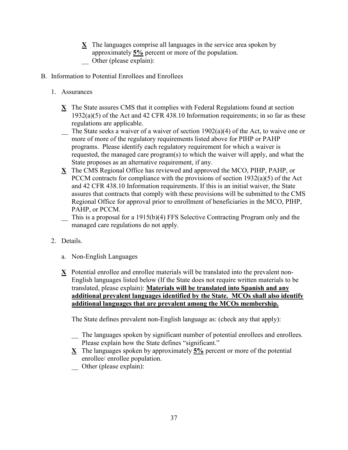- **X** The languages comprise all languages in the service area spoken by approximately **5%** percent or more of the population.
- Other (please explain):
- B. Information to Potential Enrollees and Enrollees
	- 1. Assurances
		- **X** The State assures CMS that it complies with Federal Regulations found at section 1932(a)(5) of the Act and 42 CFR 438.10 Information requirements; in so far as these regulations are applicable.
		- $\sum$  The State seeks a waiver of a waiver of section 1902(a)(4) of the Act, to waive one or more of more of the regulatory requirements listed above for PIHP or PAHP programs. Please identify each regulatory requirement for which a waiver is requested, the managed care program(s) to which the waiver will apply, and what the State proposes as an alternative requirement, if any.
		- **X** The CMS Regional Office has reviewed and approved the MCO, PIHP, PAHP, or PCCM contracts for compliance with the provisions of section 1932(a)(5) of the Act and 42 CFR 438.10 Information requirements. If this is an initial waiver, the State assures that contracts that comply with these provisions will be submitted to the CMS Regional Office for approval prior to enrollment of beneficiaries in the MCO, PIHP, PAHP, or PCCM.
		- \_\_ This is a proposal for a 1915(b)(4) FFS Selective Contracting Program only and the managed care regulations do not apply.
	- 2. Details.
		- a. Non-English Languages
		- **X** Potential enrollee and enrollee materials will be translated into the prevalent non-English languages listed below (If the State does not require written materials to be translated, please explain): **Materials will be translated into Spanish and any additional prevalent languages identified by the State. MCOs shall also identify additional languages that are prevalent among the MCOs membership.**

The State defines prevalent non-English language as: (check any that apply):

- \_\_ The languages spoken by significant number of potential enrollees and enrollees. Please explain how the State defines "significant."
- **X** The languages spoken by approximately **5%** percent or more of the potential enrollee/ enrollee population.
- Other (please explain):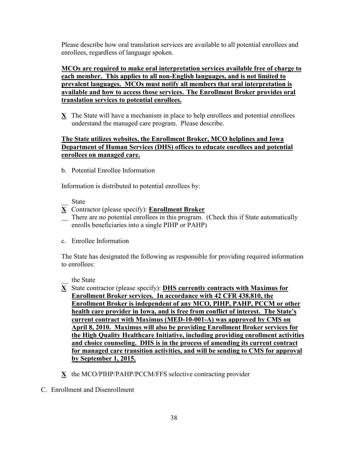Please describe how oral translation services are available to all potential enrollees and enrollees, regardless of language spoken.

**MCOs are required to make oral interpretation services available free of charge to each member. This applies to all non-English languages, and is not limited to prevalent languages. MCOs must notify all members that oral interpretation is available and how to access those services. The Enrollment Broker provides oral translation services to potential enrollees.**

 $X$  The State will have a mechanism in place to help enrollees and potential enrollees understand the managed care program. Please describe.

## **The State utilizes websites, the Enrollment Broker, MCO helplines and Iowa Department of Human Services (DHS) offices to educate enrollees and potential enrollees on managed care.**

b. Potential Enrollee Information

Information is distributed to potential enrollees by:

- \_\_ State
- **X** Contractor (please specify): **Enrollment Broker**
- There are no potential enrollees in this program. (Check this if State automatically enrolls beneficiaries into a single PIHP or PAHP)
- c. Enrollee Information

The State has designated the following as responsible for providing required information to enrollees:

\_\_ the State

- **X** State contractor (please specify): **DHS currently contracts with Maximus for Enrollment Broker services. In accordance with 42 CFR 438.810, the Enrollment Broker is independent of any MCO, PIHP, PAHP, PCCM or other health care provider in Iowa, and is free from conflict of interest. The State's current contract with Maximus (MED-10-001-A) was approved by CMS on April 8, 2010. Maximus will also be providing Enrollment Broker services for the High Quality Healthcare Initiative, including providing enrollment activities and choice counseling. DHS is in the process of amending its current contract for managed care transition activities, and will be sending to CMS for approval by September 1, 2015.**
- **X** the MCO/PIHP/PAHP/PCCM/FFS selective contracting provider
- C. Enrollment and Disenrollment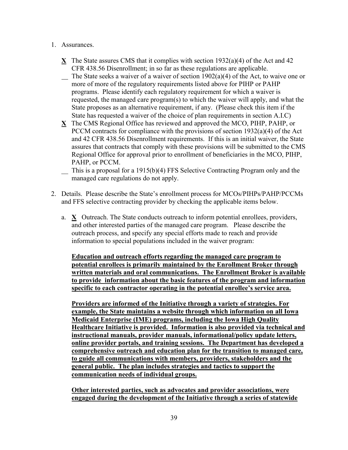- 1. Assurances.
	- **X** The State assures CMS that it complies with section 1932(a)(4) of the Act and 42 CFR 438.56 Disenrollment; in so far as these regulations are applicable.
	- $\sum$  The State seeks a waiver of a waiver of section 1902(a)(4) of the Act, to waive one or more of more of the regulatory requirements listed above for PIHP or PAHP programs. Please identify each regulatory requirement for which a waiver is requested, the managed care program(s) to which the waiver will apply, and what the State proposes as an alternative requirement, if any. (Please check this item if the State has requested a waiver of the choice of plan requirements in section A.I.C)
	- **X** The CMS Regional Office has reviewed and approved the MCO, PIHP, PAHP, or PCCM contracts for compliance with the provisions of section 1932(a)(4) of the Act and 42 CFR 438.56 Disenrollment requirements. If this is an initial waiver, the State assures that contracts that comply with these provisions will be submitted to the CMS Regional Office for approval prior to enrollment of beneficiaries in the MCO, PIHP, PAHP, or PCCM.
	- \_\_ This is a proposal for a 1915(b)(4) FFS Selective Contracting Program only and the managed care regulations do not apply.
- 2. Details. Please describe the State's enrollment process for MCOs/PIHPs/PAHP/PCCMs and FFS selective contracting provider by checking the applicable items below.
	- a. **X** Outreach. The State conducts outreach to inform potential enrollees, providers, and other interested parties of the managed care program. Please describe the outreach process, and specify any special efforts made to reach and provide information to special populations included in the waiver program:

**Education and outreach efforts regarding the managed care program to potential enrollees is primarily maintained by the Enrollment Broker through written materials and oral communications. The Enrollment Broker is available to provide information about the basic features of the program and information specific to each contractor operating in the potential enrollee's service area.** 

**Providers are informed of the Initiative through a variety of strategies. For example, the State maintains a website through which information on all Iowa Medicaid Enterprise (IME) programs, including the Iowa High Quality Healthcare Initiative is provided. Information is also provided via technical and instructional manuals, provider manuals, informational/policy update letters, online provider portals, and training sessions. The Department has developed a comprehensive outreach and education plan for the transition to managed care, to guide all communications with members, providers, stakeholders and the general public. The plan includes strategies and tactics to support the communication needs of individual groups.**

**Other interested parties, such as advocates and provider associations, were engaged during the development of the Initiative through a series of statewide**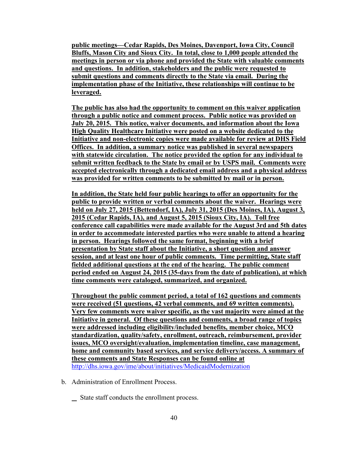**public meetings—Cedar Rapids, Des Moines, Davenport, Iowa City, Council Bluffs, Mason City and Sioux City. In total, close to 1,000 people attended the meetings in person or via phone and provided the State with valuable comments and questions. In addition, stakeholders and the public were requested to submit questions and comments directly to the State via email. During the implementation phase of the Initiative, these relationships will continue to be leveraged.** 

**The public has also had the opportunity to comment on this waiver application through a public notice and comment process. Public notice was provided on July 20, 2015. This notice, waiver documents, and information about the Iowa High Quality Healthcare Initiative were posted on a website dedicated to the Initiative and non-electronic copies were made available for review at DHS Field Offices. In addition, a summary notice was published in several newspapers with statewide circulation. The notice provided the option for any individual to submit written feedback to the State by email or by USPS mail. Comments were accepted electronically through a dedicated email address and a physical address was provided for written comments to be submitted by mail or in person.**

**In addition, the State held four public hearings to offer an opportunity for the public to provide written or verbal comments about the waiver. Hearings were held on July 27, 2015 (Bettendorf, IA), July 31, 2015 (Des Moines, IA), August 3, 2015 (Cedar Rapids, IA), and August 5, 2015 (Sioux City, IA). Toll free conference call capabilities were made available for the August 3rd and 5th dates in order to accommodate interested parties who were unable to attend a hearing in person. Hearings followed the same format, beginning with a brief presentation by State staff about the Initiative, a short question and answer session, and at least one hour of public comments. Time permitting, State staff fielded additional questions at the end of the hearing. The public comment period ended on August 24, 2015 (35-days from the date of publication), at which time comments were cataloged, summarized, and organized.** 

**Throughout the public comment period, a total of 162 questions and comments were received (51 questions, 42 verbal comments, and 69 written comments). Very few comments were waiver specific, as the vast majority were aimed at the Initiative in general. Of these questions and comments, a broad range of topics were addressed including eligibility/included benefits, member choice, MCO standardization, quality/safety, enrollment, outreach, reimbursement, provider issues, MCO oversight/evaluation, implementation timeline, case management, home and community based services, and service delivery/access. A summary of these comments and State Responses can be found online at**  <http://dhs.iowa.gov/ime/about/initiatives/MedicaidModernization>

- b. Administration of Enrollment Process.
	- State staff conducts the enrollment process.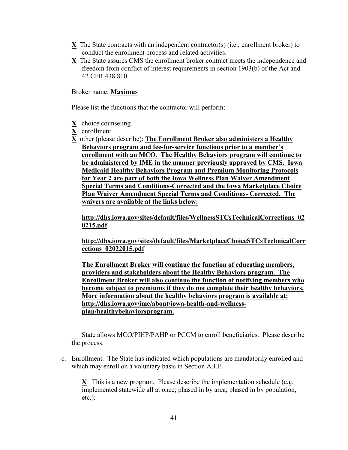- **X** The State contracts with an independent contractor(s) (i.e., enrollment broker) to conduct the enrollment process and related activities.
- **X** The State assures CMS the enrollment broker contract meets the independence and freedom from conflict of interest requirements in section 1903(b) of the Act and 42 CFR 438.810.

### Broker name: **Maximus**

Please list the functions that the contractor will perform:

- **X** choice counseling
- **X** enrollment
- **X** other (please describe): **The Enrollment Broker also administers a Healthy Behaviors program and fee-for-service functions prior to a member's enrollment with an MCO. The Healthy Behaviors program will continue to be administered by IME in the manner previously approved by CMS. Iowa Medicaid Healthy Behaviors Program and Premium Monitoring Protocols for Year 2 are part of both the Iowa Wellness Plan Waiver Amendment Special Terms and Conditions-Corrected and the [Iowa Marketplace Choice](http://dhs.iowa.gov/sites/default/files/MarketplaceChoiceSTCsTechnicalCorrections_02022015.pdf)  [Plan Waiver Amendment Special Terms and Conditions-](http://dhs.iowa.gov/sites/default/files/MarketplaceChoiceSTCsTechnicalCorrections_02022015.pdf) Corrected. The waivers are available at the links below:**

**http://dhs.iowa.gov/sites/default/files/WellnessSTCsTechnicalCorrections\_02 0215.pdf**

**[http://dhs.iowa.gov/sites/default/files/MarketplaceChoiceSTCsTechnicalCorr](http://dhs.iowa.gov/sites/default/files/MarketplaceChoiceSTCsTechnicalCorrections_02022015.pdf) [ections\\_02022015.pdf](http://dhs.iowa.gov/sites/default/files/MarketplaceChoiceSTCsTechnicalCorrections_02022015.pdf)**

**The Enrollment Broker will continue the function of educating members, providers and stakeholders about the Healthy Behaviors program. The Enrollment Broker will also continue the function of notifying members who become subject to premiums if they do not complete their healthy behaviors. More information about the healthy behaviors program is available at: [http://dhs.iowa.gov/ime/about/iowa-health-and-wellness](http://dhs.iowa.gov/ime/about/iowa-health-and-wellness-plan/healthybehaviorsprogram)[plan/healthybehaviorsprogram.](http://dhs.iowa.gov/ime/about/iowa-health-and-wellness-plan/healthybehaviorsprogram)**

State allows MCO/PIHP/PAHP or PCCM to enroll beneficiaries. Please describe the process.

c. Enrollment. The State has indicated which populations are mandatorily enrolled and which may enroll on a voluntary basis in Section A.I.E.

**X** This is a new program. Please describe the implementation schedule (e.g. implemented statewide all at once; phased in by area; phased in by population, etc.):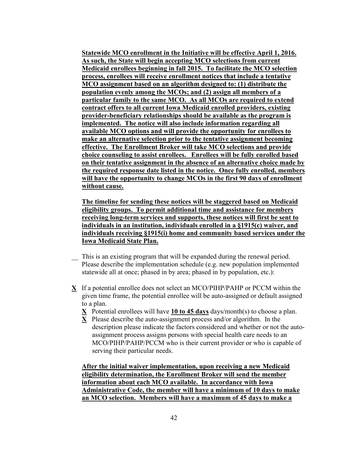**Statewide MCO enrollment in the Initiative will be effective April 1, 2016. As such, the State will begin accepting MCO selections from current Medicaid enrollees beginning in fall 2015. To facilitate the MCO selection process, enrollees will receive enrollment notices that include a tentative MCO assignment based on an algorithm designed to: (1) distribute the population evenly among the MCOs; and (2) assign all members of a particular family to the same MCO. As all MCOs are required to extend contract offers to all current Iowa Medicaid enrolled providers, existing provider-beneficiary relationships should be available as the program is implemented. The notice will also include information regarding all available MCO options and will provide the opportunity for enrollees to make an alternative selection prior to the tentative assignment becoming effective. The Enrollment Broker will take MCO selections and provide choice counseling to assist enrollees. Enrollees will be fully enrolled based on their tentative assignment in the absence of an alternative choice made by the required response date listed in the notice. Once fully enrolled, members will have the opportunity to change MCOs in the first 90 days of enrollment without cause.**

**The timeline for sending these notices will be staggered based on Medicaid eligibility groups. To permit additional time and assistance for members receiving long-term services and supports, these notices will first be sent to individuals in an institution, individuals enrolled in a §1915(c) waiver, and individuals receiving §1915(i) home and community based services under the Iowa Medicaid State Plan.** 

- This is an existing program that will be expanded during the renewal period. Please describe the implementation schedule (e.g. new population implemented statewide all at once; phased in by area; phased in by population, etc.):
- **X** If a potential enrollee does not select an MCO/PIHP/PAHP or PCCM within the given time frame, the potential enrollee will be auto-assigned or default assigned to a plan.
	- **X** Potential enrollees will have **10 to 45 days** days/month(s) to choose a plan.
	- **X** Please describe the auto-assignment process and/or algorithm. In the description please indicate the factors considered and whether or not the autoassignment process assigns persons with special health care needs to an MCO/PIHP/PAHP/PCCM who is their current provider or who is capable of serving their particular needs.

**After the initial waiver implementation, upon receiving a new Medicaid eligibility determination, the Enrollment Broker will send the member information about each MCO available. In accordance with Iowa Administrative Code, the member will have a minimum of 10 days to make an MCO selection. Members will have a maximum of 45 days to make a**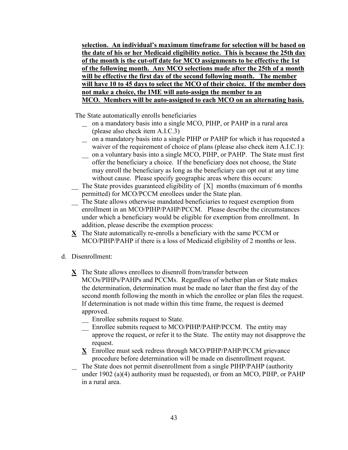**selection. An individual's maximum timeframe for selection will be based on the date of his or her Medicaid eligibility notice. This is because the 25th day of the month is the cut-off date for MCO assignments to be effective the 1st of the following month. Any MCO selections made after the 25th of a month will be effective the first day of the second following month. The member will have 10 to 45 days to select the MCO of their choice. If the member does not make a choice, the IME will auto-assign the member to an MCO. Members will be auto-assigned to each MCO on an alternating basis.**

The State automatically enrolls beneficiaries

- on a mandatory basis into a single MCO, PIHP, or PAHP in a rural area (please also check item A.I.C.3)
- $\overline{\phantom{a}}$  on a mandatory basis into a single PIHP or PAHP for which it has requested a waiver of the requirement of choice of plans (please also check item A.I.C.1):
- \_\_ on a voluntary basis into a single MCO, PIHP, or PAHP. The State must first offer the beneficiary a choice. If the beneficiary does not choose, the State may enroll the beneficiary as long as the beneficiary can opt out at any time without cause. Please specify geographic areas where this occurs:
- $\overline{\phantom{a}}$  The State provides guaranteed eligibility of [X] months (maximum of 6 months permitted) for MCO/PCCM enrollees under the State plan.
- \_\_ The State allows otherwise mandated beneficiaries to request exemption from enrollment in an MCO/PIHP/PAHP/PCCM. Please describe the circumstances under which a beneficiary would be eligible for exemption from enrollment. In addition, please describe the exemption process:
- **X** The State automatically re-enrolls a beneficiary with the same PCCM or MCO/PIHP/PAHP if there is a loss of Medicaid eligibility of 2 months or less.
- d. Disenrollment:
	- **X** The State allows enrollees to disenroll from/transfer between MCOs/PIHPs/PAHPs and PCCMs. Regardless of whether plan or State makes the determination, determination must be made no later than the first day of the second month following the month in which the enrollee or plan files the request. If determination is not made within this time frame, the request is deemed approved.
		- \_\_ Enrollee submits request to State.
		- \_\_ Enrollee submits request to MCO/PIHP/PAHP/PCCM. The entity may approve the request, or refer it to the State. The entity may not disapprove the request.
		- **X** Enrollee must seek redress through MCO/PIHP/PAHP/PCCM grievance procedure before determination will be made on disenrollment request.
	- The State does not permit disenrollment from a single PIHP/PAHP (authority under 1902 (a)(4) authority must be requested), or from an MCO, PIHP, or PAHP in a rural area.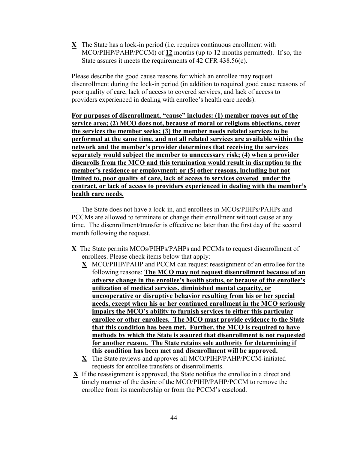**X** The State has a lock-in period (i.e. requires continuous enrollment with MCO/PIHP/PAHP/PCCM) of **12** months (up to 12 months permitted). If so, the State assures it meets the requirements of 42 CFR 438.56(c).

Please describe the good cause reasons for which an enrollee may request disenrollment during the lock-in period (in addition to required good cause reasons of poor quality of care, lack of access to covered services, and lack of access to providers experienced in dealing with enrollee's health care needs):

**For purposes of disenrollment, "cause" includes: (1) member moves out of the service area; (2) MCO does not, because of moral or religious objections, cover the services the member seeks; (3) the member needs related services to be performed at the same time, and not all related services are available within the network and the member's provider determines that receiving the services separately would subject the member to unnecessary risk; (4) when a provider disenrolls from the MCO and this termination would result in disruption to the member's residence or employment; or (5) other reasons, including but not limited to, poor quality of care, lack of access to services covered under the contract, or lack of access to providers experienced in dealing with the member's health care needs.**

The State does not have a lock-in, and enrollees in MCOs/PIHPs/PAHPs and PCCMs are allowed to terminate or change their enrollment without cause at any time. The disenrollment/transfer is effective no later than the first day of the second month following the request.

- **X** The State permits MCOs/PIHPs/PAHPs and PCCMs to request disenrollment of enrollees. Please check items below that apply:
	- **X** MCO/PIHP/PAHP and PCCM can request reassignment of an enrollee for the following reasons: **The MCO may not request disenrollment because of an adverse change in the enrollee's health status, or because of the enrollee's utilization of medical services, diminished mental capacity, or uncooperative or disruptive behavior resulting from his or her special needs, except when his or her continued enrollment in the MCO seriously impairs the MCO's ability to furnish services to either this particular enrollee or other enrollees. The MCO must provide evidence to the State that this condition has been met. Further, the MCO is required to have methods by which the State is assured that disenrollment is not requested for another reason. The State retains sole authority for determining if this condition has been met and disenrollment will be approved.**
	- **X** The State reviews and approves all MCO/PIHP/PAHP/PCCM-initiated requests for enrollee transfers or disenrollments.
- **X** If the reassignment is approved, the State notifies the enrollee in a direct and timely manner of the desire of the MCO/PIHP/PAHP/PCCM to remove the enrollee from its membership or from the PCCM's caseload.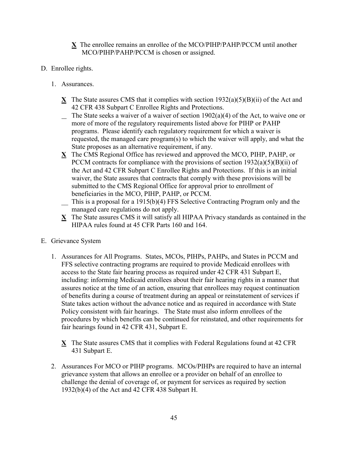- **X** The enrollee remains an enrollee of the MCO/PIHP/PAHP/PCCM until another MCO/PIHP/PAHP/PCCM is chosen or assigned.
- D. Enrollee rights.
	- 1. Assurances.
		- **X** The State assures CMS that it complies with section 1932(a)(5)(B)(ii) of the Act and 42 CFR 438 Subpart C Enrollee Rights and Protections.
		- $\sum$  The State seeks a waiver of a waiver of section 1902(a)(4) of the Act, to waive one or more of more of the regulatory requirements listed above for PIHP or PAHP programs. Please identify each regulatory requirement for which a waiver is requested, the managed care program(s) to which the waiver will apply, and what the State proposes as an alternative requirement, if any.
		- **X** The CMS Regional Office has reviewed and approved the MCO, PIHP, PAHP, or PCCM contracts for compliance with the provisions of section  $1932(a)(5)(B)(ii)$  of the Act and 42 CFR Subpart C Enrollee Rights and Protections. If this is an initial waiver, the State assures that contracts that comply with these provisions will be submitted to the CMS Regional Office for approval prior to enrollment of beneficiaries in the MCO, PIHP, PAHP, or PCCM.
		- \_\_ This is a proposal for a 1915(b)(4) FFS Selective Contracting Program only and the managed care regulations do not apply.
		- **X** The State assures CMS it will satisfy all HIPAA Privacy standards as contained in the HIPAA rules found at 45 CFR Parts 160 and 164.
- E. Grievance System
	- 1. Assurances for All Programs. States, MCOs, PIHPs, PAHPs, and States in PCCM and FFS selective contracting programs are required to provide Medicaid enrollees with access to the State fair hearing process as required under 42 CFR 431 Subpart E, including: informing Medicaid enrollees about their fair hearing rights in a manner that assures notice at the time of an action, ensuring that enrollees may request continuation of benefits during a course of treatment during an appeal or reinstatement of services if State takes action without the advance notice and as required in accordance with State Policy consistent with fair hearings. The State must also inform enrollees of the procedures by which benefits can be continued for reinstated, and other requirements for fair hearings found in 42 CFR 431, Subpart E.
		- **X** The State assures CMS that it complies with Federal Regulations found at 42 CFR 431 Subpart E.
	- 2. Assurances For MCO or PIHP programs. MCOs/PIHPs are required to have an internal grievance system that allows an enrollee or a provider on behalf of an enrollee to challenge the denial of coverage of, or payment for services as required by section 1932(b)(4) of the Act and 42 CFR 438 Subpart H.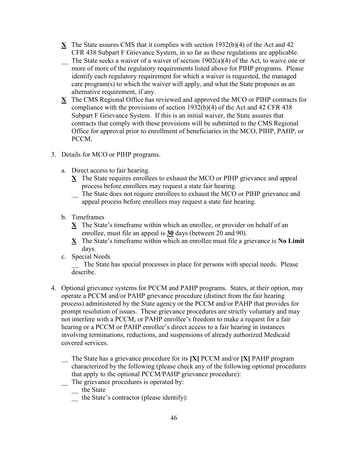- **X** The State assures CMS that it complies with section 1932(b)(4) of the Act and 42 CFR 438 Subpart F Grievance System, in so far as these regulations are applicable.
- $\sum$  The State seeks a waiver of a waiver of section 1902(a)(4) of the Act, to waive one or more of more of the regulatory requirements listed above for PIHP programs. Please identify each regulatory requirement for which a waiver is requested, the managed care program(s) to which the waiver will apply, and what the State proposes as an alternative requirement, if any.
- **X** The CMS Regional Office has reviewed and approved the MCO or PIHP contracts for compliance with the provisions of section 1932(b)(4) of the Act and 42 CFR 438 Subpart F Grievance System. If this is an initial waiver, the State assures that contracts that comply with these provisions will be submitted to the CMS Regional Office for approval prior to enrollment of beneficiaries in the MCO, PIHP, PAHP, or PCCM.
- 3. Details for MCO or PIHP programs.
	- a. Direct access to fair hearing.
		- **X** The State requires enrollees to exhaust the MCO or PIHP grievance and appeal process before enrollees may request a state fair hearing.
			- The State does not require enrollees to exhaust the MCO or PIHP grievance and appeal process before enrollees may request a state fair hearing.
	- b. Timeframes
		- **X** The State's timeframe within which an enrollee, or provider on behalf of an enrollee, must file an appeal is **30** days (between 20 and 90).
		- **X** The State's timeframe within which an enrollee must file a grievance is **No Limit** days.
	- c. Special Needs

The State has special processes in place for persons with special needs. Please describe.

- 4. Optional grievance systems for PCCM and PAHP programs. States, at their option, may operate a PCCM and/or PAHP grievance procedure (distinct from the fair hearing process) administered by the State agency or the PCCM and/or PAHP that provides for prompt resolution of issues. These grievance procedures are strictly voluntary and may not interfere with a PCCM, or PAHP enrollee's freedom to make a request for a fair hearing or a PCCM or PAHP enrollee's direct access to a fair hearing in instances involving terminations, reductions, and suspensions of already authorized Medicaid covered services.
	- \_\_ The State has a grievance procedure for its **[X]** PCCM and/or **[X]** PAHP program characterized by the following (please check any of the following optional procedures that apply to the optional PCCM/PAHP grievance procedure):
	- $\sum$  The grievance procedures is operated by:
		- \_\_ the State
			- $\overline{\phantom{a}}$  the State's contractor (please identify):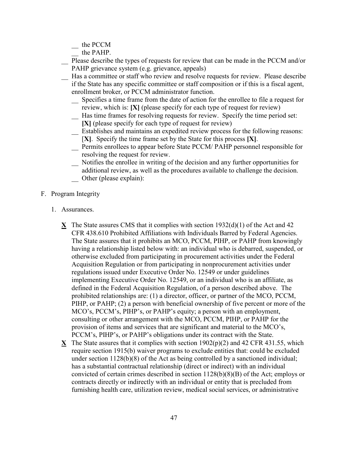\_\_ the PCCM

- the PAHP.
- Please describe the types of requests for review that can be made in the PCCM and/or PAHP grievance system (e.g. grievance, appeals)
- \_\_ Has a committee or staff who review and resolve requests for review. Please describe if the State has any specific committee or staff composition or if this is a fiscal agent, enrollment broker, or PCCM administrator function.
	- \_\_ Specifies a time frame from the date of action for the enrollee to file a request for review, which is: **[X]** (please specify for each type of request for review)
	- \_\_ Has time frames for resolving requests for review. Specify the time period set: **[X]** (please specify for each type of request for review)
	- \_\_ Establishes and maintains an expedited review process for the following reasons: [**X]**. Specify the time frame set by the State for this process **[X]**.
	- \_\_ Permits enrollees to appear before State PCCM/ PAHP personnel responsible for resolving the request for review.
	- \_\_ Notifies the enrollee in writing of the decision and any further opportunities for additional review, as well as the procedures available to challenge the decision. \_\_ Other (please explain):
- F. Program Integrity
	- 1. Assurances.
		- **X** The State assures CMS that it complies with section 1932(d)(1) of the Act and 42 CFR 438.610 Prohibited Affiliations with Individuals Barred by Federal Agencies. The State assures that it prohibits an MCO, PCCM, PIHP, or PAHP from knowingly having a relationship listed below with: an individual who is debarred, suspended, or otherwise excluded from participating in procurement activities under the Federal Acquisition Regulation or from participating in nonprocurement activities under regulations issued under Executive Order No. 12549 or under guidelines implementing Executive Order No. 12549, or an individual who is an affiliate, as defined in the Federal Acquisition Regulation, of a person described above. The prohibited relationships are: (1) a director, officer, or partner of the MCO, PCCM, PIHP, or PAHP; (2) a person with beneficial ownership of five percent or more of the MCO's, PCCM's, PIHP's, or PAHP's equity; a person with an employment, consulting or other arrangement with the MCO, PCCM, PIHP, or PAHP for the provision of items and services that are significant and material to the MCO's, PCCM's, PIHP's, or PAHP's obligations under its contract with the State.
		- **X** The State assures that it complies with section  $1902(p)(2)$  and 42 CFR 431.55, which require section 1915(b) waiver programs to exclude entities that: could be excluded under section 1128(b)(8) of the Act as being controlled by a sanctioned individual; has a substantial contractual relationship (direct or indirect) with an individual convicted of certain crimes described in section 1128(b)(8)(B) of the Act; employs or contracts directly or indirectly with an individual or entity that is precluded from furnishing health care, utilization review, medical social services, or administrative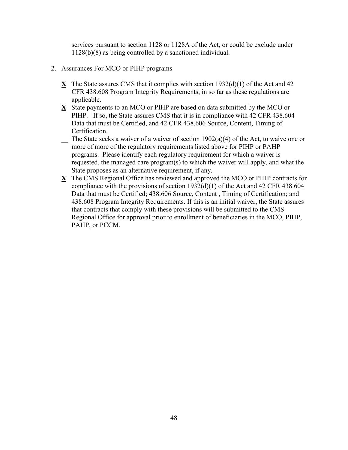services pursuant to section 1128 or 1128A of the Act, or could be exclude under 1128(b)(8) as being controlled by a sanctioned individual.

- 2. Assurances For MCO or PIHP programs
	- **X** The State assures CMS that it complies with section 1932(d)(1) of the Act and 42 CFR 438.608 Program Integrity Requirements, in so far as these regulations are applicable.
	- **X** State payments to an MCO or PIHP are based on data submitted by the MCO or PIHP. If so, the State assures CMS that it is in compliance with 42 CFR 438.604 Data that must be Certified, and 42 CFR 438.606 Source, Content, Timing of Certification.
	- $\sum$  The State seeks a waiver of a waiver of section 1902(a)(4) of the Act, to waive one or more of more of the regulatory requirements listed above for PIHP or PAHP programs. Please identify each regulatory requirement for which a waiver is requested, the managed care program(s) to which the waiver will apply, and what the State proposes as an alternative requirement, if any.
	- **X** The CMS Regional Office has reviewed and approved the MCO or PIHP contracts for compliance with the provisions of section 1932(d)(1) of the Act and 42 CFR 438.604 Data that must be Certified; 438.606 Source, Content , Timing of Certification; and 438.608 Program Integrity Requirements. If this is an initial waiver, the State assures that contracts that comply with these provisions will be submitted to the CMS Regional Office for approval prior to enrollment of beneficiaries in the MCO, PIHP, PAHP, or PCCM.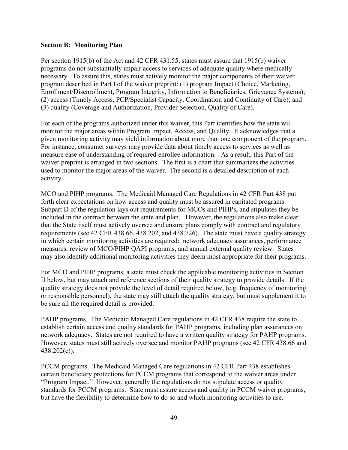### **Section B: Monitoring Plan**

Per section 1915(b) of the Act and 42 CFR 431.55, states must assure that 1915(b) waiver programs do not substantially impair access to services of adequate quality where medically necessary. To assure this, states must actively monitor the major components of their waiver program described in Part I of the waiver preprint: (1) program Impact (Choice, Marketing, Enrollment/Disenrollment, Program Integrity, Information to Beneficiaries, Grievance Systems); (2) access (Timely Access, PCP/Specialist Capacity, Coordination and Continuity of Care); and (3) quality (Coverage and Authorization, Provider Selection, Quality of Care).

For each of the programs authorized under this waiver, this Part identifies how the state will monitor the major areas within Program Impact, Access, and Quality. It acknowledges that a given monitoring activity may yield information about more than one component of the program. For instance, consumer surveys may provide data about timely access to services as well as measure ease of understanding of required enrollee information. As a result, this Part of the waiver preprint is arranged in two sections. The first is a chart that summarizes the activities used to monitor the major areas of the waiver. The second is a detailed description of each activity.

MCO and PIHP programs. The Medicaid Managed Care Regulations in 42 CFR Part 438 put forth clear expectations on how access and quality must be assured in capitated programs. Subpart D of the regulation lays out requirements for MCOs and PIHPs, and stipulates they be included in the contract between the state and plan. However, the regulations also make clear that the State itself must actively oversee and ensure plans comply with contract and regulatory requirements (see 42 CFR 438.66, 438.202, and 438.726). The state must have a quality strategy in which certain monitoring activities are required: network adequacy assurances, performance measures, review of MCO/PIHP QAPI programs, and annual external quality review. States may also identify additional monitoring activities they deem most appropriate for their programs.

For MCO and PIHP programs, a state must check the applicable monitoring activities in Section II below, but may attach and reference sections of their quality strategy to provide details. If the quality strategy does not provide the level of detail required below, (e.g. frequency of monitoring or responsible personnel), the state may still attach the quality strategy, but must supplement it to be sure all the required detail is provided.

PAHP programs. The Medicaid Managed Care regulations in 42 CFR 438 require the state to establish certain access and quality standards for PAHP programs, including plan assurances on network adequacy. States are not required to have a written quality strategy for PAHP programs. However, states must still actively oversee and monitor PAHP programs (see 42 CFR 438.66 and 438.202(c)).

PCCM programs. The Medicaid Managed Care regulations in 42 CFR Part 438 establishes certain beneficiary protections for PCCM programs that correspond to the waiver areas under "Program Impact." However, generally the regulations do not stipulate access or quality standards for PCCM programs. State must assure access and quality in PCCM waiver programs, but have the flexibility to determine how to do so and which monitoring activities to use.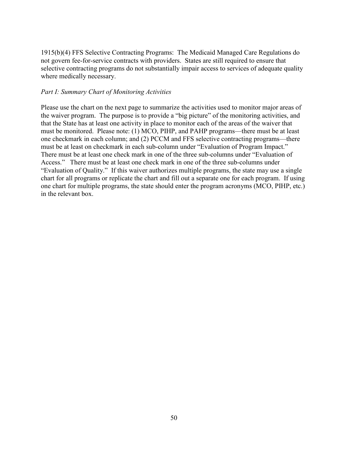1915(b)(4) FFS Selective Contracting Programs: The Medicaid Managed Care Regulations do not govern fee-for-service contracts with providers. States are still required to ensure that selective contracting programs do not substantially impair access to services of adequate quality where medically necessary.

### *Part I: Summary Chart of Monitoring Activities*

Please use the chart on the next page to summarize the activities used to monitor major areas of the waiver program. The purpose is to provide a "big picture" of the monitoring activities, and that the State has at least one activity in place to monitor each of the areas of the waiver that must be monitored. Please note: (1) MCO, PIHP, and PAHP programs—there must be at least one checkmark in each column; and (2) PCCM and FFS selective contracting programs—there must be at least on checkmark in each sub-column under "Evaluation of Program Impact." There must be at least one check mark in one of the three sub-columns under "Evaluation of Access." There must be at least one check mark in one of the three sub-columns under "Evaluation of Quality." If this waiver authorizes multiple programs, the state may use a single chart for all programs or replicate the chart and fill out a separate one for each program. If using one chart for multiple programs, the state should enter the program acronyms (MCO, PIHP, etc.) in the relevant box.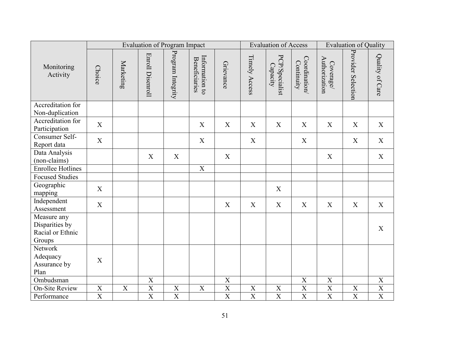|                                                             | <b>Evaluation of Program Impact</b> |                  |                         |                   |                                        | <b>Evaluation of Access</b> |                |                            | <b>Evaluation of Quality</b> |                            |                           |                                     |
|-------------------------------------------------------------|-------------------------------------|------------------|-------------------------|-------------------|----------------------------------------|-----------------------------|----------------|----------------------------|------------------------------|----------------------------|---------------------------|-------------------------------------|
| Monitoring<br>Activity                                      | <b>Choice</b>                       | Marketing        | <b>Enroll Disenroll</b> | Program Integrity | Information to<br><b>Beneficiaries</b> | Grievance                   | Timely Access  | PCP/Specialist<br>Capacity | Coordination<br>Continuity   | Authorization<br>Coverage/ | Provider Selection        | Quality of Care                     |
| Accreditation for<br>Non-duplication                        |                                     |                  |                         |                   |                                        |                             |                |                            |                              |                            |                           |                                     |
| Accreditation for<br>Participation                          | X                                   |                  |                         |                   | X                                      | X                           | X              | X                          | X                            | X                          | X                         | $\mathbf X$                         |
| Consumer Self-<br>Report data                               | X                                   |                  |                         |                   | X                                      |                             | $\mathbf X$    |                            | X                            |                            | X                         | X                                   |
| Data Analysis<br>(non-claims)                               |                                     |                  | X                       | $\mathbf X$       |                                        | X                           |                |                            |                              | X                          |                           | $\mathbf X$                         |
| <b>Enrollee Hotlines</b>                                    |                                     |                  |                         |                   | $\overline{\text{X}}$                  |                             |                |                            |                              |                            |                           |                                     |
| <b>Focused Studies</b>                                      |                                     |                  |                         |                   |                                        |                             |                |                            |                              |                            |                           |                                     |
| Geographic<br>mapping                                       | X                                   |                  |                         |                   |                                        |                             |                | X                          |                              |                            |                           |                                     |
| Independent<br>Assessment                                   | $\mathbf X$                         |                  |                         |                   |                                        | X                           | X              | X                          | X                            | X                          | X                         | X                                   |
| Measure any<br>Disparities by<br>Racial or Ethnic<br>Groups |                                     |                  |                         |                   |                                        |                             |                |                            |                              |                            |                           | X                                   |
| Network<br>Adequacy<br>Assurance by<br>Plan                 | $\boldsymbol{\mathrm{X}}$           |                  |                         |                   |                                        |                             |                |                            |                              |                            |                           |                                     |
| Ombudsman                                                   |                                     |                  | $\overline{X}$          |                   |                                        | $\overline{\text{X}}$       |                |                            | $\boldsymbol{\mathrm{X}}$    | $\overline{\text{X}}$      |                           | $\boldsymbol{\mathrm{X}}$           |
| <b>On-Site Review</b>                                       | $\boldsymbol{\mathrm{X}}$           | $\boldsymbol{X}$ | $\mathbf X$             | $\mathbf X$       | $\mathbf X$                            | $\overline{X}$              | $\mathbf X$    | $\boldsymbol{\mathrm{X}}$  | $\mathbf X$                  | $\mathbf X$                | $\boldsymbol{\mathrm{X}}$ | $\frac{\overline{X}}{\overline{X}}$ |
| Performance                                                 | $\overline{X}$                      |                  | $\overline{X}$          | $\overline{X}$    |                                        | $\overline{\text{X}}$       | $\overline{X}$ | $\overline{X}$             | $\overline{X}$               | $\overline{\text{X}}$      | $\overline{X}$            |                                     |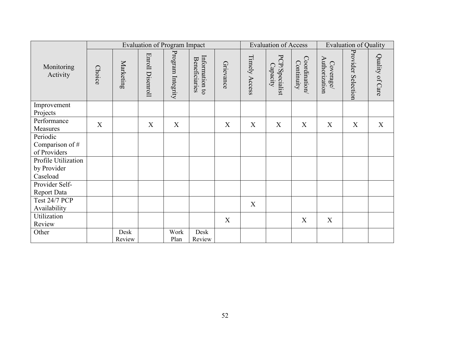|                                                | <b>Evaluation of Program Impact</b> |                |                  |                   |                                 | <b>Evaluation of Access</b> |               | <b>Evaluation of Quality</b> |                            |                           |                    |                 |
|------------------------------------------------|-------------------------------------|----------------|------------------|-------------------|---------------------------------|-----------------------------|---------------|------------------------------|----------------------------|---------------------------|--------------------|-----------------|
| Monitoring<br>Activity                         | <b>Choice</b>                       | Marketing      | Enroll Disenroll | Program Integrity | Information to<br>Beneficiaries | Grievance                   | Timely Access | PCP/Specialist<br>Capacity   | Coordination<br>Continuity | Authorization<br>Coverage | Provider Selection | Quality of Care |
| Improvement<br>Projects                        |                                     |                |                  |                   |                                 |                             |               |                              |                            |                           |                    |                 |
| Performance<br>Measures                        | X                                   |                | X                | X                 |                                 | X                           | X             | X                            | X                          | X                         | X                  | X               |
| Periodic<br>Comparison of #<br>of Providers    |                                     |                |                  |                   |                                 |                             |               |                              |                            |                           |                    |                 |
| Profile Utilization<br>by Provider<br>Caseload |                                     |                |                  |                   |                                 |                             |               |                              |                            |                           |                    |                 |
| Provider Self-<br>Report Data                  |                                     |                |                  |                   |                                 |                             |               |                              |                            |                           |                    |                 |
| Test 24/7 PCP<br>Availability                  |                                     |                |                  |                   |                                 |                             | X             |                              |                            |                           |                    |                 |
| Utilization<br>Review                          |                                     |                |                  |                   |                                 | X                           |               |                              | X                          | X                         |                    |                 |
| Other                                          |                                     | Desk<br>Review |                  | Work<br>Plan      | Desk<br>Review                  |                             |               |                              |                            |                           |                    |                 |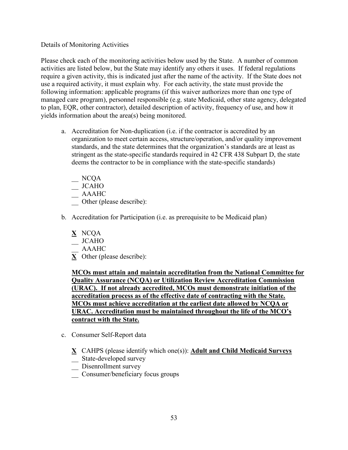## Details of Monitoring Activities

Please check each of the monitoring activities below used by the State. A number of common activities are listed below, but the State may identify any others it uses. If federal regulations require a given activity, this is indicated just after the name of the activity. If the State does not use a required activity, it must explain why. For each activity, the state must provide the following information: applicable programs (if this waiver authorizes more than one type of managed care program), personnel responsible (e.g. state Medicaid, other state agency, delegated to plan, EQR, other contractor), detailed description of activity, frequency of use, and how it yields information about the area(s) being monitored.

- a. Accreditation for Non-duplication (i.e. if the contractor is accredited by an organization to meet certain access, structure/operation, and/or quality improvement standards, and the state determines that the organization's standards are at least as stringent as the state-specific standards required in 42 CFR 438 Subpart D, the state deems the contractor to be in compliance with the state-specific standards)
	- $\equiv$  NCQA
	- \_\_ JCAHO
	- \_\_ AAAHC
	- Other (please describe):
- b. Accreditation for Participation (i.e. as prerequisite to be Medicaid plan)
	- **X** NCQA
	- $\overline{\phantom{a}}$  JCAHO
	- \_\_ AAAHC
	- **X** Other (please describe):

**MCOs must attain and maintain accreditation from the National Committee for Quality Assurance (NCQA) or Utilization Review Accreditation Commission (URAC). If not already accredited, MCOs must demonstrate initiation of the accreditation process as of the effective date of contracting with the State. MCOs must achieve accreditation at the earliest date allowed by NCQA or URAC. Accreditation must be maintained throughout the life of the MCO's contract with the State.** 

- c. Consumer Self-Report data
	- **X** CAHPS (please identify which one(s)): **Adult and Child Medicaid Surveys**
	- \_\_ State-developed survey
	- Disenrollment survey
	- \_\_ Consumer/beneficiary focus groups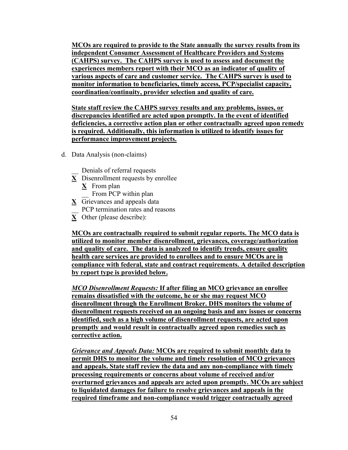**MCOs are required to provide to the State annually the survey results from its independent Consumer Assessment of Healthcare Providers and Systems (CAHPS) survey. The CAHPS survey is used to assess and document the experiences members report with their MCO as an indicator of quality of various aspects of care and customer service. The CAHPS survey is used to monitor information to beneficiaries, timely access, PCP/specialist capacity, coordination/continuity, provider selection and quality of care.**

**State staff review the CAHPS survey results and any problems, issues, or discrepancies identified are acted upon promptly. In the event of identified deficiencies, a corrective action plan or other contractually agreed upon remedy is required. Additionally, this information is utilized to identify issues for performance improvement projects.**

d. Data Analysis (non-claims)

Denials of referral requests

- **X** Disenrollment requests by enrollee
	- **X** From plan From PCP within plan
- **X** Grievances and appeals data
- PCP termination rates and reasons
- **X** Other (please describe):

**MCOs are contractually required to submit regular reports. The MCO data is utilized to monitor member disenrollment, grievances, coverage/authorization and quality of care. The data is analyzed to identify trends, ensure quality health care services are provided to enrollees and to ensure MCOs are in compliance with federal, state and contract requirements. A detailed description by report type is provided below.**

*MCO Disenrollment Requests:* **If after filing an MCO grievance an enrollee remains dissatisfied with the outcome, he or she may request MCO disenrollment through the Enrollment Broker. DHS monitors the volume of disenrollment requests received on an ongoing basis and any issues or concerns identified, such as a high volume of disenrollment requests, are acted upon promptly and would result in contractually agreed upon remedies such as corrective action.**

*Grievance and Appeals Data:* **MCOs are required to submit monthly data to permit DHS to monitor the volume and timely resolution of MCO grievances and appeals. State staff review the data and any non-compliance with timely processing requirements or concerns about volume of received and/or overturned grievances and appeals are acted upon promptly. MCOs are subject to liquidated damages for failure to resolve grievances and appeals in the required timeframe and non-compliance would trigger contractually agreed**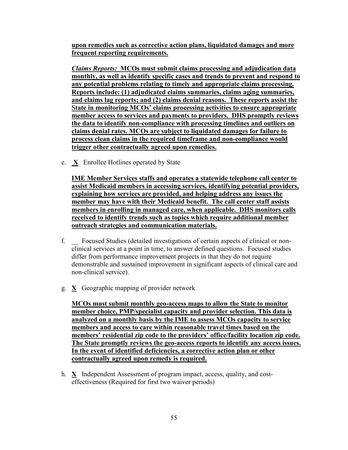**upon remedies such as corrective action plans, liquidated damages and more frequent reporting requirements.**

*Claims Reports:* **MCOs must submit claims processing and adjudication data monthly, as well as identify specific cases and trends to prevent and respond to any potential problems relating to timely and appropriate claims processing. Reports include: (1) adjudicated claims summaries, claims aging summaries, and claims lag reports; and (2) claims denial reasons. These reports assist the State in monitoring MCOs' claims processing activities to ensure appropriate member access to services and payments to providers. DHS promptly reviews the data to identify non-compliance with processing timelines and outliers on claims denial rates. MCOs are subject to liquidated damages for failure to process clean claims in the required timeframe and non-compliance would trigger other contractually agreed upon remedies.**

e. **X** Enrollee Hotlines operated by State

**IME Member Services staffs and operates a statewide telephone call center to assist Medicaid members in accessing services, identifying potential providers, explaining how services are provided, and helping address any issues the member may have with their Medicaid benefit. The call center staff assists members in enrolling in managed care, when applicable. DHS monitors calls received to identify trends such as topics which require additional member outreach strategies and communication materials.**

- f. \_\_ Focused Studies (detailed investigations of certain aspects of clinical or nonclinical services at a point in time, to answer defined questions. Focused studies differ from performance improvement projects in that they do not require demonstrable and sustained improvement in significant aspects of clinical care and non-clinical service).
- g. **X** Geographic mapping of provider network

**MCOs must submit monthly geo-access maps to allow the State to monitor member choice, PMP/specialist capacity and provider selection. This data is analyzed on a monthly basis by the IME to assess MCOs capacity to service members and access to care within reasonable travel times based on the members' residential zip code to the providers' office/facility location zip code. The State promptly reviews the geo-access reports to identify any access issues. In the event of identified deficiencies, a corrective action plan or other contractually agreed upon remedy is required.**

h. **X** Independent Assessment of program impact, access, quality, and costeffectiveness (Required for first two waiver periods)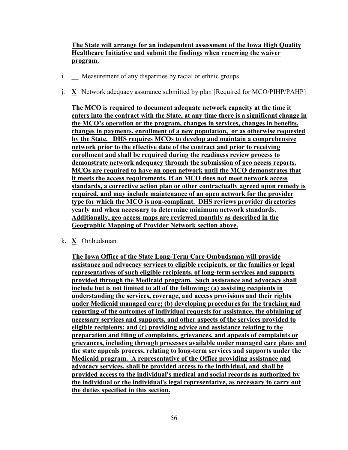# **The State will arrange for an independent assessment of the Iowa High Quality Healthcare Initiative and submit the findings when renewing the waiver program.**

- i. Measurement of any disparities by racial or ethnic groups
- j. **X** Network adequacy assurance submitted by plan [Required for MCO/PIHP/PAHP]

**The MCO is required to document adequate network capacity at the time it enters into the contract with the State, at any time there is a significant change in the MCO's operation or the program, changes in services, changes in benefits, changes in payments, enrollment of a new population, or as otherwise requested by the State. DHS requires MCOs to develop and maintain a comprehensive network prior to the effective date of the contract and prior to receiving enrollment and shall be required during the readiness review process to demonstrate network adequacy through the submission of geo access reports. MCOs are required to have an open network until the MCO demonstrates that it meets the access requirements. If an MCO does not meet network access standards, a corrective action plan or other contractually agreed upon remedy is required, and may include maintenance of an open network for the provider type for which the MCO is non-compliant. DHS reviews provider directories yearly and when necessary to determine minimum network standards. Additionally, geo access maps are reviewed monthly as described in the Geographic Mapping of Provider Network section above.** 

k. **X** Ombudsman

**The Iowa Office of the State Long-Term Care Ombudsman will provide assistance and advocacy services to eligible recipients, or the families or legal representatives of such eligible recipients, of long-term services and supports provided through the Medicaid program. Such assistance and advocacy shall include but is not limited to all of the following: (a) assisting recipients in understanding the services, coverage, and access provisions and their rights under Medicaid managed care; (b) developing procedures for the tracking and reporting of the outcomes of individual requests for assistance, the obtaining of necessary services and supports, and other aspects of the services provided to eligible recipients; and (c) providing advice and assistance relating to the preparation and filing of complaints, grievances, and appeals of complaints or grievances, including through processes available under managed care plans and the state appeals process, relating to long-term services and supports under the Medicaid program. A representative of the Office providing assistance and advocacy services, shall be provided access to the individual, and shall be provided access to the individual's medical and social records as authorized by the individual or the individual's legal representative, as necessary to carry out the duties specified in this section.**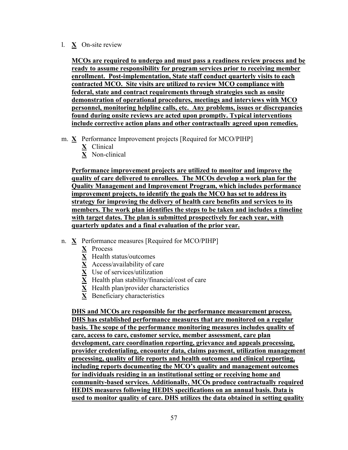## l. **X** On-site review

**MCOs are required to undergo and must pass a readiness review process and be ready to assume responsibility for program services prior to receiving member enrollment. Post-implementation, State staff conduct quarterly visits to each contracted MCO. Site visits are utilized to review MCO compliance with federal, state and contract requirements through strategies such as onsite demonstration of operational procedures, meetings and interviews with MCO personnel, monitoring helpline calls, etc. Any problems, issues or discrepancies found during onsite reviews are acted upon promptly. Typical interventions include corrective action plans and other contractually agreed upon remedies.** 

- m. **X** Performance Improvement projects [Required for MCO/PIHP]
	- **X** Clinical
	- **X** Non-clinical

**Performance improvement projects are utilized to monitor and improve the quality of care delivered to enrollees. The MCOs develop a work plan for the Quality Management and Improvement Program, which includes performance improvement projects, to identify the goals the MCO has set to address its strategy for improving the delivery of health care benefits and services to its members. The work plan identifies the steps to be taken and includes a timeline with target dates. The plan is submitted prospectively for each year, with quarterly updates and a final evaluation of the prior year.**

- n. **X** Performance measures [Required for MCO/PIHP]
	- **X** Process
	- **X** Health status/outcomes
	- **X** Access/availability of care
	- **X** Use of services/utilization
	- **X** Health plan stability/financial/cost of care
	- **X** Health plan/provider characteristics
	- **X** Beneficiary characteristics

**DHS and MCOs are responsible for the performance measurement process. DHS has established performance measures that are monitored on a regular basis. The scope of the performance monitoring measures includes quality of care, access to care, customer service, member assessment, care plan development, care coordination reporting, grievance and appeals processing, provider credentialing, encounter data, claims payment, utilization management processing, quality of life reports and health outcomes and clinical reporting, including reports documenting the MCO's quality and management outcomes for individuals residing in an institutional setting or receiving home and community-based services. Additionally, MCOs produce contractually required HEDIS measures following HEDIS specifications on an annual basis. Data is used to monitor quality of care. DHS utilizes the data obtained in setting quality**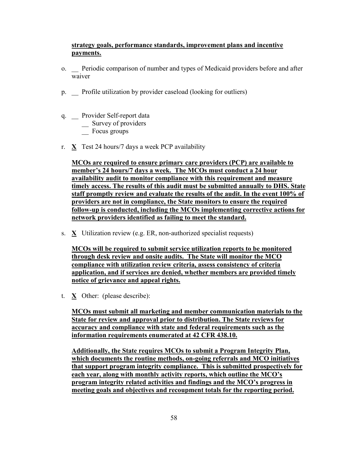# **strategy goals, performance standards, improvement plans and incentive payments.**

- o. \_\_ Periodic comparison of number and types of Medicaid providers before and after waiver
- p. \_\_ Profile utilization by provider caseload (looking for outliers)
- q. \_\_ Provider Self-report data  $\frac{1}{2}$  Survey of providers
	- Focus groups
- r.  $X$  Test 24 hours/7 days a week PCP availability

**MCOs are required to ensure primary care providers (PCP) are available to member's 24 hours/7 days a week. The MCOs must conduct a 24 hour availability audit to monitor compliance with this requirement and measure timely access. The results of this audit must be submitted annually to DHS. State staff promptly review and evaluate the results of the audit. In the event 100% of providers are not in compliance, the State monitors to ensure the required follow-up is conducted, including the MCOs implementing corrective actions for network providers identified as failing to meet the standard.**

s. **X** Utilization review (e.g. ER, non-authorized specialist requests)

**MCOs will be required to submit service utilization reports to be monitored through desk review and onsite audits. The State will monitor the MCO compliance with utilization review criteria, assess consistency of criteria application, and if services are denied, whether members are provided timely notice of grievance and appeal rights.**

t. **X** Other: (please describe):

**MCOs must submit all marketing and member communication materials to the State for review and approval prior to distribution. The State reviews for accuracy and compliance with state and federal requirements such as the information requirements enumerated at 42 CFR 438.10.**

**Additionally, the State requires MCOs to submit a Program Integrity Plan, which documents the routine methods, on-going referrals and MCO initiatives that support program integrity compliance. This is submitted prospectively for each year, along with monthly activity reports, which outline the MCO's program integrity related activities and findings and the MCO's progress in meeting goals and objectives and recoupment totals for the reporting period.**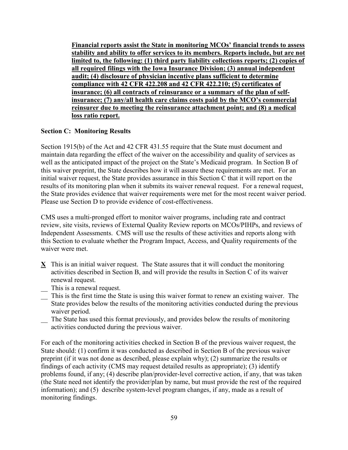**Financial reports assist the State in monitoring MCOs' financial trends to assess stability and ability to offer services to its members. Reports include, but are not limited to, the following: (1) third party liability collections reports; (2) copies of all required filings with the Iowa Insurance Division; (3) annual independent audit; (4) disclosure of physician incentive plans sufficient to determine compliance with 42 CFR 422.208 and 42 CFR 422.210; (5) certificates of insurance; (6) all contracts of reinsurance or a summary of the plan of selfinsurance; (7) any/all health care claims costs paid by the MCO's commercial reinsurer due to meeting the reinsurance attachment point; and (8) a medical loss ratio report.**

## **Section C: Monitoring Results**

Section 1915(b) of the Act and 42 CFR 431.55 require that the State must document and maintain data regarding the effect of the waiver on the accessibility and quality of services as well as the anticipated impact of the project on the State's Medicaid program. In Section B of this waiver preprint, the State describes how it will assure these requirements are met. For an initial waiver request, the State provides assurance in this Section C that it will report on the results of its monitoring plan when it submits its waiver renewal request. For a renewal request, the State provides evidence that waiver requirements were met for the most recent waiver period. Please use Section D to provide evidence of cost-effectiveness.

CMS uses a multi-pronged effort to monitor waiver programs, including rate and contract review, site visits, reviews of External Quality Review reports on MCOs/PIHPs, and reviews of Independent Assessments. CMS will use the results of these activities and reports along with this Section to evaluate whether the Program Impact, Access, and Quality requirements of the waiver were met.

- **X** This is an initial waiver request. The State assures that it will conduct the monitoring activities described in Section B, and will provide the results in Section C of its waiver renewal request.
	- This is a renewal request.
- \_\_ This is the first time the State is using this waiver format to renew an existing waiver. The State provides below the results of the monitoring activities conducted during the previous waiver period.
- \_\_ The State has used this format previously, and provides below the results of monitoring activities conducted during the previous waiver.

For each of the monitoring activities checked in Section B of the previous waiver request, the State should: (1) confirm it was conducted as described in Section B of the previous waiver preprint (if it was not done as described, please explain why); (2) summarize the results or findings of each activity (CMS may request detailed results as appropriate); (3) identify problems found, if any; (4) describe plan/provider-level corrective action, if any, that was taken (the State need not identify the provider/plan by name, but must provide the rest of the required information); and (5) describe system-level program changes, if any, made as a result of monitoring findings.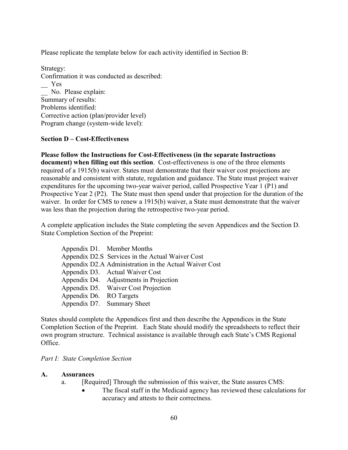Please replicate the template below for each activity identified in Section B:

Strategy: Confirmation it was conducted as described: \_\_ Yes No. Please explain: Summary of results: Problems identified: Corrective action (plan/provider level) Program change (system-wide level):

## **Section D – Cost-Effectiveness**

**Please follow the Instructions for Cost-Effectiveness (in the separate Instructions document) when filling out this section**. Cost-effectiveness is one of the three elements required of a 1915(b) waiver. States must demonstrate that their waiver cost projections are reasonable and consistent with statute, regulation and guidance. The State must project waiver expenditures for the upcoming two-year waiver period, called Prospective Year 1 (P1) and Prospective Year 2 (P2). The State must then spend under that projection for the duration of the waiver. In order for CMS to renew a 1915(b) waiver, a State must demonstrate that the waiver was less than the projection during the retrospective two-year period.

A complete application includes the State completing the seven Appendices and the Section D. State Completion Section of the Preprint:

|  | Appendix D1. Member Months                             |
|--|--------------------------------------------------------|
|  | Appendix D2.S Services in the Actual Waiver Cost       |
|  | Appendix D2.A Administration in the Actual Waiver Cost |
|  | Appendix D3. Actual Waiver Cost                        |
|  | Appendix D4. Adjustments in Projection                 |
|  | Appendix D5. Waiver Cost Projection                    |
|  | Appendix D6. RO Targets                                |
|  | Appendix D7. Summary Sheet                             |

States should complete the Appendices first and then describe the Appendices in the State Completion Section of the Preprint. Each State should modify the spreadsheets to reflect their own program structure. Technical assistance is available through each State's CMS Regional Office.

## *Part I: State Completion Section*

### **A. Assurances**

- a. [Required] Through the submission of this waiver, the State assures CMS:
	- The fiscal staff in the Medicaid agency has reviewed these calculations for accuracy and attests to their correctness.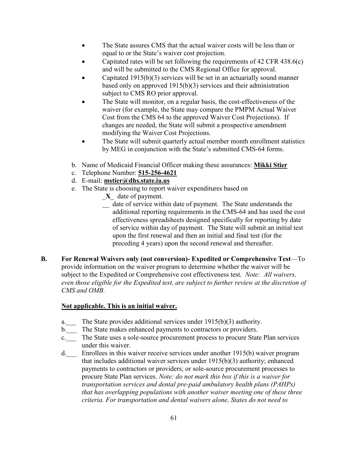- The State assures CMS that the actual waiver costs will be less than or equal to or the State's waiver cost projection.
- Capitated rates will be set following the requirements of 42 CFR 438.6(c) and will be submitted to the CMS Regional Office for approval.
- Capitated  $1915(b)(3)$  services will be set in an actuarially sound manner based only on approved 1915(b)(3) services and their administration subject to CMS RO prior approval.
- The State will monitor, on a regular basis, the cost-effectiveness of the waiver (for example, the State may compare the PMPM Actual Waiver Cost from the CMS 64 to the approved Waiver Cost Projections). If changes are needed, the State will submit a prospective amendment modifying the Waiver Cost Projections.
- The State will submit quarterly actual member month enrollment statistics by MEG in conjunction with the State's submitted CMS-64 forms.
- b. Name of Medicaid Financial Officer making these assurances: **Mikki Stier**
- c. Telephone Number: **515-256-4621**
- d. E-mail: **mstier@dhs.state.ia.us**
- e. The State is choosing to report waiver expenditures based on
	- \_**X**\_ date of payment.
	- \_\_ date of service within date of payment. The State understands the additional reporting requirements in the CMS-64 and has used the cost effectiveness spreadsheets designed specifically for reporting by date of service within day of payment. The State will submit an initial test upon the first renewal and then an initial and final test (for the preceding 4 years) upon the second renewal and thereafter.
- **B. For Renewal Waivers only (not conversion)- Expedited or Comprehensive Test**—To provide information on the waiver program to determine whether the waiver will be subject to the Expedited or Comprehensive cost effectiveness test. *Note: All waivers, even those eligible for the Expedited test, are subject to further review at the discretion of CMS and OMB.*

## **Not applicable. This is an initial waiver.**

- a.\_\_\_ The State provides additional services under 1915(b)(3) authority.
- b. The State makes enhanced payments to contractors or providers.
- c.\_\_\_ The State uses a sole-source procurement process to procure State Plan services under this waiver.
- d.\_\_\_ Enrollees in this waiver receive services under another 1915(b) waiver program that includes additional waiver services under 1915(b)(3) authority; enhanced payments to contractors or providers; or sole-source procurement processes to procure State Plan services. *Note: do not mark this box if this is a waiver for transportation services and dental pre-paid ambulatory health plans (PAHPs) that has overlapping populations with another waiver meeting one of these three criteria. For transportation and dental waivers alone, States do not need to*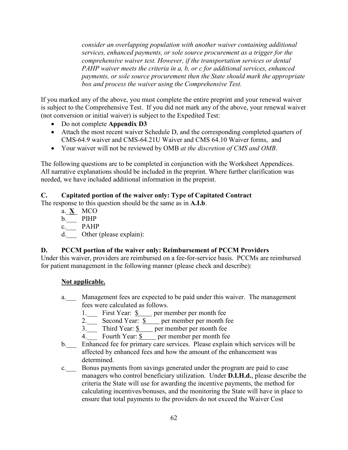*consider an overlapping population with another waiver containing additional services, enhanced payments, or sole source procurement as a trigger for the comprehensive waiver test. However, if the transportation services or dental PAHP waiver meets the criteria in a, b, or c for additional services, enhanced payments, or sole source procurement then the State should mark the appropriate box and process the waiver using the Comprehensive Test.*

If you marked any of the above, you must complete the entire preprint and your renewal waiver is subject to the Comprehensive Test. If you did not mark any of the above, your renewal waiver (not conversion or initial waiver) is subject to the Expedited Test:

- Do not complete **Appendix D3**
- Attach the most recent waiver Schedule D, and the corresponding completed quarters of CMS-64.9 waiver and CMS-64.21U Waiver and CMS 64.10 Waiver forms, and
- Your waiver will not be reviewed by OMB *at the discretion of CMS and OMB*.

The following questions are to be completed in conjunction with the Worksheet Appendices. All narrative explanations should be included in the preprint. Where further clarification was needed, we have included additional information in the preprint.

# **C. Capitated portion of the waiver only: Type of Capitated Contract**

The response to this question should be the same as in **A.I.b**.

a.\_**X**\_ MCO b.\_\_\_ PIHP

- c.\_\_\_ PAHP
- d. Other (please explain):

# **D. PCCM portion of the waiver only: Reimbursement of PCCM Providers**

Under this waiver, providers are reimbursed on a fee-for-service basis. PCCMs are reimbursed for patient management in the following manner (please check and describe):

## **Not applicable.**

- a. Management fees are expected to be paid under this waiver. The management fees were calculated as follows.
	- 1. First Year:  $\frac{1}{2}$  per member per month fee
	- 2. Second Year:  $\frac{\S}{\S}$  per member per month fee
	- $3.$  Third Year:  $\frac{\sqrt{3}}{2}$  per member per month fee
	- 4. Fourth Year:  $\frac{1}{2}$  per member per month fee
- b. Enhanced fee for primary care services. Please explain which services will be affected by enhanced fees and how the amount of the enhancement was determined.
- c.\_\_\_ Bonus payments from savings generated under the program are paid to case managers who control beneficiary utilization. Under **D.I.H.d.**, please describe the criteria the State will use for awarding the incentive payments, the method for calculating incentives/bonuses, and the monitoring the State will have in place to ensure that total payments to the providers do not exceed the Waiver Cost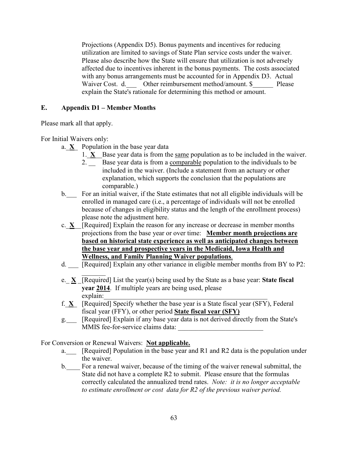Projections (Appendix D5). Bonus payments and incentives for reducing utilization are limited to savings of State Plan service costs under the waiver. Please also describe how the State will ensure that utilization is not adversely affected due to incentives inherent in the bonus payments. The costs associated with any bonus arrangements must be accounted for in Appendix D3. Actual Waiver Cost. d. Other reimbursement method/amount. \$ Please explain the State's rationale for determining this method or amount.

# **E. Appendix D1 – Member Months**

Please mark all that apply.

For Initial Waivers only:

- a.  $X$  Population in the base year data
	- 1.  $X$  Base year data is from the same population as to be included in the waiver.
		- 2. \_ Base year data is from a <u>comparable</u> population to the individuals to be included in the waiver. (Include a statement from an actuary or other explanation, which supports the conclusion that the populations are comparable.)
- b. For an initial waiver, if the State estimates that not all eligible individuals will be enrolled in managed care (i.e., a percentage of individuals will not be enrolled because of changes in eligibility status and the length of the enrollment process) please note the adjustment here.
- c.\_**X**\_\_[Required] Explain the reason for any increase or decrease in member months projections from the base year or over time: **Member month projections are based on historical state experience as well as anticipated changes between the base year and prospective years in the Medicaid, Iowa Health and Wellness, and Family Planning Waiver populations**.
- d. [Required] Explain any other variance in eligible member months from BY to P2:
- $\frac{1}{2}$ e.\_ **X** \_[Required] List the year(s) being used by the State as a base year: **State fiscal year 2014**. If multiple years are being used, please explain:
- f.  $X$  [Required] Specify whether the base year is a State fiscal year (SFY), Federal fiscal year (FFY), or other period **State fiscal year (SFY)**
- g.\_\_\_ [Required] Explain if any base year data is not derived directly from the State's MMIS fee-for-service claims data:

For Conversion or Renewal Waivers: **Not applicable.**

- a.<sub>\_\_\_\_</sub> [Required] Population in the base year and R1 and R2 data is the population under the waiver.
- b.\_\_\_\_ For a renewal waiver, because of the timing of the waiver renewal submittal, the State did not have a complete R2 to submit. Please ensure that the formulas correctly calculated the annualized trend rates. *Note: it is no longer acceptable to estimate enrollment or cost data for R2 of the previous waiver period.*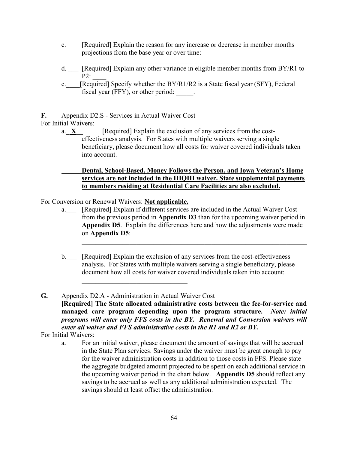- c. [Required] Explain the reason for any increase or decrease in member months projections from the base year or over time:
- $\mathcal{L}_\text{max}$  , and the set of the set of the set of the set of the set of the set of the set of the set of the set of the set of the set of the set of the set of the set of the set of the set of the set of the set of the d. \_\_\_ [Required] Explain any other variance in eligible member months from BY/R1 to  $P2$ :
- e. [Required] Specify whether the  $BY/R1/R2$  is a State fiscal year (SFY), Federal fiscal year (FFY), or other period:

**F.** Appendix D2.S - Services in Actual Waiver Cost

For Initial Waivers:

a.  $X$  [Required] Explain the exclusion of any services from the costeffectiveness analysis. For States with multiple waivers serving a single beneficiary, please document how all costs for waiver covered individuals taken into account.

## **Dental, School-Based, Money Follows the Person, and Iowa Veteran's Home services are not included in the IHQHI waiver. State supplemental payments to members residing at Residential Care Facilities are also excluded.**

For Conversion or Renewal Waivers: **Not applicable.**

 $\mathcal{L}_\text{max}$  , where  $\mathcal{L}_\text{max}$  and  $\mathcal{L}_\text{max}$  and  $\mathcal{L}_\text{max}$ 

 $\mathcal{L}_\mathcal{L}$ 

a. [Required] Explain if different services are included in the Actual Waiver Cost from the previous period in **Appendix D3** than for the upcoming waiver period in **Appendix D5**. Explain the differences here and how the adjustments were made on **Appendix D5**:

 $\mathcal{L}_\mathcal{L} = \{ \mathcal{L}_\mathcal{L} = \{ \mathcal{L}_\mathcal{L} = \{ \mathcal{L}_\mathcal{L} = \{ \mathcal{L}_\mathcal{L} = \{ \mathcal{L}_\mathcal{L} = \{ \mathcal{L}_\mathcal{L} = \{ \mathcal{L}_\mathcal{L} = \{ \mathcal{L}_\mathcal{L} = \{ \mathcal{L}_\mathcal{L} = \{ \mathcal{L}_\mathcal{L} = \{ \mathcal{L}_\mathcal{L} = \{ \mathcal{L}_\mathcal{L} = \{ \mathcal{L}_\mathcal{L} = \{ \mathcal{L}_\mathcal{$ 

- b. [Required] Explain the exclusion of any services from the cost-effectiveness analysis. For States with multiple waivers serving a single beneficiary, please document how all costs for waiver covered individuals taken into account:
- **G.** Appendix D2.A Administration in Actual Waiver Cost **[Required] The State allocated administrative costs between the fee-for-service and managed care program depending upon the program structure.** *Note: initial programs will enter only FFS costs in the BY. Renewal and Conversion waivers will enter all waiver and FFS administrative costs in the R1 and R2 or BY.*

For Initial Waivers:

a. For an initial waiver, please document the amount of savings that will be accrued in the State Plan services. Savings under the waiver must be great enough to pay for the waiver administration costs in addition to those costs in FFS. Please state the aggregate budgeted amount projected to be spent on each additional service in the upcoming waiver period in the chart below. **Appendix D5** should reflect any savings to be accrued as well as any additional administration expected. The savings should at least offset the administration.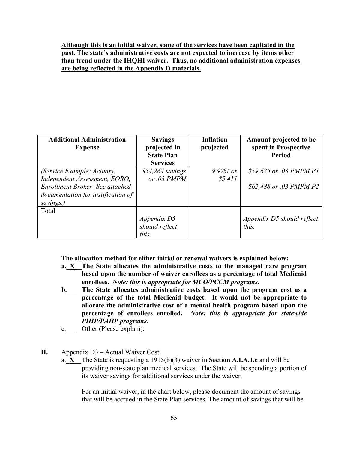## **Although this is an initial waiver, some of the services have been capitated in the past. The state's administrative costs are not expected to increase by items other than trend under the IHQHI waiver. Thus, no additional administration expenses are being reflected in the Appendix D materials.**

| <b>Additional Administration</b><br><b>Expense</b>                                 | <b>Savings</b><br>projected in<br><b>State Plan</b><br><b>Services</b> | <b>Inflation</b><br>projected | Amount projected to be<br>spent in Prospective<br><b>Period</b> |
|------------------------------------------------------------------------------------|------------------------------------------------------------------------|-------------------------------|-----------------------------------------------------------------|
| (Service Example: Actuary,<br>Independent Assessment, EQRO,                        | $$54,264$ savings<br>or $.03$ PMPM                                     | $9.97\%$ or<br>\$5,411        | \$59,675 or .03 PMPM P1                                         |
| Enrollment Broker- See attached<br>documentation for justification of<br>savings.) |                                                                        |                               | \$62,488 or .03 PMPM P2                                         |
| Total                                                                              |                                                                        |                               |                                                                 |
|                                                                                    | Appendix D5                                                            |                               | Appendix D5 should reflect                                      |
|                                                                                    | should reflect                                                         |                               | this.                                                           |
|                                                                                    | this.                                                                  |                               |                                                                 |

**The allocation method for either initial or renewal waivers is explained below:**

- **a.** X The State allocates the administrative costs to the managed care program **based upon the number of waiver enrollees as a percentage of total Medicaid enrollees.** *Note: this is appropriate for MCO/PCCM programs.*
- **b.\_\_\_ The State allocates administrative costs based upon the program cost as a percentage of the total Medicaid budget. It would not be appropriate to allocate the administrative cost of a mental health program based upon the percentage of enrollees enrolled.** *Note: this is appropriate for statewide PIHP/PAHP programs.*
- c. Other (Please explain).
- **H.** Appendix D3 Actual Waiver Cost
	- a.\_**X**\_\_The State is requesting a 1915(b)(3) waiver in **Section A.I.A.1.c** and will be providing non-state plan medical services. The State will be spending a portion of its waiver savings for additional services under the waiver.

For an initial waiver, in the chart below, please document the amount of savings that will be accrued in the State Plan services. The amount of savings that will be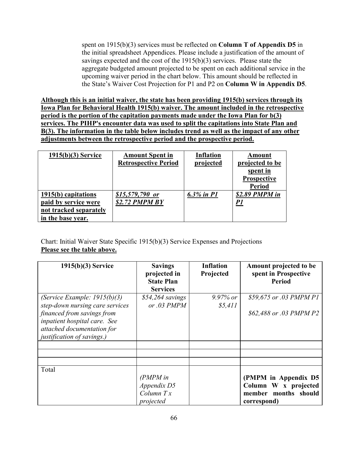spent on 1915(b)(3) services must be reflected on **Column T of Appendix D5** in the initial spreadsheet Appendices. Please include a justification of the amount of savings expected and the cost of the 1915(b)(3) services. Please state the aggregate budgeted amount projected to be spent on each additional service in the upcoming waiver period in the chart below. This amount should be reflected in the State's Waiver Cost Projection for P1 and P2 on **Column W in Appendix D5**.

**Although this is an initial waiver, the state has been providing 1915(b) services through its Iowa Plan for Behavioral Health 1915(b) waiver. The amount included in the retrospective period is the portion of the capitation payments made under the Iowa Plan for b(3) services. The PIHP's encounter data was used to split the capitations into State Plan and B(3). The information in the table below includes trend as well as the impact of any other adjustments between the retrospective period and the prospective period.**

| $1915(b)(3)$ Service                                                                       | <b>Amount Spent in</b><br><b>Retrospective Period</b> | <b>Inflation</b><br>projected | Amount<br>projected to be<br>spent in<br><b>Prospective</b><br><b>Period</b> |
|--------------------------------------------------------------------------------------------|-------------------------------------------------------|-------------------------------|------------------------------------------------------------------------------|
| 1915(b) capitations<br>paid by service were<br>not tracked separately<br>in the base year. | $$15,579,790$ or<br>\$2.72 PMPM BY                    | 6.3% in $PI$                  | \$2.89 PMPM in<br>PI                                                         |

Chart: Initial Waiver State Specific 1915(b)(3) Service Expenses and Projections **Please see the table above.**

| 1915(b)(3) Service                                                                                                     | <b>Savings</b><br>projected in<br><b>State Plan</b><br><b>Services</b> | <b>Inflation</b><br>Projected | Amount projected to be<br>spent in Prospective<br><b>Period</b> |
|------------------------------------------------------------------------------------------------------------------------|------------------------------------------------------------------------|-------------------------------|-----------------------------------------------------------------|
| (Service Example: $1915(b)(3)$<br>step-down nursing care services                                                      | $$54,264$ savings<br>or $.03$ PMPM                                     | $9.97\%$ or<br>\$5,411        | \$59,675 or .03 PMPM P1                                         |
| financed from savings from<br>inpatient hospital care. See<br>attached documentation for<br>justification of savings.) |                                                                        |                               | \$62,488 or .03 PMPM P2                                         |
|                                                                                                                        |                                                                        |                               |                                                                 |
|                                                                                                                        |                                                                        |                               |                                                                 |
| Total                                                                                                                  | $(PMPM)$ in                                                            |                               | (PMPM in Appendix D5                                            |
|                                                                                                                        | Appendix D5<br>Column $Tx$<br>projected                                |                               | Column W x projected<br>member months should<br>correspond)     |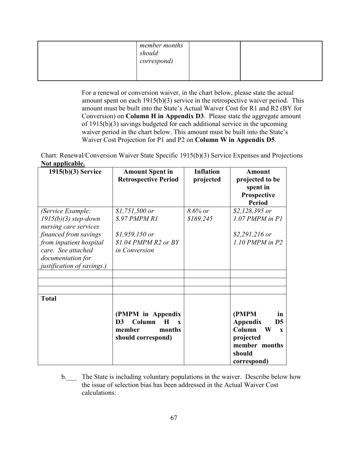| member months<br>should<br>correspond) |  |
|----------------------------------------|--|
|                                        |  |

For a renewal or conversion waiver, in the chart below, please state the actual amount spent on each 1915(b)(3) service in the retrospective waiver period. This amount must be built into the State's Actual Waiver Cost for R1 and R2 (BY for Conversion) on **Column H in Appendix D3**. Please state the aggregate amount of 1915(b)(3) savings budgeted for each additional service in the upcoming waiver period in the chart below. This amount must be built into the State's Waiver Cost Projection for P1 and P2 on **Column W in Appendix D5**.

Chart: Renewal/Conversion Waiver State Specific 1915(b)(3) Service Expenses and Projections **Not applicable.**

| $1915(b)(3)$ Service                                                                                                                                                                              | <b>Amount Spent in</b><br><b>Retrospective Period</b>                                                              | <b>Inflation</b><br>projected | <b>Amount</b><br>projected to be<br>spent in<br>Prospective<br><b>Period</b>                                                              |
|---------------------------------------------------------------------------------------------------------------------------------------------------------------------------------------------------|--------------------------------------------------------------------------------------------------------------------|-------------------------------|-------------------------------------------------------------------------------------------------------------------------------------------|
| (Service Example:<br>$1915(b)(3)$ step-down<br>nursing care services<br>financed from savings<br>from inpatient hospital<br>care. See attached<br>documentation for<br>justification of savings.) | $$1,751,500$ or<br>\$.97 PMPM R1<br>$$1,959,150$ or<br>$$1.04$ PMPM R2 or BY<br>in Conversion                      | 8.6% or<br>\$169,245          | $$2,128,395$ or<br>$1.07$ PMPM in P1<br>$$2,291,216$ or<br>$1.10$ PMPM in P2                                                              |
| <b>Total</b>                                                                                                                                                                                      | (PMPM in Appendix<br>Column<br>D <sub>3</sub><br>$\bf H$<br>$\mathbf{x}$<br>member<br>months<br>should correspond) |                               | (PMPM<br>in<br>Appendix<br>D <sub>5</sub><br>Column<br>$\mathbf W$<br>$\mathbf{x}$<br>projected<br>member months<br>should<br>correspond) |

b. The State is including voluntary populations in the waiver. Describe below how the issue of selection bias has been addressed in the Actual Waiver Cost calculations: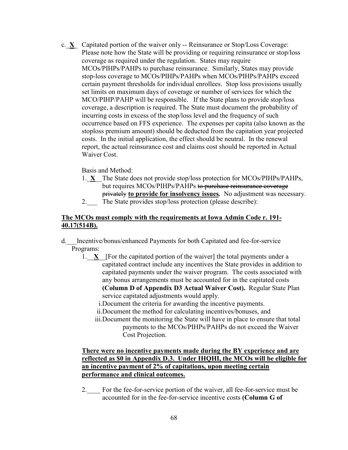c.\_**X**\_ Capitated portion of the waiver only -- Reinsurance or Stop/Loss Coverage: Please note how the State will be providing or requiring reinsurance or stop/loss coverage as required under the regulation. States may require MCOs/PIHPs/PAHPs to purchase reinsurance. Similarly, States may provide stop-loss coverage to MCOs/PIHPs/PAHPs when MCOs/PIHPs/PAHPs exceed certain payment thresholds for individual enrollees. Stop loss provisions usually set limits on maximum days of coverage or number of services for which the MCO/PIHP/PAHP will be responsible. If the State plans to provide stop/loss coverage, a description is required. The State must document the probability of incurring costs in excess of the stop/loss level and the frequency of such occurrence based on FFS experience. The expenses per capita (also known as the stoploss premium amount) should be deducted from the capitation year projected costs. In the initial application, the effect should be neutral. In the renewal report, the actual reinsurance cost and claims cost should be reported in Actual Waiver Cost.

## Basis and Method:

- 1.\_**X**\_\_The State does not provide stop/loss protection for MCOs/PIHPs/PAHPs, but requires MCOs/PIHPs/PAHPs to purchase reinsurance coverage privately **to provide for insolvency issues***.* No adjustment was necessary.
- 2. The State provides stop/loss protection (please describe):

## **The MCOs must comply with the requirements at Iowa Admin Code r. 191- 40.17(514B).**

- d.\_\_\_Incentive/bonus/enhanced Payments for both Capitated and fee-for-service Programs:
	- 1.\_\_**X**\_\_[For the capitated portion of the waiver] the total payments under a capitated contract include any incentives the State provides in addition to capitated payments under the waiver program. The costs associated with any bonus arrangements must be accounted for in the capitated costs **(Column D of Appendix D3 Actual Waiver Cost).** Regular State Plan service capitated adjustments would apply.
		- i.Document the criteria for awarding the incentive payments.
		- ii.Document the method for calculating incentives/bonuses, and
		- iii.Document the monitoring the State will have in place to ensure that total payments to the MCOs/PIHPs/PAHPs do not exceed the Waiver Cost Projection.

# **There were no incentive payments made during the BY experience and are reflected as \$0 in Appendix D.3. Under IHQHI, the MCOs will be eligible for an incentive payment of 2% of capitations, upon meeting certain performance and clinical outcomes.**

2. For the fee-for-service portion of the waiver, all fee-for-service must be accounted for in the fee-for-service incentive costs **(Column G of**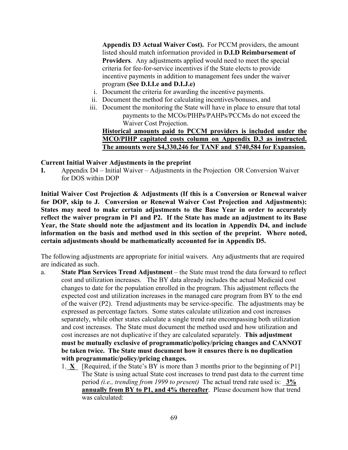**Appendix D3 Actual Waiver Cost).** For PCCM providers, the amount listed should match information provided in **D.I.D Reimbursement of Providers**. Any adjustments applied would need to meet the special criteria for fee-for-service incentives if the State elects to provide incentive payments in addition to management fees under the waiver program **(See D.I.I.e and D.I.J.e)**

- i. Document the criteria for awarding the incentive payments.
- ii. Document the method for calculating incentives/bonuses, and
- iii. Document the monitoring the State will have in place to ensure that total payments to the MCOs/PIHPs/PAHPs/PCCMs do not exceed the Waiver Cost Projection.

# **Historical amounts paid to PCCM providers is included under the MCO/PIHP capitated costs column on Appendix D.3 as instructed. The amounts were \$4,330,246 for TANF and \$740,584 for Expansion.**

### **Current Initial Waiver Adjustments in the preprint**

**I.** Appendix D4 – Initial Waiver – Adjustments in the Projection OR Conversion Waiver for DOS within DOP

**Initial Waiver Cost Projection & Adjustments (If this is a Conversion or Renewal waiver for DOP, skip to J. Conversion or Renewal Waiver Cost Projection and Adjustments): States may need to make certain adjustments to the Base Year in order to accurately reflect the waiver program in P1 and P2. If the State has made an adjustment to its Base Year, the State should note the adjustment and its location in Appendix D4, and include information on the basis and method used in this section of the preprint. Where noted, certain adjustments should be mathematically accounted for in Appendix D5.** 

The following adjustments are appropriate for initial waivers. Any adjustments that are required are indicated as such.

- a. **State Plan Services Trend Adjustment**  the State must trend the data forward to reflect cost and utilization increases. The BY data already includes the actual Medicaid cost changes to date for the population enrolled in the program. This adjustment reflects the expected cost and utilization increases in the managed care program from BY to the end of the waiver (P2). Trend adjustments may be service-specific. The adjustments may be expressed as percentage factors. Some states calculate utilization and cost increases separately, while other states calculate a single trend rate encompassing both utilization and cost increases. The State must document the method used and how utilization and cost increases are not duplicative if they are calculated separately. **This adjustment must be mutually exclusive of programmatic/policy/pricing changes and CANNOT be taken twice. The State must document how it ensures there is no duplication with programmatic/policy/pricing changes.**
	- 1.  $X$  [Required, if the State's BY is more than 3 months prior to the beginning of P1] The State is using actual State cost increases to trend past data to the current time period *(i.e., trending from 1999 to present)* The actual trend rate used is: \_**3% annually from BY to P1, and 4% thereafter**. Please document how that trend was calculated: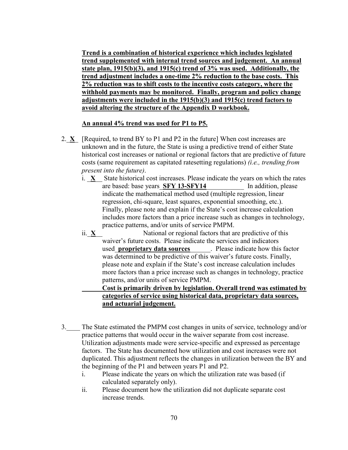**Trend is a combination of historical experience which includes legislated trend supplemented with internal trend sources and judgement. An annual state plan, 1915(b)(3), and 1915(c) trend of 3% was used. Additionally, the trend adjustment includes a one-time 2% reduction to the base costs. This 2% reduction was to shift costs to the incentive costs category, where the withhold payments may be monitored. Finally, program and policy change adjustments were included in the 1915(b)(3) and 1915(c) trend factors to avoid altering the structure of the Appendix D workbook.**

## **An annual 4% trend was used for P1 to P5.**

- 2. **X** [Required, to trend BY to P1 and P2 in the future] When cost increases are unknown and in the future, the State is using a predictive trend of either State historical cost increases or national or regional factors that are predictive of future costs (same requirement as capitated ratesetting regulations) *(i.e., trending from present into the future)*.
	- i.  $X$  State historical cost increases. Please indicate the years on which the rates are based: base years  $SFY 13-SFY14$  In addition, please indicate the mathematical method used (multiple regression, linear regression, chi-square, least squares, exponential smoothing, etc.). Finally, please note and explain if the State's cost increase calculation includes more factors than a price increase such as changes in technology, practice patterns, and/or units of service PMPM.
	- ii.  $X$  National or regional factors that are predictive of this waiver's future costs. Please indicate the services and indicators used\_**proprietary data sources**\_\_\_\_\_\_. Please indicate how this factor was determined to be predictive of this waiver's future costs. Finally, please note and explain if the State's cost increase calculation includes more factors than a price increase such as changes in technology, practice patterns, and/or units of service PMPM.

# **Cost is primarily driven by legislation. Overall trend was estimated by categories of service using historical data, proprietary data sources, and actuarial judgement.**

- 3.\_\_\_\_ The State estimated the PMPM cost changes in units of service, technology and/or practice patterns that would occur in the waiver separate from cost increase. Utilization adjustments made were service-specific and expressed as percentage factors. The State has documented how utilization and cost increases were not duplicated. This adjustment reflects the changes in utilization between the BY and the beginning of the P1 and between years P1 and P2.
	- i. Please indicate the years on which the utilization rate was based (if calculated separately only).
	- ii. Please document how the utilization did not duplicate separate cost increase trends.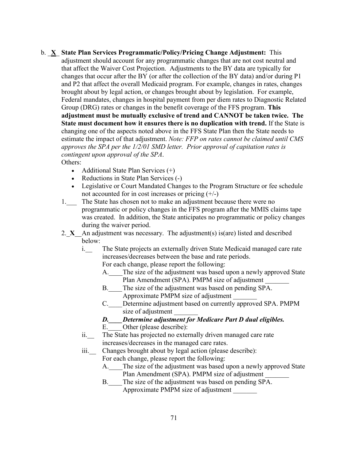- b. \_**X**\_ **State Plan Services Programmatic/Policy/Pricing Change Adjustment:** This adjustment should account for any programmatic changes that are not cost neutral and that affect the Waiver Cost Projection. Adjustments to the BY data are typically for changes that occur after the BY (or after the collection of the BY data) and/or during P1 and P2 that affect the overall Medicaid program. For example, changes in rates, changes brought about by legal action, or changes brought about by legislation. For example, Federal mandates, changes in hospital payment from per diem rates to Diagnostic Related Group (DRG) rates or changes in the benefit coverage of the FFS program. **This adjustment must be mutually exclusive of trend and CANNOT be taken twice. The State must document how it ensures there is no duplication with trend.** If the State is changing one of the aspects noted above in the FFS State Plan then the State needs to estimate the impact of that adjustment. *Note: FFP on rates cannot be claimed until CMS approves the SPA per the 1/2/01 SMD letter. Prior approval of capitation rates is contingent upon approval of the SPA*. Others:
	- Additional State Plan Services  $(+)$
	- Reductions in State Plan Services (-)
	- Legislative or Court Mandated Changes to the Program Structure or fee schedule not accounted for in cost increases or pricing (+/-)
	- 1. The State has chosen not to make an adjustment because there were no programmatic or policy changes in the FFS program after the MMIS claims tape was created. In addition, the State anticipates no programmatic or policy changes during the waiver period.
	- 2. **X** An adjustment was necessary. The adjustment(s) is(are) listed and described below:
		- i. The State projects an externally driven State Medicaid managed care rate increases/decreases between the base and rate periods.

For each change, please report the following:

- A. The size of the adjustment was based upon a newly approved State Plan Amendment (SPA). PMPM size of adjustment
- B. The size of the adjustment was based on pending SPA. Approximate PMPM size of adjustment \_\_\_\_\_\_\_
- C.\_\_\_\_Determine adjustment based on currently approved SPA. PMPM size of adjustment
- *D.\_\_\_\_Determine adjustment for Medicare Part D dual eligibles.*
- E. Other (please describe):
- ii. The State has projected no externally driven managed care rate increases/decreases in the managed care rates.
- iii.\_\_ Changes brought about by legal action (please describe): For each change, please report the following:
	- A. The size of the adjustment was based upon a newly approved State Plan Amendment (SPA). PMPM size of adjustment
	- B. The size of the adjustment was based on pending SPA. Approximate PMPM size of adjustment \_\_\_\_\_\_\_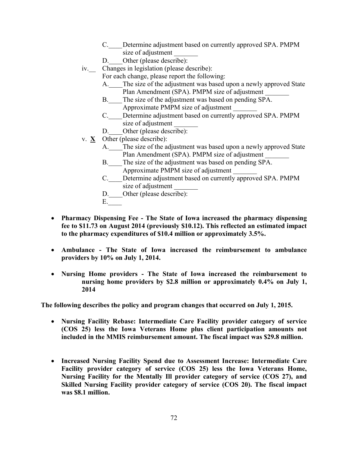- C. Determine adjustment based on currently approved SPA. PMPM size of adjustment
- D. Other (please describe):
- iv.\_\_ Changes in legislation (please describe):
	- For each change, please report the following:
		- A. The size of the adjustment was based upon a newly approved State Plan Amendment (SPA). PMPM size of adjustment
		- B. The size of the adjustment was based on pending SPA. Approximate PMPM size of adjustment \_\_\_\_\_\_\_
		- C.\_\_\_\_Determine adjustment based on currently approved SPA. PMPM size of adjustment
		- D. Other (please describe):
- v. **X** Other (please describe):
	- A. The size of the adjustment was based upon a newly approved State Plan Amendment (SPA). PMPM size of adjustment
	- B. The size of the adjustment was based on pending SPA. Approximate PMPM size of adjustment \_\_\_\_\_\_\_
	- C.\_\_\_\_Determine adjustment based on currently approved SPA. PMPM size of adjustment
	- D. Other (please describe):
	- E.\_\_\_\_
- **Pharmacy Dispensing Fee - The State of Iowa increased the pharmacy dispensing fee to \$11.73 on August 2014 (previously \$10.12). This reflected an estimated impact to the pharmacy expenditures of \$10.4 million or approximately 3.5%.**
- **Ambulance - The State of Iowa increased the reimbursement to ambulance providers by 10% on July 1, 2014.**
- **Nursing Home providers - The State of Iowa increased the reimbursement to nursing home providers by \$2.8 million or approximately 0.4% on July 1, 2014**

**The following describes the policy and program changes that occurred on July 1, 2015.**

- **Nursing Facility Rebase: Intermediate Care Facility provider category of service (COS 25) less the Iowa Veterans Home plus client participation amounts not included in the MMIS reimbursement amount. The fiscal impact was \$29.8 million.**
- **Increased Nursing Facility Spend due to Assessment Increase: Intermediate Care Facility provider category of service (COS 25) less the Iowa Veterans Home, Nursing Facility for the Mentally Ill provider category of service (COS 27), and Skilled Nursing Facility provider category of service (COS 20). The fiscal impact was \$8.1 million.**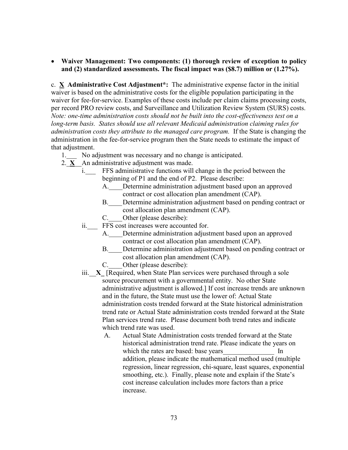• **Waiver Management: Two components: (1) thorough review of exception to policy and (2) standardized assessments. The fiscal impact was (\$8.7) million or (1.27%).**

c. **X Administrative Cost Adjustment\*:** The administrative expense factor in the initial waiver is based on the administrative costs for the eligible population participating in the waiver for fee-for-service. Examples of these costs include per claim claims processing costs, per record PRO review costs, and Surveillance and Utilization Review System (SURS) costs. *Note: one-time administration costs should not be built into the cost-effectiveness test on a long-term basis. States should use all relevant Medicaid administration claiming rules for administration costs they attribute to the managed care program.* If the State is changing the administration in the fee-for-service program then the State needs to estimate the impact of that adjustment.

- 1. No adjustment was necessary and no change is anticipated.
- 2. $X$  An administrative adjustment was made.
	- i. FFS administrative functions will change in the period between the beginning of P1 and the end of P2. Please describe:
		- A. Determine administration adjustment based upon an approved contract or cost allocation plan amendment (CAP).
		- B. Determine administration adjustment based on pending contract or cost allocation plan amendment (CAP).
		- C. Other (please describe):
	- ii.\_\_\_ FFS cost increases were accounted for.
		- A. Determine administration adjustment based upon an approved contract or cost allocation plan amendment (CAP).
		- B. Determine administration adjustment based on pending contract or cost allocation plan amendment (CAP).
		- C. Other (please describe):
	- iii.\_\_**X\_** [Required, when State Plan services were purchased through a sole source procurement with a governmental entity. No other State administrative adjustment is allowed.] If cost increase trends are unknown and in the future, the State must use the lower of: Actual State administration costs trended forward at the State historical administration trend rate or Actual State administration costs trended forward at the State Plan services trend rate. Please document both trend rates and indicate which trend rate was used.
		- A. Actual State Administration costs trended forward at the State historical administration trend rate. Please indicate the years on which the rates are based: base years Theorem In addition, please indicate the mathematical method used (multiple regression, linear regression, chi-square, least squares, exponential smoothing, etc.). Finally, please note and explain if the State's cost increase calculation includes more factors than a price increase.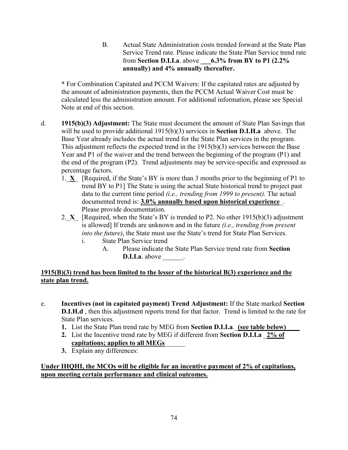B. Actual State Administration costs trended forward at the State Plan Service Trend rate. Please indicate the State Plan Service trend rate from **Section D.I.I.a**. above **\_\_\_6.3% from BY to P1 (2.2% annually) and 4% annually thereafter.**

\* For Combination Capitated and PCCM Waivers: If the capitated rates are adjusted by the amount of administration payments, then the PCCM Actual Waiver Cost must be calculated less the administration amount. For additional information, please see Special Note at end of this section.

- d. **1915(b)(3) Adjustment:** The State must document the amount of State Plan Savings that will be used to provide additional 1915(b)(3) services in **Section D.I.H.a** above. The Base Year already includes the actual trend for the State Plan services in the program. This adjustment reflects the expected trend in the 1915(b)(3) services between the Base Year and P1 of the waiver and the trend between the beginning of the program (P1) and the end of the program (P2). Trend adjustments may be service-specific and expressed as percentage factors.
	- 1.\_**X**\_ [Required, if the State's BY is more than 3 months prior to the beginning of P1 to trend BY to P1] The State is using the actual State historical trend to project past data to the current time period *(i.e., trending from 1999 to present).* The actual documented trend is: **3.0% annually based upon historical experience**\_. Please provide documentation.
	- 2. **X** [Required, when the State's BY is trended to P2. No other 1915(b)(3) adjustment is allowed] If trends are unknown and in the future *(i.e., trending from present into the future)*, the State must use the State's trend for State Plan Services.
		- i. State Plan Service trend
			- A. Please indicate the State Plan Service trend rate from **Section D.I.I.a**. above  $\qquad$ .

# **1915(B)(3) trend has been limited to the lesser of the historical B(3) experience and the state plan trend.**

- e. **Incentives (not in capitated payment) Trend Adjustment:** If the State marked **Section D.I.H.d** , then this adjustment reports trend for that factor. Trend is limited to the rate for State Plan services.
	- **1.** List the State Plan trend rate by MEG from **Section D.I.I.a**. **(see table below)**
	- **2.** List the Incentive trend rate by MEG if different from **Section D.I.I.a** \_**2% of capitations; applies to all MEGs**\_\_\_\_\_\_
	- **3.** Explain any differences:

**Under IHQHI, the MCOs will be eligible for an incentive payment of 2% of capitations, upon meeting certain performance and clinical outcomes.**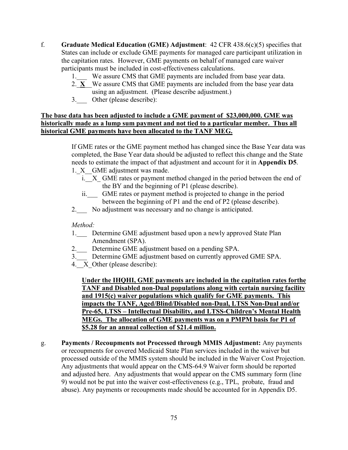- f. **Graduate Medical Education (GME) Adjustment**: 42 CFR 438.6(c)(5) specifies that States can include or exclude GME payments for managed care participant utilization in the capitation rates. However, GME payments on behalf of managed care waiver participants must be included in cost-effectiveness calculations.
	- 1. We assure CMS that GME payments are included from base year data.
	- 2.  $\overline{X}$  We assure CMS that GME payments are included from the base year data using an adjustment. (Please describe adjustment.)
	- 3. Other (please describe):

### **The base data has been adjusted to include a GME payment of \$23,000,000. GME was historically made as a lump sum payment and not tied to a particular member. Thus all historical GME payments have been allocated to the TANF MEG.**

If GME rates or the GME payment method has changed since the Base Year data was completed, the Base Year data should be adjusted to reflect this change and the State needs to estimate the impact of that adjustment and account for it in **Appendix D5**.

- 1. X GME adjustment was made.
	- i. X GME rates or payment method changed in the period between the end of the BY and the beginning of P1 (please describe).
	- ii.\_\_\_ GME rates or payment method is projected to change in the period between the beginning of P1 and the end of P2 (please describe).
- 2.\_\_\_ No adjustment was necessary and no change is anticipated.

#### *Method:*

- 1. Determine GME adjustment based upon a newly approved State Plan Amendment (SPA).
- 2. Determine GME adjustment based on a pending SPA.
- 3. Determine GME adjustment based on currently approved GME SPA.
- 4. X Other (please describe):

**Under the IHQHI, GME payments are included in the capitation rates forthe TANF and Disabled non-Dual populations along with certain nursing facility and 1915(c) waiver populations which qualify for GME payments. This impacts the TANF, Aged/Blind/Disabled non-Dual, LTSS Non-Dual and/or Pre-65, LTSS – Intellectual Disability, and LTSS-Children's Mental Health MEGs. The allocation of GME payments was on a PMPM basis for P1 of \$5.28 for an annual collection of \$21.4 million.** 

g. **Payments / Recoupments not Processed through MMIS Adjustment:** Any payments or recoupments for covered Medicaid State Plan services included in the waiver but processed outside of the MMIS system should be included in the Waiver Cost Projection. Any adjustments that would appear on the CMS-64.9 Waiver form should be reported and adjusted here. Any adjustments that would appear on the CMS summary form (line 9) would not be put into the waiver cost-effectiveness (e.g., TPL, probate, fraud and abuse). Any payments or recoupments made should be accounted for in Appendix D5.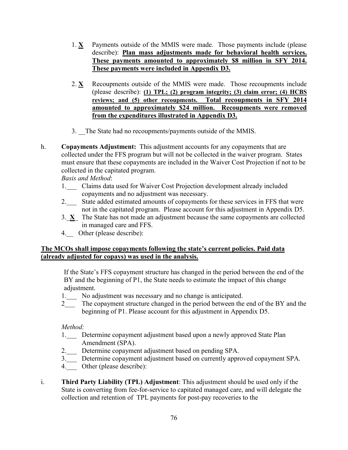- 1. **X** Payments outside of the MMIS were made. Those payments include (please describe): **Plan mass adjustments made for behavioral health services. These payments amounted to approximately \$8 million in SFY 2014. These payments were included in Appendix D3.**
- 2.  $X$  Recoupments outside of the MMIS were made. Those recoupments include (please describe): **(1) TPL; (2) program integrity; (3) claim error; (4) HCBS reviews; and (5) other recoupments. Total recoupments in SFY 2014 amounted to approximately \$24 million. Recoupments were removed from the expenditures illustrated in Appendix D3.**
- 3. The State had no recoupments/payments outside of the MMIS.
- h. **Copayments Adjustment:** This adjustment accounts for any copayments that are collected under the FFS program but will not be collected in the waiver program. States must ensure that these copayments are included in the Waiver Cost Projection if not to be collected in the capitated program.

*Basis and Method*:

- 1. Claims data used for Waiver Cost Projection development already included copayments and no adjustment was necessary.
- 2. State added estimated amounts of copayments for these services in FFS that were not in the capitated program. Please account for this adjustment in Appendix D5.
- 3.\_**X**\_ The State has not made an adjustment because the same copayments are collected in managed care and FFS.
- 4. Other (please describe):

### **The MCOs shall impose copayments following the state's current policies. Paid data (already adjusted for copays) was used in the analysis.**

If the State's FFS copayment structure has changed in the period between the end of the BY and the beginning of P1, the State needs to estimate the impact of this change adjustment.

- 1. No adjustment was necessary and no change is anticipated.
- 2 The copayment structure changed in the period between the end of the BY and the beginning of P1. Please account for this adjustment in Appendix D5.

*Method:*

- 1. Determine copayment adjustment based upon a newly approved State Plan Amendment (SPA).
- 2.\_\_\_ Determine copayment adjustment based on pending SPA.
- 3.\_\_\_ Determine copayment adjustment based on currently approved copayment SPA.
- 4. Other (please describe):
- i. **Third Party Liability (TPL) Adjustment**: This adjustment should be used only if the State is converting from fee-for-service to capitated managed care, and will delegate the collection and retention of TPL payments for post-pay recoveries to the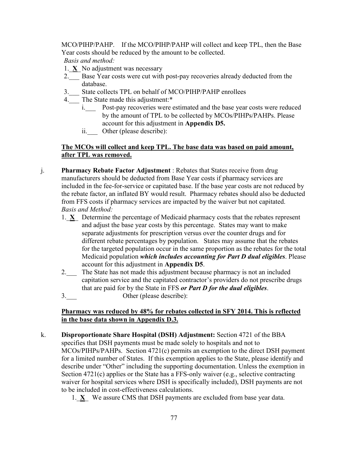MCO/PIHP/PAHP. If the MCO/PIHP/PAHP will collect and keep TPL, then the Base Year costs should be reduced by the amount to be collected. *Basis and method:*

- 1.\_**X**\_ No adjustment was necessary
- 2. Base Year costs were cut with post-pay recoveries already deducted from the database.
- 3.\_\_\_ State collects TPL on behalf of MCO/PIHP/PAHP enrollees
- 4.\_\_\_ The State made this adjustment:\*
	- i. Post-pay recoveries were estimated and the base year costs were reduced by the amount of TPL to be collected by MCOs/PIHPs/PAHPs. Please account for this adjustment in **Appendix D5.**
	- ii. Other (please describe):

### **The MCOs will collect and keep TPL. The base data was based on paid amount, after TPL was removed.**

- j. **Pharmacy Rebate Factor Adjustment** : Rebates that States receive from drug manufacturers should be deducted from Base Year costs if pharmacy services are included in the fee-for-service or capitated base. If the base year costs are not reduced by the rebate factor, an inflated BY would result. Pharmacy rebates should also be deducted from FFS costs if pharmacy services are impacted by the waiver but not capitated. *Basis and Method:*
	- 1.\_**X**\_ Determine the percentage of Medicaid pharmacy costs that the rebates represent and adjust the base year costs by this percentage. States may want to make separate adjustments for prescription versus over the counter drugs and for different rebate percentages by population. States may assume that the rebates for the targeted population occur in the same proportion as the rebates for the total Medicaid population *which includes accounting for Part D dual eligibles*. Please account for this adjustment in **Appendix D5**.
	- 2.\_\_\_ The State has not made this adjustment because pharmacy is not an included capitation service and the capitated contractor's providers do not prescribe drugs that are paid for by the State in FFS *or Part D for the dual eligibles*.
	- 3. Other (please describe):

### **Pharmacy was reduced by 48% for rebates collected in SFY 2014. This is reflected in the base data shown in Appendix D.3.**

k. **Disproportionate Share Hospital (DSH) Adjustment:** Section 4721 of the BBA specifies that DSH payments must be made solely to hospitals and not to MCOs/PIHPs/PAHPs. Section 4721(c) permits an exemption to the direct DSH payment for a limited number of States. If this exemption applies to the State, please identify and describe under "Other" including the supporting documentation. Unless the exemption in Section 4721(c) applies or the State has a FFS-only waiver (e.g., selective contracting waiver for hospital services where DSH is specifically included), DSH payments are not to be included in cost-effectiveness calculations.

1.\_**X**\_ We assure CMS that DSH payments are excluded from base year data.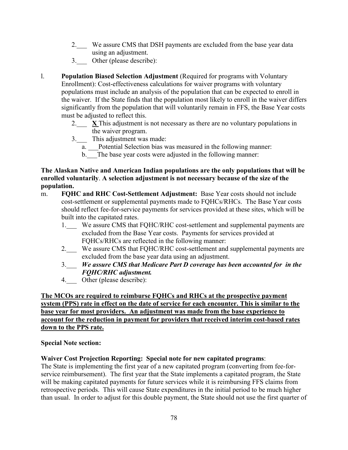- 2. We assure CMS that DSH payments are excluded from the base year data using an adjustment.
- 3.\_\_\_ Other (please describe):
- l. **Population Biased Selection Adjustment** (Required for programs with Voluntary Enrollment): Cost-effectiveness calculations for waiver programs with voluntary populations must include an analysis of the population that can be expected to enroll in the waiver. If the State finds that the population most likely to enroll in the waiver differs significantly from the population that will voluntarily remain in FFS, the Base Year costs must be adjusted to reflect this.
	- 2.  $\mathbf{X}$  This adjustment is not necessary as there are no voluntary populations in the waiver program.
	- 3.\_\_\_ This adjustment was made:
		- a. \_\_\_Potential Selection bias was measured in the following manner:
		- b. The base year costs were adjusted in the following manner:

### **The Alaskan Native and American Indian populations are the only populations that will be enrolled voluntarily**. **A selection adjustment is not necessary because of the size of the population.**

- m. **FQHC and RHC Cost-Settlement Adjustment:** Base Year costs should not include cost-settlement or supplemental payments made to FQHCs/RHCs. The Base Year costs should reflect fee-for-service payments for services provided at these sites, which will be built into the capitated rates.
	- 1.\_\_\_ We assure CMS that FQHC/RHC cost-settlement and supplemental payments are excluded from the Base Year costs. Payments for services provided at FQHCs/RHCs are reflected in the following manner:
	- 2.\_\_\_ We assure CMS that FQHC/RHC cost-settlement and supplemental payments are excluded from the base year data using an adjustment.
	- 3.\_\_\_ *We assure CMS that Medicare Part D coverage has been accounted for in the FQHC/RHC adjustment.*
	- 4. Other (please describe):

#### **The MCOs are required to reimburse FQHCs and RHCs at the prospective payment system (PPS) rate in effect on the date of service for each encounter. This is similar to the base year for most providers. An adjustment was made from the base experience to account for the reduction in payment for providers that received interim cost-based rates down to the PPS rate.**

#### **Special Note section:**

### **Waiver Cost Projection Reporting: Special note for new capitated programs**:

The State is implementing the first year of a new capitated program (converting from fee-forservice reimbursement). The first year that the State implements a capitated program, the State will be making capitated payments for future services while it is reimbursing FFS claims from retrospective periods. This will cause State expenditures in the initial period to be much higher than usual. In order to adjust for this double payment, the State should not use the first quarter of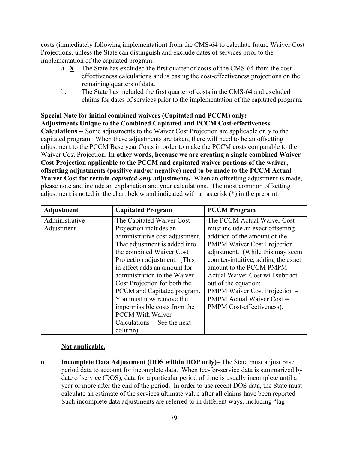costs (immediately following implementation) from the CMS-64 to calculate future Waiver Cost Projections, unless the State can distinguish and exclude dates of services prior to the implementation of the capitated program.

- a.  $X$  The State has excluded the first quarter of costs of the CMS-64 from the costeffectiveness calculations and is basing the cost-effectiveness projections on the remaining quarters of data.
- b. The State has included the first quarter of costs in the CMS-64 and excluded claims for dates of services prior to the implementation of the capitated program.

### **Special Note for initial combined waivers (Capitated and PCCM) only: Adjustments Unique to the Combined Capitated and PCCM Cost-effectiveness Calculations --** Some adjustments to the Waiver Cost Projection are applicable only to the capitated program. When these adjustments are taken, there will need to be an offsetting adjustment to the PCCM Base year Costs in order to make the PCCM costs comparable to the Waiver Cost Projection. **In other words, because we are creating a single combined Waiver Cost Projection applicable to the PCCM and capitated waiver portions of the waiver, offsetting adjustments (positive and/or negative) need to be made to the PCCM Actual Waiver Cost for certain** *capitated-only* **adjustments.** When an offsetting adjustment is made, please note and include an explanation and your calculations. The most common offsetting adjustment is noted in the chart below and indicated with an asterisk (\*) in the preprint.

| Adjustment                   | <b>Capitated Program</b>                                                                                                                                                                                                                                                                                                                                                                                                                 | <b>PCCM</b> Program                                                                                                                                                                                                                                                                                                                                                                                        |
|------------------------------|------------------------------------------------------------------------------------------------------------------------------------------------------------------------------------------------------------------------------------------------------------------------------------------------------------------------------------------------------------------------------------------------------------------------------------------|------------------------------------------------------------------------------------------------------------------------------------------------------------------------------------------------------------------------------------------------------------------------------------------------------------------------------------------------------------------------------------------------------------|
| Administrative<br>Adjustment | The Capitated Waiver Cost<br>Projection includes an<br>administrative cost adjustment.<br>That adjustment is added into<br>the combined Waiver Cost<br>Projection adjustment. (This<br>in effect adds an amount for<br>administration to the Waiver<br>Cost Projection for both the<br>PCCM and Capitated program.<br>You must now remove the<br>impermissible costs from the<br><b>PCCM</b> With Waiver<br>Calculations -- See the next | The PCCM Actual Waiver Cost<br>must include an exact offsetting<br>addition of the amount of the<br><b>PMPM Waiver Cost Projection</b><br>adjustment. (While this may seem<br>counter-intuitive, adding the exact<br>amount to the PCCM PMPM<br>Actual Waiver Cost will subtract<br>out of the equation:<br>PMPM Waiver Cost Projection -<br><b>PMPM</b> Actual Waiver Cost =<br>PMPM Cost-effectiveness). |
|                              | column)                                                                                                                                                                                                                                                                                                                                                                                                                                  |                                                                                                                                                                                                                                                                                                                                                                                                            |

# **Not applicable.**

n. **Incomplete Data Adjustment (DOS within DOP only)**– The State must adjust base period data to account for incomplete data. When fee-for-service data is summarized by date of service (DOS), data for a particular period of time is usually incomplete until a year or more after the end of the period. In order to use recent DOS data, the State must calculate an estimate of the services ultimate value after all claims have been reported . Such incomplete data adjustments are referred to in different ways, including "lag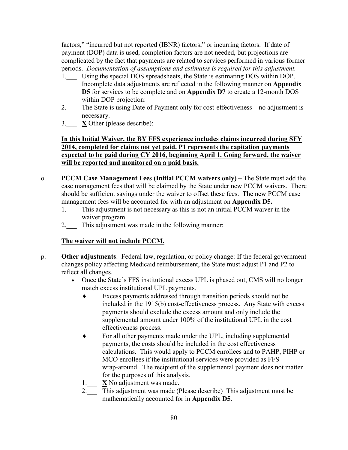factors," "incurred but not reported (IBNR) factors," or incurring factors. If date of payment (DOP) data is used, completion factors are not needed, but projections are complicated by the fact that payments are related to services performed in various former periods. *Documentation of assumptions and estimates is required for this adjustment.*

- 1. Using the special DOS spreadsheets, the State is estimating DOS within DOP. Incomplete data adjustments are reflected in the following manner on **Appendix D5** for services to be complete and on **Appendix D7** to create a 12-month DOS within DOP projection:
- 2. The State is using Date of Payment only for cost-effectiveness no adjustment is necessary.
- 3.\_\_\_ **X** Other (please describe):

### **In this Initial Waiver, the BY FFS experience includes claims incurred during SFY 2014, completed for claims not yet paid. P1 represents the capitation payments expected to be paid during CY 2016, beginning April 1. Going forward, the waiver will be reported and monitored on a paid basis.**

- o. **PCCM Case Management Fees (Initial PCCM waivers only) –** The State must add the case management fees that will be claimed by the State under new PCCM waivers. There should be sufficient savings under the waiver to offset these fees. The new PCCM case management fees will be accounted for with an adjustment on **Appendix D5.**
	- 1. This adjustment is not necessary as this is not an initial PCCM waiver in the waiver program.
	- 2. This adjustment was made in the following manner:

# **The waiver will not include PCCM.**

- p. **Other adjustments**: Federal law, regulation, or policy change: If the federal government changes policy affecting Medicaid reimbursement, the State must adjust P1 and P2 to reflect all changes.
	- Once the State's FFS institutional excess UPL is phased out, CMS will no longer match excess institutional UPL payments.
		- ♦ Excess payments addressed through transition periods should not be included in the 1915(b) cost-effectiveness process. Any State with excess payments should exclude the excess amount and only include the supplemental amount under 100% of the institutional UPL in the cost effectiveness process.
		- ♦ For all other payments made under the UPL, including supplemental payments, the costs should be included in the cost effectiveness calculations. This would apply to PCCM enrollees and to PAHP, PIHP or MCO enrollees if the institutional services were provided as FFS wrap-around. The recipient of the supplemental payment does not matter for the purposes of this analysis.
		- 1.\_\_\_ **X** No adjustment was made.
		- 2.<sup>2</sup> This adjustment was made (Please describe) This adjustment must be mathematically accounted for in **Appendix D5**.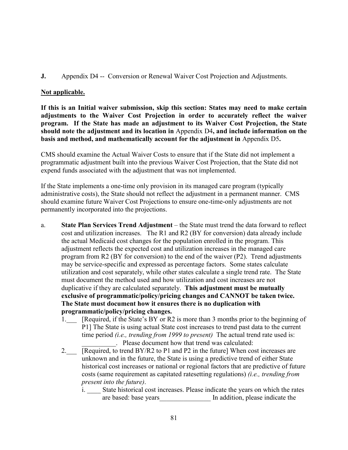**J.** Appendix D4 -- Conversion or Renewal Waiver Cost Projection and Adjustments.

#### **Not applicable.**

**If this is an Initial waiver submission, skip this section: States may need to make certain adjustments to the Waiver Cost Projection in order to accurately reflect the waiver program. If the State has made an adjustment to its Waiver Cost Projection, the State should note the adjustment and its location in** Appendix D4**, and include information on the basis and method, and mathematically account for the adjustment in** Appendix D5**.** 

CMS should examine the Actual Waiver Costs to ensure that if the State did not implement a programmatic adjustment built into the previous Waiver Cost Projection, that the State did not expend funds associated with the adjustment that was not implemented.

If the State implements a one-time only provision in its managed care program (typically administrative costs), the State should not reflect the adjustment in a permanent manner. CMS should examine future Waiver Cost Projections to ensure one-time-only adjustments are not permanently incorporated into the projections.

- a. **State Plan Services Trend Adjustment**  the State must trend the data forward to reflect cost and utilization increases. The R1 and R2 (BY for conversion) data already include the actual Medicaid cost changes for the population enrolled in the program. This adjustment reflects the expected cost and utilization increases in the managed care program from R2 (BY for conversion) to the end of the waiver (P2). Trend adjustments may be service-specific and expressed as percentage factors. Some states calculate utilization and cost separately, while other states calculate a single trend rate. The State must document the method used and how utilization and cost increases are not duplicative if they are calculated separately. **This adjustment must be mutually exclusive of programmatic/policy/pricing changes and CANNOT be taken twice. The State must document how it ensures there is no duplication with programmatic/policy/pricing changes.**
	- 1. [Required, if the State's BY or R2 is more than 3 months prior to the beginning of P1] The State is using actual State cost increases to trend past data to the current time period *(i.e., trending from 1999 to present)* The actual trend rate used is: . Please document how that trend was calculated:
	- 2.\_\_\_ [Required, to trend BY/R2 to P1 and P2 in the future] When cost increases are unknown and in the future, the State is using a predictive trend of either State historical cost increases or national or regional factors that are predictive of future costs (same requirement as capitated ratesetting regulations) *(i.e., trending from present into the future)*.
		- i. State historical cost increases. Please indicate the years on which the rates are based: base years **are indicate** the In addition, please indicate the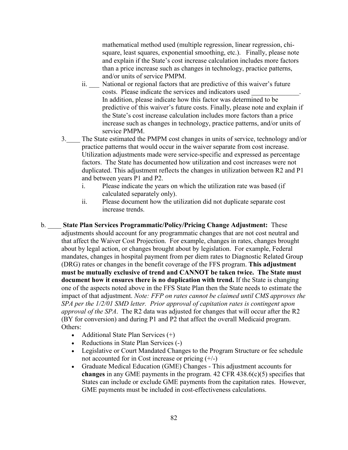mathematical method used (multiple regression, linear regression, chisquare, least squares, exponential smoothing, etc.). Finally, please note and explain if the State's cost increase calculation includes more factors than a price increase such as changes in technology, practice patterns, and/or units of service PMPM.

- ii. National or regional factors that are predictive of this waiver's future costs. Please indicate the services and indicators used \_\_\_\_\_\_\_\_\_\_\_\_\_\_. In addition, please indicate how this factor was determined to be predictive of this waiver's future costs. Finally, please note and explain if the State's cost increase calculation includes more factors than a price increase such as changes in technology, practice patterns, and/or units of service PMPM.
- 3.\_\_\_\_ The State estimated the PMPM cost changes in units of service, technology and/or practice patterns that would occur in the waiver separate from cost increase. Utilization adjustments made were service-specific and expressed as percentage factors. The State has documented how utilization and cost increases were not duplicated. This adjustment reflects the changes in utilization between R2 and P1 and between years P1 and P2.
	- i. Please indicate the years on which the utilization rate was based (if calculated separately only).
	- ii. Please document how the utilization did not duplicate separate cost increase trends.
- b. \_\_\_\_ **State Plan Services Programmatic/Policy/Pricing Change Adjustment:** These adjustments should account for any programmatic changes that are not cost neutral and that affect the Waiver Cost Projection. For example, changes in rates, changes brought about by legal action, or changes brought about by legislation. For example, Federal mandates, changes in hospital payment from per diem rates to Diagnostic Related Group (DRG) rates or changes in the benefit coverage of the FFS program. **This adjustment must be mutually exclusive of trend and CANNOT be taken twice. The State must document how it ensures there is no duplication with trend.** If the State is changing one of the aspects noted above in the FFS State Plan then the State needs to estimate the impact of that adjustment. *Note: FFP on rates cannot be claimed until CMS approves the SPA per the 1/2/01 SMD letter. Prior approval of capitation rates is contingent upon approval of the SPA*. The R2 data was adjusted for changes that will occur after the R2 (BY for conversion) and during P1 and P2 that affect the overall Medicaid program. Others:
	- Additional State Plan Services (+)
	- Reductions in State Plan Services (-)
	- Legislative or Court Mandated Changes to the Program Structure or fee schedule not accounted for in Cost increase or pricing (+/-)
	- Graduate Medical Education (GME) Changes This adjustment accounts for **changes** in any GME payments in the program. 42 CFR 438.6(c)(5) specifies that States can include or exclude GME payments from the capitation rates. However, GME payments must be included in cost-effectiveness calculations.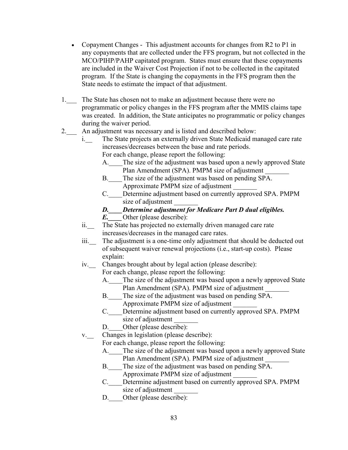- Copayment Changes This adjustment accounts for changes from R2 to P1 in any copayments that are collected under the FFS program, but not collected in the MCO/PIHP/PAHP capitated program. States must ensure that these copayments are included in the Waiver Cost Projection if not to be collected in the capitated program. If the State is changing the copayments in the FFS program then the State needs to estimate the impact of that adjustment.
- 1.\_\_\_ The State has chosen not to make an adjustment because there were no programmatic or policy changes in the FFS program after the MMIS claims tape was created. In addition, the State anticipates no programmatic or policy changes during the waiver period.
- 2.  $\Box$  An adjustment was necessary and is listed and described below:
	- i. The State projects an externally driven State Medicaid managed care rate increases/decreases between the base and rate periods. For each change, please report the following:
		- A. The size of the adjustment was based upon a newly approved State Plan Amendment (SPA). PMPM size of adjustment
		- B.\_\_\_\_The size of the adjustment was based on pending SPA. Approximate PMPM size of adjustment \_\_\_\_\_\_\_
		- C. Determine adjustment based on currently approved SPA. PMPM size of adjustment
		- *D.\_\_\_\_Determine adjustment for Medicare Part D dual eligibles.*
		- *E.* Other (please describe):
	- ii. The State has projected no externally driven managed care rate increases/decreases in the managed care rates.
	- iii. The adjustment is a one-time only adjustment that should be deducted out of subsequent waiver renewal projections (i.e., start-up costs). Please explain:
	- iv. Changes brought about by legal action (please describe):

For each change, please report the following:

- A. The size of the adjustment was based upon a newly approved State Plan Amendment (SPA). PMPM size of adjustment
- B. The size of the adjustment was based on pending SPA. Approximate PMPM size of adjustment \_\_\_\_\_\_\_
- C.\_\_\_\_Determine adjustment based on currently approved SPA. PMPM size of adjustment
- D. Other (please describe):
- v.\_\_ Changes in legislation (please describe):

For each change, please report the following:

- A. The size of the adjustment was based upon a newly approved State Plan Amendment (SPA). PMPM size of adjustment
- B. The size of the adjustment was based on pending SPA. Approximate PMPM size of adjustment \_\_\_\_\_\_\_
- C.\_\_\_\_Determine adjustment based on currently approved SPA. PMPM size of adjustment
- D. Other (please describe):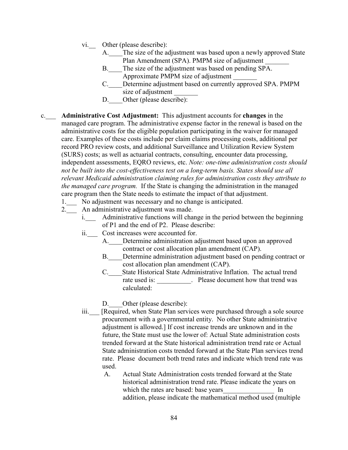- vi. Other (please describe):
	- A. The size of the adjustment was based upon a newly approved State Plan Amendment (SPA). PMPM size of adjustment
	- B.\_\_\_\_The size of the adjustment was based on pending SPA. Approximate PMPM size of adjustment \_\_\_\_\_\_\_
	- C. Determine adjustment based on currently approved SPA. PMPM size of adjustment
	- D. Other (please describe):
- c.\_\_\_ **Administrative Cost Adjustment:** This adjustment accounts for **changes** in the managed care program. The administrative expense factor in the renewal is based on the administrative costs for the eligible population participating in the waiver for managed care. Examples of these costs include per claim claims processing costs, additional per record PRO review costs, and additional Surveillance and Utilization Review System (SURS) costs; as well as actuarial contracts, consulting, encounter data processing, independent assessments, EQRO reviews, etc. *Note: one-time administration costs should not be built into the cost-effectiveness test on a long-term basis. States should use all relevant Medicaid administration claiming rules for administration costs they attribute to the managed care program.* If the State is changing the administration in the managed care program then the State needs to estimate the impact of that adjustment.
	- 1. No adjustment was necessary and no change is anticipated.
	- 2.\_\_\_ An administrative adjustment was made.
		- i.\_\_\_ Administrative functions will change in the period between the beginning of P1 and the end of P2. Please describe:
		- ii.\_\_\_ Cost increases were accounted for.
			- A. Determine administration adjustment based upon an approved contract or cost allocation plan amendment (CAP).
				- B. Determine administration adjustment based on pending contract or cost allocation plan amendment (CAP).
				- C. State Historical State Administrative Inflation. The actual trend rate used is: \_\_\_\_\_\_\_\_\_\_. Please document how that trend was calculated:
				- D. Other (please describe):
		- iii. [Required, when State Plan services were purchased through a sole source procurement with a governmental entity. No other State administrative adjustment is allowed.] If cost increase trends are unknown and in the future, the State must use the lower of: Actual State administration costs trended forward at the State historical administration trend rate or Actual State administration costs trended forward at the State Plan services trend rate. Please document both trend rates and indicate which trend rate was used.
			- A. Actual State Administration costs trended forward at the State historical administration trend rate. Please indicate the years on which the rates are based: base years Theorem In addition, please indicate the mathematical method used (multiple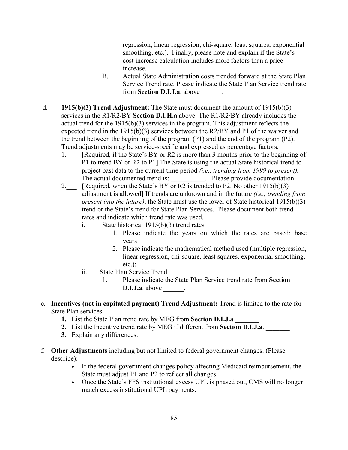regression, linear regression, chi-square, least squares, exponential smoothing, etc.). Finally, please note and explain if the State's cost increase calculation includes more factors than a price increase.

- B. Actual State Administration costs trended forward at the State Plan Service Trend rate. Please indicate the State Plan Service trend rate from **Section D.I.J.a**. above  $\qquad$ .
- d. **1915(b)(3) Trend Adjustment:** The State must document the amount of 1915(b)(3) services in the R1/R2/BY **Section D.I.H.a** above. The R1/R2/BY already includes the actual trend for the 1915(b)(3) services in the program. This adjustment reflects the expected trend in the 1915(b)(3) services between the R2/BY and P1 of the waiver and the trend between the beginning of the program (P1) and the end of the program (P2). Trend adjustments may be service-specific and expressed as percentage factors.
	- 1. [Required, if the State's BY or R2 is more than 3 months prior to the beginning of P1 to trend BY or R2 to P1] The State is using the actual State historical trend to project past data to the current time period *(i.e., trending from 1999 to present).* The actual documented trend is: \_\_\_\_\_\_\_\_\_\_. Please provide documentation.
	- 2. [Required, when the State's BY or R2 is trended to P2. No other 1915(b)(3) adjustment is allowed] If trends are unknown and in the future *(i.e., trending from present into the future)*, the State must use the lower of State historical 1915(b)(3) trend or the State's trend for State Plan Services. Please document both trend rates and indicate which trend rate was used.
		- i. State historical 1915(b)(3) trend rates
			- 1. Please indicate the years on which the rates are based: base years\_\_\_\_\_\_\_\_\_\_\_\_\_\_\_
			- 2. Please indicate the mathematical method used (multiple regression, linear regression, chi-square, least squares, exponential smoothing, etc.):
		- ii. State Plan Service Trend
			- 1. Please indicate the State Plan Service trend rate from **Section D.I.J.a**. above \_\_\_\_\_\_\_.
- e. **Incentives (not in capitated payment) Trend Adjustment:** Trend is limited to the rate for State Plan services.
	- **1.** List the State Plan trend rate by MEG from **Section D.I.J.a**
	- **2.** List the Incentive trend rate by MEG if different from **Section D.I.J.a**.
	- **3.** Explain any differences:
- f. **Other Adjustments** including but not limited to federal government changes. (Please describe):
	- If the federal government changes policy affecting Medicaid reimbursement, the State must adjust P1 and P2 to reflect all changes.
	- Once the State's FFS institutional excess UPL is phased out, CMS will no longer match excess institutional UPL payments.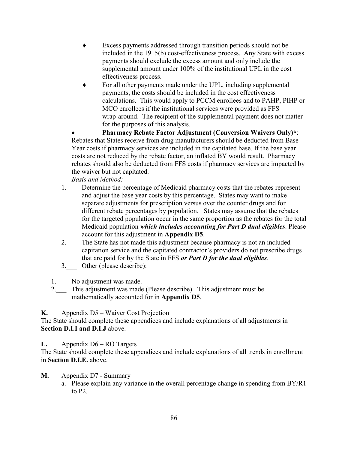- ♦ Excess payments addressed through transition periods should not be included in the 1915(b) cost-effectiveness process. Any State with excess payments should exclude the excess amount and only include the supplemental amount under 100% of the institutional UPL in the cost effectiveness process.
- For all other payments made under the UPL, including supplemental payments, the costs should be included in the cost effectiveness calculations. This would apply to PCCM enrollees and to PAHP, PIHP or MCO enrollees if the institutional services were provided as FFS wrap-around. The recipient of the supplemental payment does not matter for the purposes of this analysis.

• **Pharmacy Rebate Factor Adjustment (Conversion Waivers Only)\***: Rebates that States receive from drug manufacturers should be deducted from Base Year costs if pharmacy services are included in the capitated base. If the base year costs are not reduced by the rebate factor, an inflated BY would result. Pharmacy rebates should also be deducted from FFS costs if pharmacy services are impacted by the waiver but not capitated.

*Basis and Method:*

- 1. Determine the percentage of Medicaid pharmacy costs that the rebates represent and adjust the base year costs by this percentage. States may want to make separate adjustments for prescription versus over the counter drugs and for different rebate percentages by population. States may assume that the rebates for the targeted population occur in the same proportion as the rebates for the total Medicaid population *which includes accounting for Part D dual eligibles*. Please account for this adjustment in **Appendix D5**.
- 2.\_\_\_ The State has not made this adjustment because pharmacy is not an included capitation service and the capitated contractor's providers do not prescribe drugs that are paid for by the State in FFS *or Part D for the dual eligibles*.
- 3. Other (please describe):

1.\_\_\_ No adjustment was made.

2.<sup>1</sup> This adjustment was made (Please describe). This adjustment must be mathematically accounted for in **Appendix D5**.

**K.** Appendix D5 – Waiver Cost Projection

The State should complete these appendices and include explanations of all adjustments in **Section D.I.I and D.I.J** above.

# **L.** Appendix D6 – RO Targets

The State should complete these appendices and include explanations of all trends in enrollment in **Section D.I.E.** above.

- **M.** Appendix D7 Summary
	- a. Please explain any variance in the overall percentage change in spending from BY/R1 to P2.